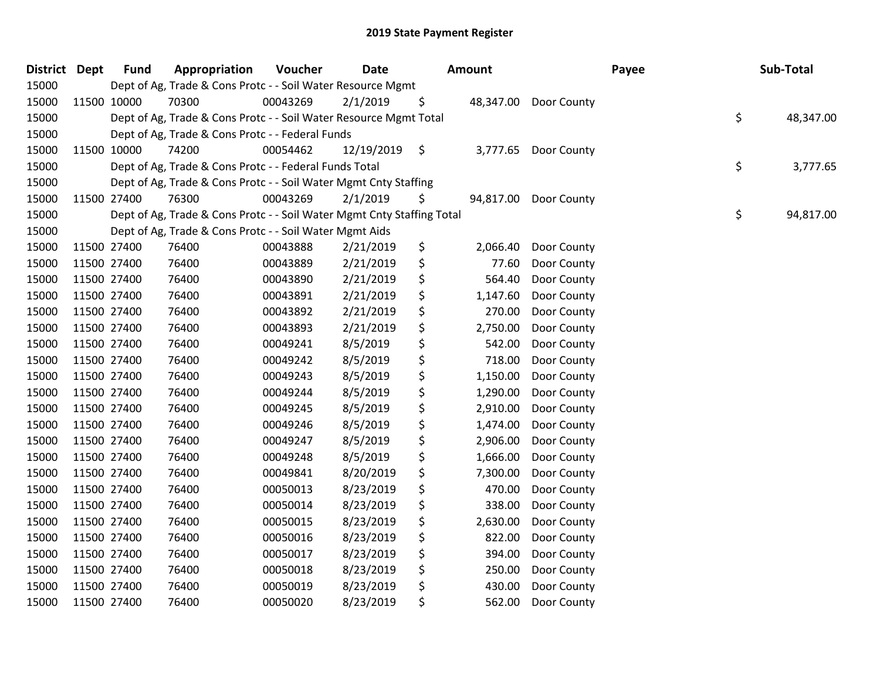| District Dept |             | <b>Fund</b> | Appropriation                                                          | Voucher  | <b>Date</b> | Amount          |                       | Payee | Sub-Total       |
|---------------|-------------|-------------|------------------------------------------------------------------------|----------|-------------|-----------------|-----------------------|-------|-----------------|
| 15000         |             |             | Dept of Ag, Trade & Cons Protc - - Soil Water Resource Mgmt            |          |             |                 |                       |       |                 |
| 15000         | 11500 10000 |             | 70300                                                                  | 00043269 | 2/1/2019    | \$              | 48,347.00 Door County |       |                 |
| 15000         |             |             | Dept of Ag, Trade & Cons Protc - - Soil Water Resource Mgmt Total      |          |             |                 |                       |       | \$<br>48,347.00 |
| 15000         |             |             | Dept of Ag, Trade & Cons Protc - - Federal Funds                       |          |             |                 |                       |       |                 |
| 15000         |             | 11500 10000 | 74200                                                                  | 00054462 | 12/19/2019  | \$<br>3,777.65  | Door County           |       |                 |
| 15000         |             |             | Dept of Ag, Trade & Cons Protc - - Federal Funds Total                 |          |             |                 |                       |       | \$<br>3,777.65  |
| 15000         |             |             | Dept of Ag, Trade & Cons Protc - - Soil Water Mgmt Cnty Staffing       |          |             |                 |                       |       |                 |
| 15000         |             | 11500 27400 | 76300                                                                  | 00043269 | 2/1/2019    | \$<br>94,817.00 | Door County           |       |                 |
| 15000         |             |             | Dept of Ag, Trade & Cons Protc - - Soil Water Mgmt Cnty Staffing Total |          |             |                 |                       |       | \$<br>94,817.00 |
| 15000         |             |             | Dept of Ag, Trade & Cons Protc - - Soil Water Mgmt Aids                |          |             |                 |                       |       |                 |
| 15000         |             | 11500 27400 | 76400                                                                  | 00043888 | 2/21/2019   | \$<br>2,066.40  | Door County           |       |                 |
| 15000         | 11500 27400 |             | 76400                                                                  | 00043889 | 2/21/2019   | \$<br>77.60     | Door County           |       |                 |
| 15000         | 11500 27400 |             | 76400                                                                  | 00043890 | 2/21/2019   | \$<br>564.40    | Door County           |       |                 |
| 15000         | 11500 27400 |             | 76400                                                                  | 00043891 | 2/21/2019   | \$<br>1,147.60  | Door County           |       |                 |
| 15000         | 11500 27400 |             | 76400                                                                  | 00043892 | 2/21/2019   | \$<br>270.00    | Door County           |       |                 |
| 15000         | 11500 27400 |             | 76400                                                                  | 00043893 | 2/21/2019   | \$<br>2,750.00  | Door County           |       |                 |
| 15000         | 11500 27400 |             | 76400                                                                  | 00049241 | 8/5/2019    | \$<br>542.00    | Door County           |       |                 |
| 15000         | 11500 27400 |             | 76400                                                                  | 00049242 | 8/5/2019    | \$<br>718.00    | Door County           |       |                 |
| 15000         | 11500 27400 |             | 76400                                                                  | 00049243 | 8/5/2019    | \$<br>1,150.00  | Door County           |       |                 |
| 15000         | 11500 27400 |             | 76400                                                                  | 00049244 | 8/5/2019    | \$<br>1,290.00  | Door County           |       |                 |
| 15000         | 11500 27400 |             | 76400                                                                  | 00049245 | 8/5/2019    | \$<br>2,910.00  | Door County           |       |                 |
| 15000         | 11500 27400 |             | 76400                                                                  | 00049246 | 8/5/2019    | \$<br>1,474.00  | Door County           |       |                 |
| 15000         | 11500 27400 |             | 76400                                                                  | 00049247 | 8/5/2019    | \$<br>2,906.00  | Door County           |       |                 |
| 15000         | 11500 27400 |             | 76400                                                                  | 00049248 | 8/5/2019    | \$<br>1,666.00  | Door County           |       |                 |
| 15000         | 11500 27400 |             | 76400                                                                  | 00049841 | 8/20/2019   | \$<br>7,300.00  | Door County           |       |                 |
| 15000         | 11500 27400 |             | 76400                                                                  | 00050013 | 8/23/2019   | \$<br>470.00    | Door County           |       |                 |
| 15000         | 11500 27400 |             | 76400                                                                  | 00050014 | 8/23/2019   | \$<br>338.00    | Door County           |       |                 |
| 15000         | 11500 27400 |             | 76400                                                                  | 00050015 | 8/23/2019   | \$<br>2,630.00  | Door County           |       |                 |
| 15000         | 11500 27400 |             | 76400                                                                  | 00050016 | 8/23/2019   | \$<br>822.00    | Door County           |       |                 |
| 15000         | 11500 27400 |             | 76400                                                                  | 00050017 | 8/23/2019   | \$<br>394.00    | Door County           |       |                 |
| 15000         | 11500 27400 |             | 76400                                                                  | 00050018 | 8/23/2019   | \$<br>250.00    | Door County           |       |                 |
| 15000         | 11500 27400 |             | 76400                                                                  | 00050019 | 8/23/2019   | \$<br>430.00    | Door County           |       |                 |
| 15000         | 11500 27400 |             | 76400                                                                  | 00050020 | 8/23/2019   | \$<br>562.00    | Door County           |       |                 |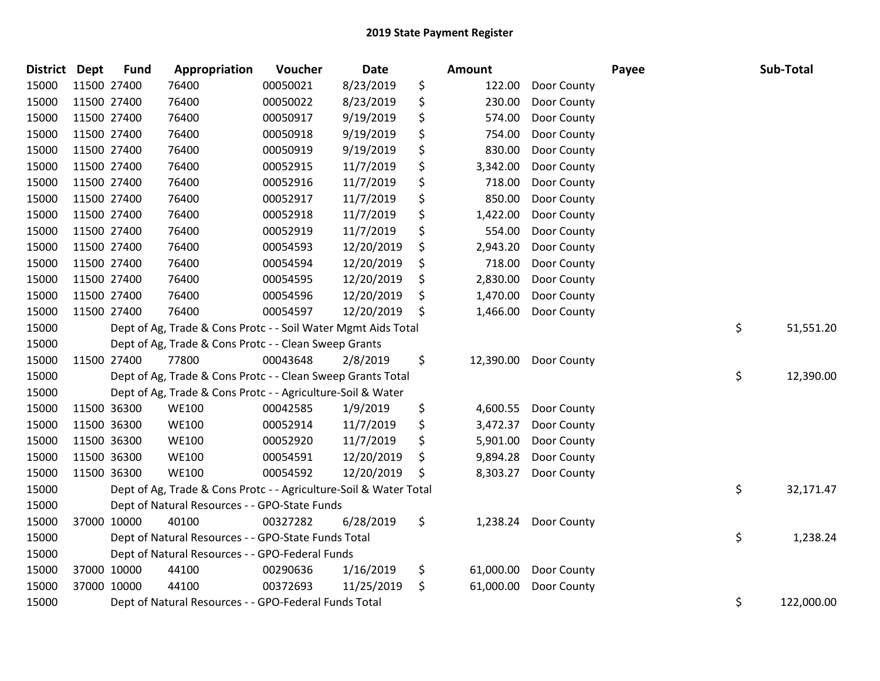| District Dept |             | <b>Fund</b> | Appropriation                                                     | Voucher  | Date       | <b>Amount</b>   |                      | Payee | Sub-Total        |
|---------------|-------------|-------------|-------------------------------------------------------------------|----------|------------|-----------------|----------------------|-------|------------------|
| 15000         | 11500 27400 |             | 76400                                                             | 00050021 | 8/23/2019  | \$<br>122.00    | Door County          |       |                  |
| 15000         | 11500 27400 |             | 76400                                                             | 00050022 | 8/23/2019  | \$<br>230.00    | Door County          |       |                  |
| 15000         | 11500 27400 |             | 76400                                                             | 00050917 | 9/19/2019  | \$<br>574.00    | Door County          |       |                  |
| 15000         | 11500 27400 |             | 76400                                                             | 00050918 | 9/19/2019  | \$<br>754.00    | Door County          |       |                  |
| 15000         | 11500 27400 |             | 76400                                                             | 00050919 | 9/19/2019  | \$<br>830.00    | Door County          |       |                  |
| 15000         | 11500 27400 |             | 76400                                                             | 00052915 | 11/7/2019  | \$<br>3,342.00  | Door County          |       |                  |
| 15000         | 11500 27400 |             | 76400                                                             | 00052916 | 11/7/2019  | \$<br>718.00    | Door County          |       |                  |
| 15000         | 11500 27400 |             | 76400                                                             | 00052917 | 11/7/2019  | \$<br>850.00    | Door County          |       |                  |
| 15000         | 11500 27400 |             | 76400                                                             | 00052918 | 11/7/2019  | \$<br>1,422.00  | Door County          |       |                  |
| 15000         | 11500 27400 |             | 76400                                                             | 00052919 | 11/7/2019  | \$<br>554.00    | Door County          |       |                  |
| 15000         | 11500 27400 |             | 76400                                                             | 00054593 | 12/20/2019 | \$<br>2,943.20  | Door County          |       |                  |
| 15000         | 11500 27400 |             | 76400                                                             | 00054594 | 12/20/2019 | \$<br>718.00    | Door County          |       |                  |
| 15000         | 11500 27400 |             | 76400                                                             | 00054595 | 12/20/2019 | \$<br>2,830.00  | Door County          |       |                  |
| 15000         | 11500 27400 |             | 76400                                                             | 00054596 | 12/20/2019 | \$<br>1,470.00  | Door County          |       |                  |
| 15000         | 11500 27400 |             | 76400                                                             | 00054597 | 12/20/2019 | \$<br>1,466.00  | Door County          |       |                  |
| 15000         |             |             | Dept of Ag, Trade & Cons Protc - - Soil Water Mgmt Aids Total     |          |            |                 |                      |       | \$<br>51,551.20  |
| 15000         |             |             | Dept of Ag, Trade & Cons Protc - - Clean Sweep Grants             |          |            |                 |                      |       |                  |
| 15000         |             | 11500 27400 | 77800                                                             | 00043648 | 2/8/2019   | \$<br>12,390.00 | Door County          |       |                  |
| 15000         |             |             | Dept of Ag, Trade & Cons Protc - - Clean Sweep Grants Total       |          |            |                 |                      |       | \$<br>12,390.00  |
| 15000         |             |             | Dept of Ag, Trade & Cons Protc - - Agriculture-Soil & Water       |          |            |                 |                      |       |                  |
| 15000         | 11500 36300 |             | <b>WE100</b>                                                      | 00042585 | 1/9/2019   | \$<br>4,600.55  | Door County          |       |                  |
| 15000         | 11500 36300 |             | <b>WE100</b>                                                      | 00052914 | 11/7/2019  | \$<br>3,472.37  | Door County          |       |                  |
| 15000         | 11500 36300 |             | <b>WE100</b>                                                      | 00052920 | 11/7/2019  | \$<br>5,901.00  | Door County          |       |                  |
| 15000         | 11500 36300 |             | <b>WE100</b>                                                      | 00054591 | 12/20/2019 | \$<br>9,894.28  | Door County          |       |                  |
| 15000         | 11500 36300 |             | <b>WE100</b>                                                      | 00054592 | 12/20/2019 | \$<br>8,303.27  | Door County          |       |                  |
| 15000         |             |             | Dept of Ag, Trade & Cons Protc - - Agriculture-Soil & Water Total |          |            |                 |                      |       | \$<br>32,171.47  |
| 15000         |             |             | Dept of Natural Resources - - GPO-State Funds                     |          |            |                 |                      |       |                  |
| 15000         |             | 37000 10000 | 40100                                                             | 00327282 | 6/28/2019  | \$              | 1,238.24 Door County |       |                  |
| 15000         |             |             | Dept of Natural Resources - - GPO-State Funds Total               |          |            |                 |                      |       | \$<br>1,238.24   |
| 15000         |             |             | Dept of Natural Resources - - GPO-Federal Funds                   |          |            |                 |                      |       |                  |
| 15000         |             | 37000 10000 | 44100                                                             | 00290636 | 1/16/2019  | \$<br>61,000.00 | Door County          |       |                  |
| 15000         |             | 37000 10000 | 44100                                                             | 00372693 | 11/25/2019 | \$<br>61,000.00 | Door County          |       |                  |
| 15000         |             |             | Dept of Natural Resources - - GPO-Federal Funds Total             |          |            |                 |                      |       | \$<br>122,000.00 |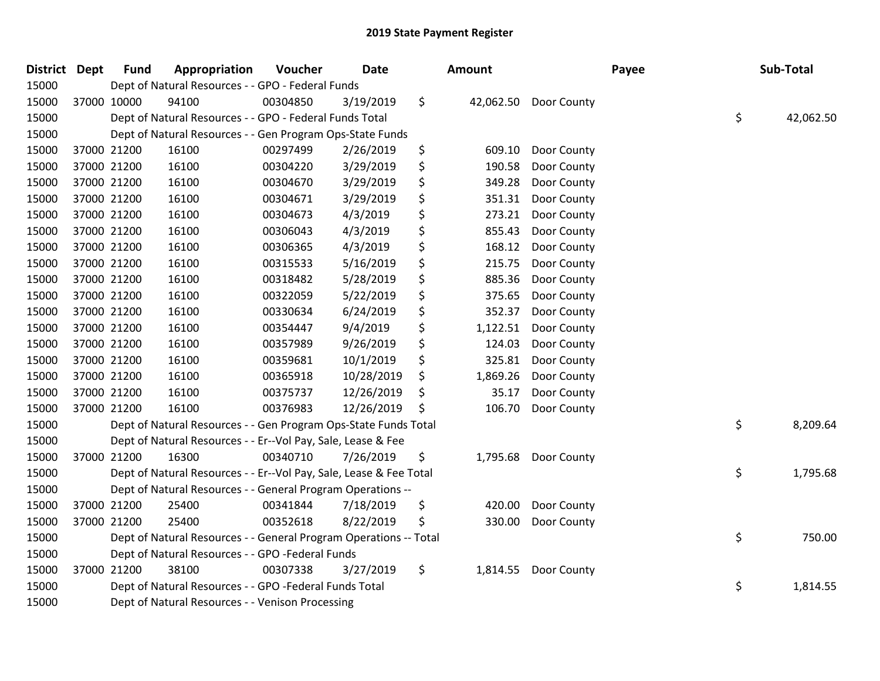| District Dept | <b>Fund</b> | Appropriation                                                      | Voucher  | <b>Date</b> | Amount |          | Payee                 |  | Sub-Total       |  |
|---------------|-------------|--------------------------------------------------------------------|----------|-------------|--------|----------|-----------------------|--|-----------------|--|
| 15000         |             | Dept of Natural Resources - - GPO - Federal Funds                  |          |             |        |          |                       |  |                 |  |
| 15000         | 37000 10000 | 94100                                                              | 00304850 | 3/19/2019   | \$     |          | 42,062.50 Door County |  |                 |  |
| 15000         |             | Dept of Natural Resources - - GPO - Federal Funds Total            |          |             |        |          |                       |  | \$<br>42,062.50 |  |
| 15000         |             | Dept of Natural Resources - - Gen Program Ops-State Funds          |          |             |        |          |                       |  |                 |  |
| 15000         | 37000 21200 | 16100                                                              | 00297499 | 2/26/2019   | \$     | 609.10   | Door County           |  |                 |  |
| 15000         | 37000 21200 | 16100                                                              | 00304220 | 3/29/2019   | \$     | 190.58   | Door County           |  |                 |  |
| 15000         | 37000 21200 | 16100                                                              | 00304670 | 3/29/2019   | \$     | 349.28   | Door County           |  |                 |  |
| 15000         | 37000 21200 | 16100                                                              | 00304671 | 3/29/2019   | \$     | 351.31   | Door County           |  |                 |  |
| 15000         | 37000 21200 | 16100                                                              | 00304673 | 4/3/2019    | \$     | 273.21   | Door County           |  |                 |  |
| 15000         | 37000 21200 | 16100                                                              | 00306043 | 4/3/2019    | \$     | 855.43   | Door County           |  |                 |  |
| 15000         | 37000 21200 | 16100                                                              | 00306365 | 4/3/2019    | \$     | 168.12   | Door County           |  |                 |  |
| 15000         | 37000 21200 | 16100                                                              | 00315533 | 5/16/2019   | \$     | 215.75   | Door County           |  |                 |  |
| 15000         | 37000 21200 | 16100                                                              | 00318482 | 5/28/2019   | \$     | 885.36   | Door County           |  |                 |  |
| 15000         | 37000 21200 | 16100                                                              | 00322059 | 5/22/2019   | \$     | 375.65   | Door County           |  |                 |  |
| 15000         | 37000 21200 | 16100                                                              | 00330634 | 6/24/2019   | \$     | 352.37   | Door County           |  |                 |  |
| 15000         | 37000 21200 | 16100                                                              | 00354447 | 9/4/2019    | \$     | 1,122.51 | Door County           |  |                 |  |
| 15000         | 37000 21200 | 16100                                                              | 00357989 | 9/26/2019   | \$     | 124.03   | Door County           |  |                 |  |
| 15000         | 37000 21200 | 16100                                                              | 00359681 | 10/1/2019   | \$     | 325.81   | Door County           |  |                 |  |
| 15000         | 37000 21200 | 16100                                                              | 00365918 | 10/28/2019  | \$     | 1,869.26 | Door County           |  |                 |  |
| 15000         | 37000 21200 | 16100                                                              | 00375737 | 12/26/2019  | \$     | 35.17    | Door County           |  |                 |  |
| 15000         | 37000 21200 | 16100                                                              | 00376983 | 12/26/2019  | \$     | 106.70   | Door County           |  |                 |  |
| 15000         |             | Dept of Natural Resources - - Gen Program Ops-State Funds Total    |          |             |        |          |                       |  | \$<br>8,209.64  |  |
| 15000         |             | Dept of Natural Resources - - Er--Vol Pay, Sale, Lease & Fee       |          |             |        |          |                       |  |                 |  |
| 15000         | 37000 21200 | 16300                                                              | 00340710 | 7/26/2019   | \$     | 1,795.68 | Door County           |  |                 |  |
| 15000         |             | Dept of Natural Resources - - Er--Vol Pay, Sale, Lease & Fee Total |          |             |        |          |                       |  | \$<br>1,795.68  |  |
| 15000         |             | Dept of Natural Resources - - General Program Operations --        |          |             |        |          |                       |  |                 |  |
| 15000         | 37000 21200 | 25400                                                              | 00341844 | 7/18/2019   | \$     | 420.00   | Door County           |  |                 |  |
| 15000         | 37000 21200 | 25400                                                              | 00352618 | 8/22/2019   | \$     | 330.00   | Door County           |  |                 |  |
| 15000         |             | Dept of Natural Resources - - General Program Operations -- Total  |          |             |        |          |                       |  | \$<br>750.00    |  |
| 15000         |             | Dept of Natural Resources - - GPO -Federal Funds                   |          |             |        |          |                       |  |                 |  |
| 15000         | 37000 21200 | 38100                                                              | 00307338 | 3/27/2019   | \$     | 1,814.55 | Door County           |  |                 |  |
| 15000         |             | Dept of Natural Resources - - GPO -Federal Funds Total             |          |             |        |          |                       |  | \$<br>1,814.55  |  |
| 15000         |             | Dept of Natural Resources - - Venison Processing                   |          |             |        |          |                       |  |                 |  |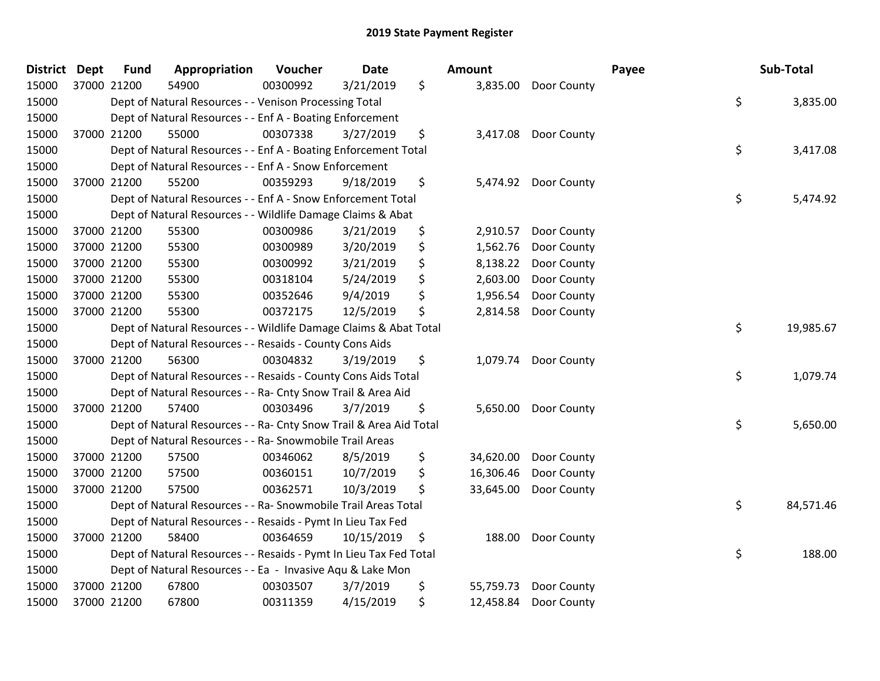| <b>District Dept</b> |             | <b>Fund</b> | Appropriation                                                      | Voucher  | <b>Date</b> | Amount          |                      | Payee | Sub-Total |           |
|----------------------|-------------|-------------|--------------------------------------------------------------------|----------|-------------|-----------------|----------------------|-------|-----------|-----------|
| 15000                | 37000 21200 |             | 54900                                                              | 00300992 | 3/21/2019   | \$              | 3,835.00 Door County |       |           |           |
| 15000                |             |             | Dept of Natural Resources - - Venison Processing Total             |          |             |                 |                      | \$    |           | 3,835.00  |
| 15000                |             |             | Dept of Natural Resources - - Enf A - Boating Enforcement          |          |             |                 |                      |       |           |           |
| 15000                |             | 37000 21200 | 55000                                                              | 00307338 | 3/27/2019   | \$<br>3,417.08  | Door County          |       |           |           |
| 15000                |             |             | Dept of Natural Resources - - Enf A - Boating Enforcement Total    |          |             |                 |                      | \$    |           | 3,417.08  |
| 15000                |             |             | Dept of Natural Resources - - Enf A - Snow Enforcement             |          |             |                 |                      |       |           |           |
| 15000                |             | 37000 21200 | 55200                                                              | 00359293 | 9/18/2019   | \$<br>5,474.92  | Door County          |       |           |           |
| 15000                |             |             | Dept of Natural Resources - - Enf A - Snow Enforcement Total       |          |             |                 |                      | \$    |           | 5,474.92  |
| 15000                |             |             | Dept of Natural Resources - - Wildlife Damage Claims & Abat        |          |             |                 |                      |       |           |           |
| 15000                |             | 37000 21200 | 55300                                                              | 00300986 | 3/21/2019   | \$<br>2,910.57  | Door County          |       |           |           |
| 15000                |             | 37000 21200 | 55300                                                              | 00300989 | 3/20/2019   | \$<br>1,562.76  | Door County          |       |           |           |
| 15000                |             | 37000 21200 | 55300                                                              | 00300992 | 3/21/2019   | \$<br>8,138.22  | Door County          |       |           |           |
| 15000                |             | 37000 21200 | 55300                                                              | 00318104 | 5/24/2019   | \$<br>2,603.00  | Door County          |       |           |           |
| 15000                |             | 37000 21200 | 55300                                                              | 00352646 | 9/4/2019    | \$<br>1,956.54  | Door County          |       |           |           |
| 15000                |             | 37000 21200 | 55300                                                              | 00372175 | 12/5/2019   | \$<br>2,814.58  | Door County          |       |           |           |
| 15000                |             |             | Dept of Natural Resources - - Wildlife Damage Claims & Abat Total  |          |             |                 |                      | \$    |           | 19,985.67 |
| 15000                |             |             | Dept of Natural Resources - - Resaids - County Cons Aids           |          |             |                 |                      |       |           |           |
| 15000                |             | 37000 21200 | 56300                                                              | 00304832 | 3/19/2019   | \$<br>1,079.74  | Door County          |       |           |           |
| 15000                |             |             | Dept of Natural Resources - - Resaids - County Cons Aids Total     |          |             |                 |                      | \$    |           | 1,079.74  |
| 15000                |             |             | Dept of Natural Resources - - Ra- Cnty Snow Trail & Area Aid       |          |             |                 |                      |       |           |           |
| 15000                |             | 37000 21200 | 57400                                                              | 00303496 | 3/7/2019    | \$              | 5,650.00 Door County |       |           |           |
| 15000                |             |             | Dept of Natural Resources - - Ra- Cnty Snow Trail & Area Aid Total |          |             |                 |                      | \$    |           | 5,650.00  |
| 15000                |             |             | Dept of Natural Resources - - Ra- Snowmobile Trail Areas           |          |             |                 |                      |       |           |           |
| 15000                |             | 37000 21200 | 57500                                                              | 00346062 | 8/5/2019    | \$<br>34,620.00 | Door County          |       |           |           |
| 15000                |             | 37000 21200 | 57500                                                              | 00360151 | 10/7/2019   | \$<br>16,306.46 | Door County          |       |           |           |
| 15000                |             | 37000 21200 | 57500                                                              | 00362571 | 10/3/2019   | \$<br>33,645.00 | Door County          |       |           |           |
| 15000                |             |             | Dept of Natural Resources - - Ra- Snowmobile Trail Areas Total     |          |             |                 |                      | \$    |           | 84,571.46 |
| 15000                |             |             | Dept of Natural Resources - - Resaids - Pymt In Lieu Tax Fed       |          |             |                 |                      |       |           |           |
| 15000                |             | 37000 21200 | 58400                                                              | 00364659 | 10/15/2019  | \$<br>188.00    | Door County          |       |           |           |
| 15000                |             |             | Dept of Natural Resources - - Resaids - Pymt In Lieu Tax Fed Total |          |             |                 |                      | \$    |           | 188.00    |
| 15000                |             |             | Dept of Natural Resources - - Ea - Invasive Aqu & Lake Mon         |          |             |                 |                      |       |           |           |
| 15000                |             | 37000 21200 | 67800                                                              | 00303507 | 3/7/2019    | \$<br>55,759.73 | Door County          |       |           |           |
| 15000                |             | 37000 21200 | 67800                                                              | 00311359 | 4/15/2019   | \$<br>12,458.84 | Door County          |       |           |           |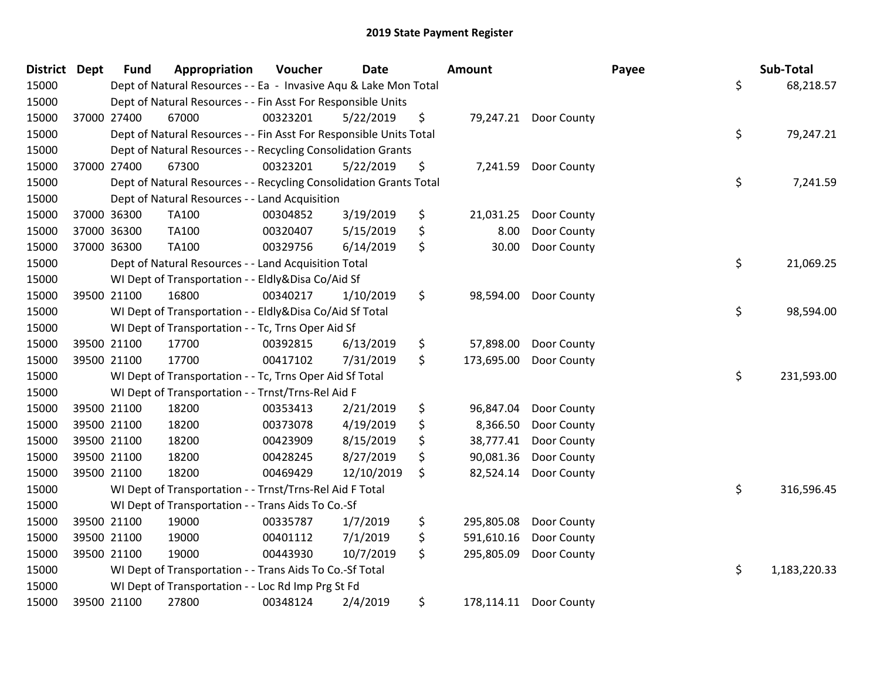| District Dept | <b>Fund</b> | Appropriation                                                      | Voucher  | Date       | Amount           |                       | Payee | Sub-Total    |
|---------------|-------------|--------------------------------------------------------------------|----------|------------|------------------|-----------------------|-------|--------------|
| 15000         |             | Dept of Natural Resources - - Ea - Invasive Aqu & Lake Mon Total   |          |            |                  |                       | \$    | 68,218.57    |
| 15000         |             | Dept of Natural Resources - - Fin Asst For Responsible Units       |          |            |                  |                       |       |              |
| 15000         | 37000 27400 | 67000                                                              | 00323201 | 5/22/2019  | \$               | 79,247.21 Door County |       |              |
| 15000         |             | Dept of Natural Resources - - Fin Asst For Responsible Units Total |          |            |                  |                       | \$    | 79,247.21    |
| 15000         |             | Dept of Natural Resources - - Recycling Consolidation Grants       |          |            |                  |                       |       |              |
| 15000         | 37000 27400 | 67300                                                              | 00323201 | 5/22/2019  | \$<br>7,241.59   | Door County           |       |              |
| 15000         |             | Dept of Natural Resources - - Recycling Consolidation Grants Total |          |            |                  |                       | \$    | 7,241.59     |
| 15000         |             | Dept of Natural Resources - - Land Acquisition                     |          |            |                  |                       |       |              |
| 15000         | 37000 36300 | TA100                                                              | 00304852 | 3/19/2019  | \$<br>21,031.25  | Door County           |       |              |
| 15000         | 37000 36300 | <b>TA100</b>                                                       | 00320407 | 5/15/2019  | \$<br>8.00       | Door County           |       |              |
| 15000         | 37000 36300 | <b>TA100</b>                                                       | 00329756 | 6/14/2019  | \$<br>30.00      | Door County           |       |              |
| 15000         |             | Dept of Natural Resources - - Land Acquisition Total               |          |            |                  |                       | \$    | 21,069.25    |
| 15000         |             | WI Dept of Transportation - - Eldly&Disa Co/Aid Sf                 |          |            |                  |                       |       |              |
| 15000         | 39500 21100 | 16800                                                              | 00340217 | 1/10/2019  | \$<br>98,594.00  | Door County           |       |              |
| 15000         |             | WI Dept of Transportation - - Eldly&Disa Co/Aid Sf Total           |          |            |                  |                       | \$    | 98,594.00    |
| 15000         |             | WI Dept of Transportation - - Tc, Trns Oper Aid Sf                 |          |            |                  |                       |       |              |
| 15000         | 39500 21100 | 17700                                                              | 00392815 | 6/13/2019  | \$<br>57,898.00  | Door County           |       |              |
| 15000         | 39500 21100 | 17700                                                              | 00417102 | 7/31/2019  | \$<br>173,695.00 | Door County           |       |              |
| 15000         |             | WI Dept of Transportation - - Tc, Trns Oper Aid Sf Total           |          |            |                  |                       | \$    | 231,593.00   |
| 15000         |             | WI Dept of Transportation - - Trnst/Trns-Rel Aid F                 |          |            |                  |                       |       |              |
| 15000         | 39500 21100 | 18200                                                              | 00353413 | 2/21/2019  | \$<br>96,847.04  | Door County           |       |              |
| 15000         | 39500 21100 | 18200                                                              | 00373078 | 4/19/2019  | \$<br>8,366.50   | Door County           |       |              |
| 15000         | 39500 21100 | 18200                                                              | 00423909 | 8/15/2019  | \$<br>38,777.41  | Door County           |       |              |
| 15000         | 39500 21100 | 18200                                                              | 00428245 | 8/27/2019  | \$<br>90,081.36  | Door County           |       |              |
| 15000         | 39500 21100 | 18200                                                              | 00469429 | 12/10/2019 | \$<br>82,524.14  | Door County           |       |              |
| 15000         |             | WI Dept of Transportation - - Trnst/Trns-Rel Aid F Total           |          |            |                  |                       | \$    | 316,596.45   |
| 15000         |             | WI Dept of Transportation - - Trans Aids To Co.-Sf                 |          |            |                  |                       |       |              |
| 15000         | 39500 21100 | 19000                                                              | 00335787 | 1/7/2019   | \$<br>295,805.08 | Door County           |       |              |
| 15000         | 39500 21100 | 19000                                                              | 00401112 | 7/1/2019   | \$<br>591,610.16 | Door County           |       |              |
| 15000         | 39500 21100 | 19000                                                              | 00443930 | 10/7/2019  | \$<br>295,805.09 | Door County           |       |              |
| 15000         |             | WI Dept of Transportation - - Trans Aids To Co.-Sf Total           |          |            |                  |                       | \$    | 1,183,220.33 |
| 15000         |             | WI Dept of Transportation - - Loc Rd Imp Prg St Fd                 |          |            |                  |                       |       |              |
| 15000         | 39500 21100 | 27800                                                              | 00348124 | 2/4/2019   | \$<br>178,114.11 | Door County           |       |              |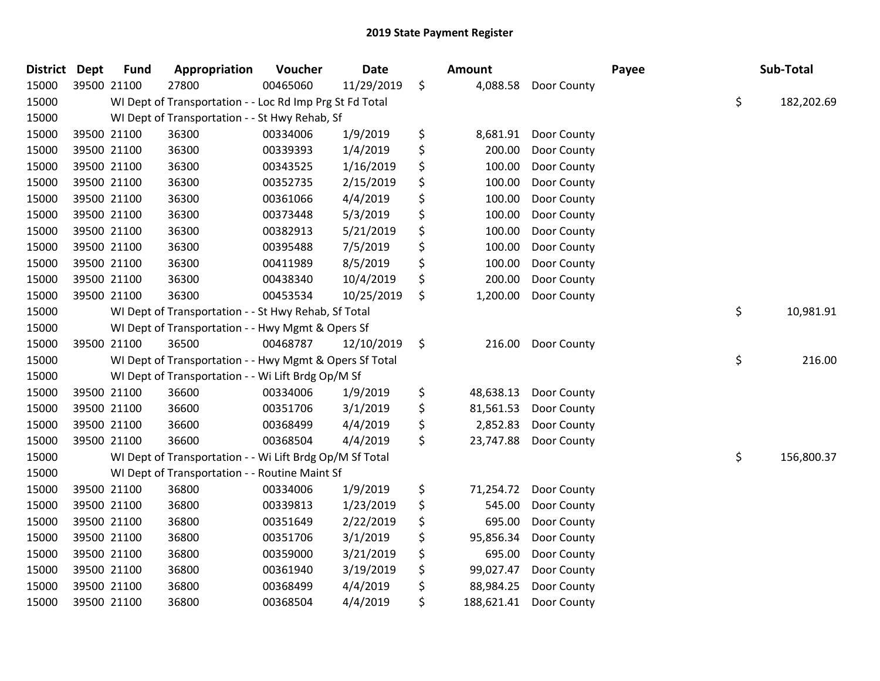| <b>District Dept</b> | <b>Fund</b> | Appropriation                                            | Voucher  | <b>Date</b> | Amount           |             | Payee | Sub-Total        |
|----------------------|-------------|----------------------------------------------------------|----------|-------------|------------------|-------------|-------|------------------|
| 15000                | 39500 21100 | 27800                                                    | 00465060 | 11/29/2019  | \$<br>4,088.58   | Door County |       |                  |
| 15000                |             | WI Dept of Transportation - - Loc Rd Imp Prg St Fd Total |          |             |                  |             |       | \$<br>182,202.69 |
| 15000                |             | WI Dept of Transportation - - St Hwy Rehab, Sf           |          |             |                  |             |       |                  |
| 15000                | 39500 21100 | 36300                                                    | 00334006 | 1/9/2019    | \$<br>8,681.91   | Door County |       |                  |
| 15000                | 39500 21100 | 36300                                                    | 00339393 | 1/4/2019    | \$<br>200.00     | Door County |       |                  |
| 15000                | 39500 21100 | 36300                                                    | 00343525 | 1/16/2019   | \$<br>100.00     | Door County |       |                  |
| 15000                | 39500 21100 | 36300                                                    | 00352735 | 2/15/2019   | \$<br>100.00     | Door County |       |                  |
| 15000                | 39500 21100 | 36300                                                    | 00361066 | 4/4/2019    | \$<br>100.00     | Door County |       |                  |
| 15000                | 39500 21100 | 36300                                                    | 00373448 | 5/3/2019    | \$<br>100.00     | Door County |       |                  |
| 15000                | 39500 21100 | 36300                                                    | 00382913 | 5/21/2019   | \$<br>100.00     | Door County |       |                  |
| 15000                | 39500 21100 | 36300                                                    | 00395488 | 7/5/2019    | \$<br>100.00     | Door County |       |                  |
| 15000                | 39500 21100 | 36300                                                    | 00411989 | 8/5/2019    | \$<br>100.00     | Door County |       |                  |
| 15000                | 39500 21100 | 36300                                                    | 00438340 | 10/4/2019   | \$<br>200.00     | Door County |       |                  |
| 15000                | 39500 21100 | 36300                                                    | 00453534 | 10/25/2019  | \$<br>1,200.00   | Door County |       |                  |
| 15000                |             | WI Dept of Transportation - - St Hwy Rehab, Sf Total     |          |             |                  |             |       | \$<br>10,981.91  |
| 15000                |             | WI Dept of Transportation - - Hwy Mgmt & Opers Sf        |          |             |                  |             |       |                  |
| 15000                | 39500 21100 | 36500                                                    | 00468787 | 12/10/2019  | \$<br>216.00     | Door County |       |                  |
| 15000                |             | WI Dept of Transportation - - Hwy Mgmt & Opers Sf Total  |          |             |                  |             |       | \$<br>216.00     |
| 15000                |             | WI Dept of Transportation - - Wi Lift Brdg Op/M Sf       |          |             |                  |             |       |                  |
| 15000                | 39500 21100 | 36600                                                    | 00334006 | 1/9/2019    | \$<br>48,638.13  | Door County |       |                  |
| 15000                | 39500 21100 | 36600                                                    | 00351706 | 3/1/2019    | \$<br>81,561.53  | Door County |       |                  |
| 15000                | 39500 21100 | 36600                                                    | 00368499 | 4/4/2019    | \$<br>2,852.83   | Door County |       |                  |
| 15000                | 39500 21100 | 36600                                                    | 00368504 | 4/4/2019    | \$<br>23,747.88  | Door County |       |                  |
| 15000                |             | WI Dept of Transportation - - Wi Lift Brdg Op/M Sf Total |          |             |                  |             |       | \$<br>156,800.37 |
| 15000                |             | WI Dept of Transportation - - Routine Maint Sf           |          |             |                  |             |       |                  |
| 15000                | 39500 21100 | 36800                                                    | 00334006 | 1/9/2019    | \$<br>71,254.72  | Door County |       |                  |
| 15000                | 39500 21100 | 36800                                                    | 00339813 | 1/23/2019   | \$<br>545.00     | Door County |       |                  |
| 15000                | 39500 21100 | 36800                                                    | 00351649 | 2/22/2019   | \$<br>695.00     | Door County |       |                  |
| 15000                | 39500 21100 | 36800                                                    | 00351706 | 3/1/2019    | \$<br>95,856.34  | Door County |       |                  |
| 15000                | 39500 21100 | 36800                                                    | 00359000 | 3/21/2019   | \$<br>695.00     | Door County |       |                  |
| 15000                | 39500 21100 | 36800                                                    | 00361940 | 3/19/2019   | \$<br>99,027.47  | Door County |       |                  |
| 15000                | 39500 21100 | 36800                                                    | 00368499 | 4/4/2019    | \$<br>88,984.25  | Door County |       |                  |
| 15000                | 39500 21100 | 36800                                                    | 00368504 | 4/4/2019    | \$<br>188,621.41 | Door County |       |                  |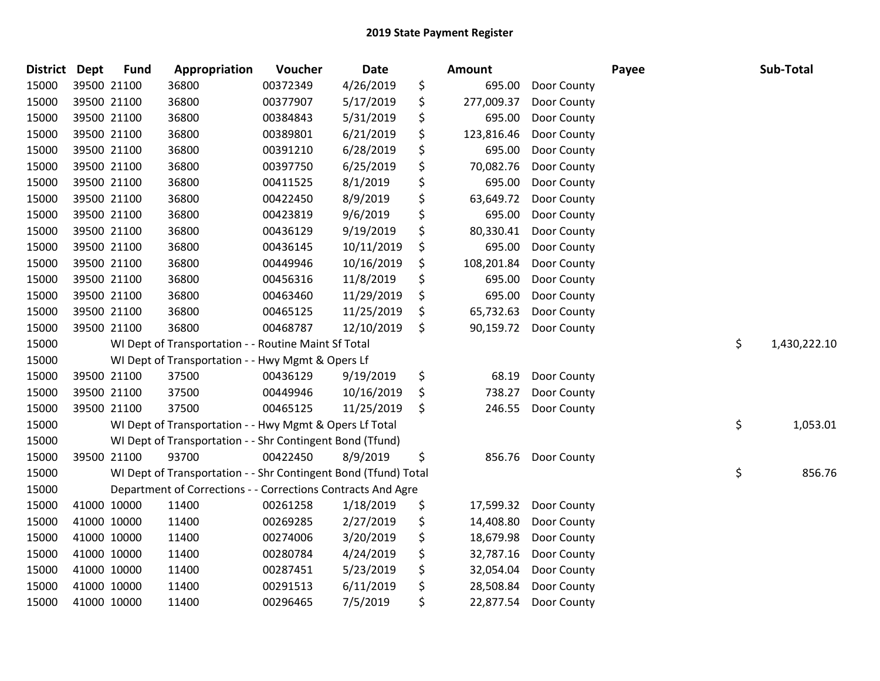| District Dept |             | <b>Fund</b> | Appropriation                                                   | Voucher  | Date       | <b>Amount</b>    |             | Payee | Sub-Total          |
|---------------|-------------|-------------|-----------------------------------------------------------------|----------|------------|------------------|-------------|-------|--------------------|
| 15000         |             | 39500 21100 | 36800                                                           | 00372349 | 4/26/2019  | \$<br>695.00     | Door County |       |                    |
| 15000         | 39500 21100 |             | 36800                                                           | 00377907 | 5/17/2019  | \$<br>277,009.37 | Door County |       |                    |
| 15000         | 39500 21100 |             | 36800                                                           | 00384843 | 5/31/2019  | \$<br>695.00     | Door County |       |                    |
| 15000         |             | 39500 21100 | 36800                                                           | 00389801 | 6/21/2019  | \$<br>123,816.46 | Door County |       |                    |
| 15000         |             | 39500 21100 | 36800                                                           | 00391210 | 6/28/2019  | \$<br>695.00     | Door County |       |                    |
| 15000         |             | 39500 21100 | 36800                                                           | 00397750 | 6/25/2019  | \$<br>70,082.76  | Door County |       |                    |
| 15000         | 39500 21100 |             | 36800                                                           | 00411525 | 8/1/2019   | \$<br>695.00     | Door County |       |                    |
| 15000         | 39500 21100 |             | 36800                                                           | 00422450 | 8/9/2019   | \$<br>63,649.72  | Door County |       |                    |
| 15000         | 39500 21100 |             | 36800                                                           | 00423819 | 9/6/2019   | \$<br>695.00     | Door County |       |                    |
| 15000         |             | 39500 21100 | 36800                                                           | 00436129 | 9/19/2019  | \$<br>80,330.41  | Door County |       |                    |
| 15000         |             | 39500 21100 | 36800                                                           | 00436145 | 10/11/2019 | \$<br>695.00     | Door County |       |                    |
| 15000         |             | 39500 21100 | 36800                                                           | 00449946 | 10/16/2019 | \$<br>108,201.84 | Door County |       |                    |
| 15000         | 39500 21100 |             | 36800                                                           | 00456316 | 11/8/2019  | \$<br>695.00     | Door County |       |                    |
| 15000         |             | 39500 21100 | 36800                                                           | 00463460 | 11/29/2019 | \$<br>695.00     | Door County |       |                    |
| 15000         |             | 39500 21100 | 36800                                                           | 00465125 | 11/25/2019 | \$<br>65,732.63  | Door County |       |                    |
| 15000         |             | 39500 21100 | 36800                                                           | 00468787 | 12/10/2019 | \$<br>90,159.72  | Door County |       |                    |
| 15000         |             |             | WI Dept of Transportation - - Routine Maint Sf Total            |          |            |                  |             |       | \$<br>1,430,222.10 |
| 15000         |             |             | WI Dept of Transportation - - Hwy Mgmt & Opers Lf               |          |            |                  |             |       |                    |
| 15000         |             | 39500 21100 | 37500                                                           | 00436129 | 9/19/2019  | \$<br>68.19      | Door County |       |                    |
| 15000         |             | 39500 21100 | 37500                                                           | 00449946 | 10/16/2019 | \$<br>738.27     | Door County |       |                    |
| 15000         |             | 39500 21100 | 37500                                                           | 00465125 | 11/25/2019 | \$<br>246.55     | Door County |       |                    |
| 15000         |             |             | WI Dept of Transportation - - Hwy Mgmt & Opers Lf Total         |          |            |                  |             |       | \$<br>1,053.01     |
| 15000         |             |             | WI Dept of Transportation - - Shr Contingent Bond (Tfund)       |          |            |                  |             |       |                    |
| 15000         |             | 39500 21100 | 93700                                                           | 00422450 | 8/9/2019   | \$<br>856.76     | Door County |       |                    |
| 15000         |             |             | WI Dept of Transportation - - Shr Contingent Bond (Tfund) Total |          |            |                  |             |       | \$<br>856.76       |
| 15000         |             |             | Department of Corrections - - Corrections Contracts And Agre    |          |            |                  |             |       |                    |
| 15000         | 41000 10000 |             | 11400                                                           | 00261258 | 1/18/2019  | \$<br>17,599.32  | Door County |       |                    |
| 15000         | 41000 10000 |             | 11400                                                           | 00269285 | 2/27/2019  | \$<br>14,408.80  | Door County |       |                    |
| 15000         | 41000 10000 |             | 11400                                                           | 00274006 | 3/20/2019  | \$<br>18,679.98  | Door County |       |                    |
| 15000         | 41000 10000 |             | 11400                                                           | 00280784 | 4/24/2019  | \$<br>32,787.16  | Door County |       |                    |
| 15000         | 41000 10000 |             | 11400                                                           | 00287451 | 5/23/2019  | \$<br>32,054.04  | Door County |       |                    |
| 15000         |             | 41000 10000 | 11400                                                           | 00291513 | 6/11/2019  | \$<br>28,508.84  | Door County |       |                    |
| 15000         | 41000 10000 |             | 11400                                                           | 00296465 | 7/5/2019   | \$<br>22,877.54  | Door County |       |                    |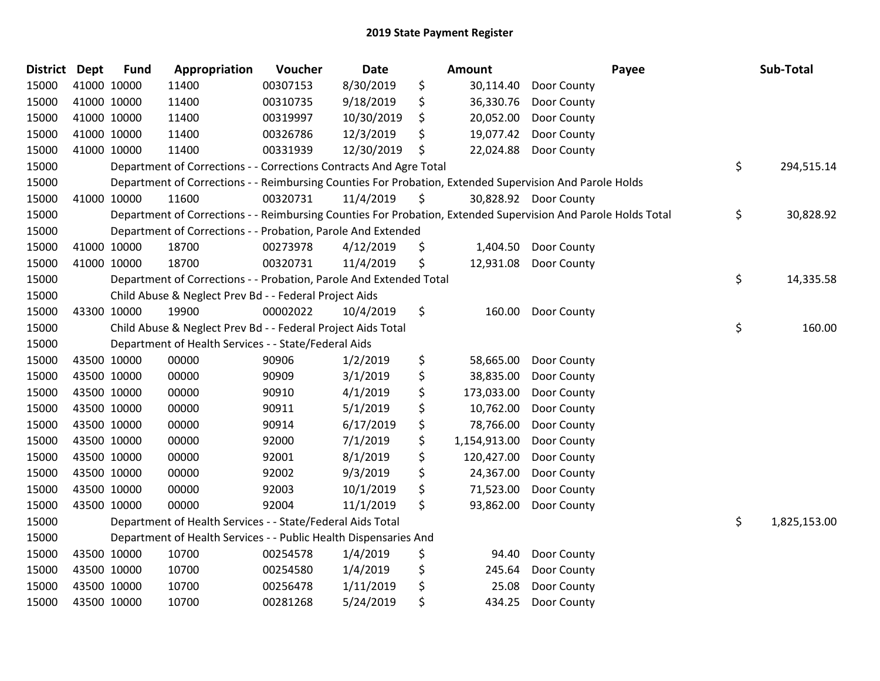| <b>District</b> | <b>Dept</b> | <b>Fund</b> | Appropriation                                                      | Voucher  | Date       | Amount             | Payee                                                                                                         | Sub-Total          |
|-----------------|-------------|-------------|--------------------------------------------------------------------|----------|------------|--------------------|---------------------------------------------------------------------------------------------------------------|--------------------|
| 15000           | 41000 10000 |             | 11400                                                              | 00307153 | 8/30/2019  | \$<br>30,114.40    | Door County                                                                                                   |                    |
| 15000           |             | 41000 10000 | 11400                                                              | 00310735 | 9/18/2019  | \$<br>36,330.76    | Door County                                                                                                   |                    |
| 15000           | 41000 10000 |             | 11400                                                              | 00319997 | 10/30/2019 | \$<br>20,052.00    | Door County                                                                                                   |                    |
| 15000           | 41000 10000 |             | 11400                                                              | 00326786 | 12/3/2019  | \$<br>19,077.42    | Door County                                                                                                   |                    |
| 15000           | 41000 10000 |             | 11400                                                              | 00331939 | 12/30/2019 | \$<br>22,024.88    | Door County                                                                                                   |                    |
| 15000           |             |             | Department of Corrections - - Corrections Contracts And Agre Total |          |            |                    |                                                                                                               | \$<br>294,515.14   |
| 15000           |             |             |                                                                    |          |            |                    | Department of Corrections - - Reimbursing Counties For Probation, Extended Supervision And Parole Holds       |                    |
| 15000           |             | 41000 10000 | 11600                                                              | 00320731 | 11/4/2019  | \$                 | 30,828.92 Door County                                                                                         |                    |
| 15000           |             |             |                                                                    |          |            |                    | Department of Corrections - - Reimbursing Counties For Probation, Extended Supervision And Parole Holds Total | \$<br>30,828.92    |
| 15000           |             |             | Department of Corrections - - Probation, Parole And Extended       |          |            |                    |                                                                                                               |                    |
| 15000           |             | 41000 10000 | 18700                                                              | 00273978 | 4/12/2019  | \$<br>1,404.50     | Door County                                                                                                   |                    |
| 15000           |             | 41000 10000 | 18700                                                              | 00320731 | 11/4/2019  | \$<br>12,931.08    | Door County                                                                                                   |                    |
| 15000           |             |             | Department of Corrections - - Probation, Parole And Extended Total |          |            |                    |                                                                                                               | \$<br>14,335.58    |
| 15000           |             |             | Child Abuse & Neglect Prev Bd - - Federal Project Aids             |          |            |                    |                                                                                                               |                    |
| 15000           |             | 43300 10000 | 19900                                                              | 00002022 | 10/4/2019  | \$<br>160.00       | Door County                                                                                                   |                    |
| 15000           |             |             | Child Abuse & Neglect Prev Bd - - Federal Project Aids Total       |          |            |                    |                                                                                                               | \$<br>160.00       |
| 15000           |             |             | Department of Health Services - - State/Federal Aids               |          |            |                    |                                                                                                               |                    |
| 15000           |             | 43500 10000 | 00000                                                              | 90906    | 1/2/2019   | \$<br>58,665.00    | Door County                                                                                                   |                    |
| 15000           | 43500 10000 |             | 00000                                                              | 90909    | 3/1/2019   | \$<br>38,835.00    | Door County                                                                                                   |                    |
| 15000           |             | 43500 10000 | 00000                                                              | 90910    | 4/1/2019   | \$<br>173,033.00   | Door County                                                                                                   |                    |
| 15000           | 43500 10000 |             | 00000                                                              | 90911    | 5/1/2019   | \$<br>10,762.00    | Door County                                                                                                   |                    |
| 15000           | 43500 10000 |             | 00000                                                              | 90914    | 6/17/2019  | \$<br>78,766.00    | Door County                                                                                                   |                    |
| 15000           |             | 43500 10000 | 00000                                                              | 92000    | 7/1/2019   | \$<br>1,154,913.00 | Door County                                                                                                   |                    |
| 15000           | 43500 10000 |             | 00000                                                              | 92001    | 8/1/2019   | \$<br>120,427.00   | Door County                                                                                                   |                    |
| 15000           | 43500 10000 |             | 00000                                                              | 92002    | 9/3/2019   | \$<br>24,367.00    | Door County                                                                                                   |                    |
| 15000           | 43500 10000 |             | 00000                                                              | 92003    | 10/1/2019  | \$<br>71,523.00    | Door County                                                                                                   |                    |
| 15000           | 43500 10000 |             | 00000                                                              | 92004    | 11/1/2019  | \$<br>93,862.00    | Door County                                                                                                   |                    |
| 15000           |             |             | Department of Health Services - - State/Federal Aids Total         |          |            |                    |                                                                                                               | \$<br>1,825,153.00 |
| 15000           |             |             | Department of Health Services - - Public Health Dispensaries And   |          |            |                    |                                                                                                               |                    |
| 15000           | 43500 10000 |             | 10700                                                              | 00254578 | 1/4/2019   | \$<br>94.40        | Door County                                                                                                   |                    |
| 15000           |             | 43500 10000 | 10700                                                              | 00254580 | 1/4/2019   | \$<br>245.64       | Door County                                                                                                   |                    |
| 15000           | 43500 10000 |             | 10700                                                              | 00256478 | 1/11/2019  | \$<br>25.08        | Door County                                                                                                   |                    |
| 15000           |             | 43500 10000 | 10700                                                              | 00281268 | 5/24/2019  | \$<br>434.25       | Door County                                                                                                   |                    |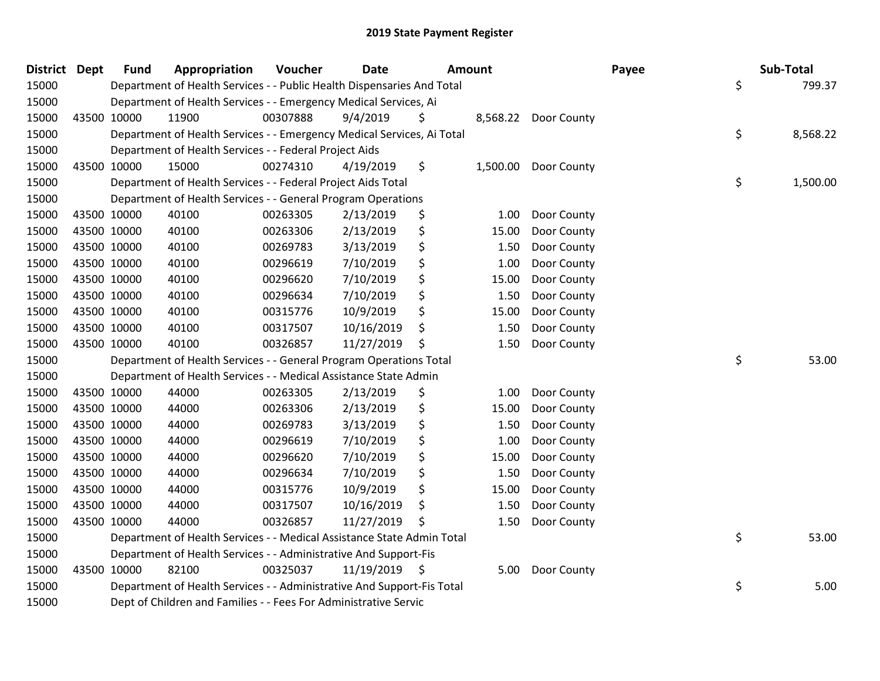| <b>District Dept</b> |             | <b>Fund</b> | Appropriation                                                          | Voucher  | <b>Date</b>   | Amount |          |                      | Payee | Sub-Total |          |
|----------------------|-------------|-------------|------------------------------------------------------------------------|----------|---------------|--------|----------|----------------------|-------|-----------|----------|
| 15000                |             |             | Department of Health Services - - Public Health Dispensaries And Total |          |               |        |          |                      | \$    |           | 799.37   |
| 15000                |             |             | Department of Health Services - - Emergency Medical Services, Ai       |          |               |        |          |                      |       |           |          |
| 15000                | 43500 10000 |             | 11900                                                                  | 00307888 | 9/4/2019      | Ş.     |          | 8,568.22 Door County |       |           |          |
| 15000                |             |             | Department of Health Services - - Emergency Medical Services, Ai Total |          |               |        |          |                      | \$    |           | 8,568.22 |
| 15000                |             |             | Department of Health Services - - Federal Project Aids                 |          |               |        |          |                      |       |           |          |
| 15000                | 43500 10000 |             | 15000                                                                  | 00274310 | 4/19/2019     | \$     | 1,500.00 | Door County          |       |           |          |
| 15000                |             |             | Department of Health Services - - Federal Project Aids Total           |          |               |        |          |                      | \$    |           | 1,500.00 |
| 15000                |             |             | Department of Health Services - - General Program Operations           |          |               |        |          |                      |       |           |          |
| 15000                | 43500 10000 |             | 40100                                                                  | 00263305 | 2/13/2019     | \$     | 1.00     | Door County          |       |           |          |
| 15000                | 43500 10000 |             | 40100                                                                  | 00263306 | 2/13/2019     | \$     | 15.00    | Door County          |       |           |          |
| 15000                | 43500 10000 |             | 40100                                                                  | 00269783 | 3/13/2019     | \$     | 1.50     | Door County          |       |           |          |
| 15000                | 43500 10000 |             | 40100                                                                  | 00296619 | 7/10/2019     | \$     | 1.00     | Door County          |       |           |          |
| 15000                | 43500 10000 |             | 40100                                                                  | 00296620 | 7/10/2019     | \$     | 15.00    | Door County          |       |           |          |
| 15000                | 43500 10000 |             | 40100                                                                  | 00296634 | 7/10/2019     | \$     | 1.50     | Door County          |       |           |          |
| 15000                | 43500 10000 |             | 40100                                                                  | 00315776 | 10/9/2019     | \$     | 15.00    | Door County          |       |           |          |
| 15000                | 43500 10000 |             | 40100                                                                  | 00317507 | 10/16/2019    | \$     | 1.50     | Door County          |       |           |          |
| 15000                | 43500 10000 |             | 40100                                                                  | 00326857 | 11/27/2019    | \$     | 1.50     | Door County          |       |           |          |
| 15000                |             |             | Department of Health Services - - General Program Operations Total     |          |               |        |          |                      | \$    |           | 53.00    |
| 15000                |             |             | Department of Health Services - - Medical Assistance State Admin       |          |               |        |          |                      |       |           |          |
| 15000                | 43500 10000 |             | 44000                                                                  | 00263305 | 2/13/2019     | \$     | 1.00     | Door County          |       |           |          |
| 15000                | 43500 10000 |             | 44000                                                                  | 00263306 | 2/13/2019     | \$     | 15.00    | Door County          |       |           |          |
| 15000                | 43500 10000 |             | 44000                                                                  | 00269783 | 3/13/2019     | \$     | 1.50     | Door County          |       |           |          |
| 15000                | 43500 10000 |             | 44000                                                                  | 00296619 | 7/10/2019     | \$     | 1.00     | Door County          |       |           |          |
| 15000                | 43500 10000 |             | 44000                                                                  | 00296620 | 7/10/2019     | \$     | 15.00    | Door County          |       |           |          |
| 15000                | 43500 10000 |             | 44000                                                                  | 00296634 | 7/10/2019     | \$     | 1.50     | Door County          |       |           |          |
| 15000                | 43500 10000 |             | 44000                                                                  | 00315776 | 10/9/2019     | \$     | 15.00    | Door County          |       |           |          |
| 15000                | 43500 10000 |             | 44000                                                                  | 00317507 | 10/16/2019    | \$     | 1.50     | Door County          |       |           |          |
| 15000                | 43500 10000 |             | 44000                                                                  | 00326857 | 11/27/2019    | \$     | 1.50     | Door County          |       |           |          |
| 15000                |             |             | Department of Health Services - - Medical Assistance State Admin Total |          |               |        |          |                      | \$    |           | 53.00    |
| 15000                |             |             | Department of Health Services - - Administrative And Support-Fis       |          |               |        |          |                      |       |           |          |
| 15000                | 43500 10000 |             | 82100                                                                  | 00325037 | 11/19/2019 \$ |        | 5.00     | Door County          |       |           |          |
| 15000                |             |             | Department of Health Services - - Administrative And Support-Fis Total |          |               |        |          |                      | \$    |           | 5.00     |
| 15000                |             |             | Dept of Children and Families - - Fees For Administrative Servic       |          |               |        |          |                      |       |           |          |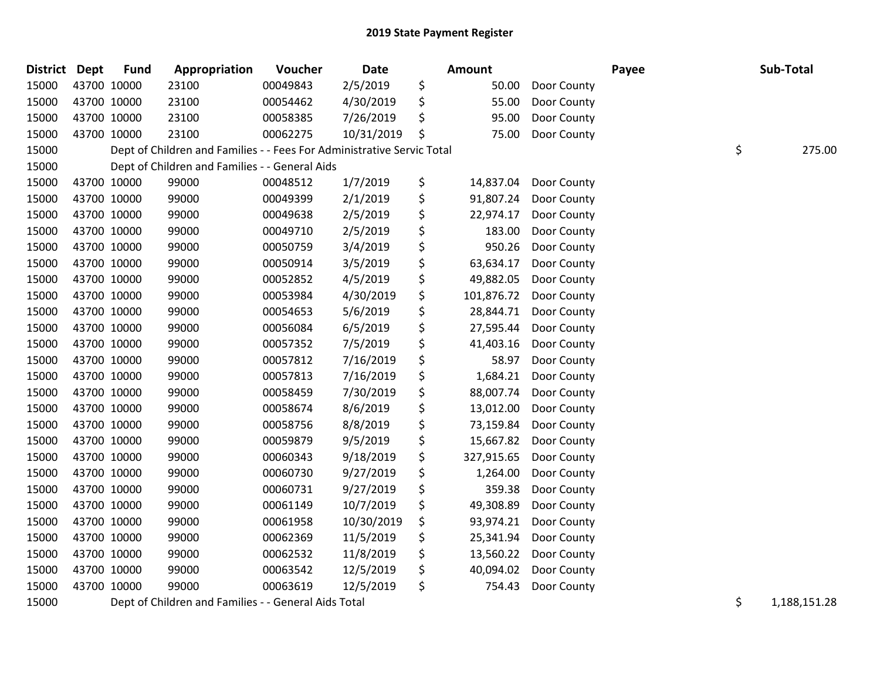| District Dept |             | <b>Fund</b> | Appropriation                                                          | Voucher  | <b>Date</b> | <b>Amount</b> |            | Payee       |  | Sub-Total    |  |
|---------------|-------------|-------------|------------------------------------------------------------------------|----------|-------------|---------------|------------|-------------|--|--------------|--|
| 15000         | 43700 10000 |             | 23100                                                                  | 00049843 | 2/5/2019    | \$            | 50.00      | Door County |  |              |  |
| 15000         | 43700 10000 |             | 23100                                                                  | 00054462 | 4/30/2019   | \$            | 55.00      | Door County |  |              |  |
| 15000         | 43700 10000 |             | 23100                                                                  | 00058385 | 7/26/2019   | \$            | 95.00      | Door County |  |              |  |
| 15000         | 43700 10000 |             | 23100                                                                  | 00062275 | 10/31/2019  | \$            | 75.00      | Door County |  |              |  |
| 15000         |             |             | Dept of Children and Families - - Fees For Administrative Servic Total |          |             |               |            |             |  | \$<br>275.00 |  |
| 15000         |             |             | Dept of Children and Families - - General Aids                         |          |             |               |            |             |  |              |  |
| 15000         | 43700 10000 |             | 99000                                                                  | 00048512 | 1/7/2019    | \$            | 14,837.04  | Door County |  |              |  |
| 15000         | 43700 10000 |             | 99000                                                                  | 00049399 | 2/1/2019    | \$            | 91,807.24  | Door County |  |              |  |
| 15000         | 43700 10000 |             | 99000                                                                  | 00049638 | 2/5/2019    | \$            | 22,974.17  | Door County |  |              |  |
| 15000         | 43700 10000 |             | 99000                                                                  | 00049710 | 2/5/2019    | \$            | 183.00     | Door County |  |              |  |
| 15000         | 43700 10000 |             | 99000                                                                  | 00050759 | 3/4/2019    | \$            | 950.26     | Door County |  |              |  |
| 15000         | 43700 10000 |             | 99000                                                                  | 00050914 | 3/5/2019    | \$            | 63,634.17  | Door County |  |              |  |
| 15000         | 43700 10000 |             | 99000                                                                  | 00052852 | 4/5/2019    | \$            | 49,882.05  | Door County |  |              |  |
| 15000         | 43700 10000 |             | 99000                                                                  | 00053984 | 4/30/2019   | \$            | 101,876.72 | Door County |  |              |  |
| 15000         | 43700 10000 |             | 99000                                                                  | 00054653 | 5/6/2019    | \$            | 28,844.71  | Door County |  |              |  |
| 15000         | 43700 10000 |             | 99000                                                                  | 00056084 | 6/5/2019    | \$            | 27,595.44  | Door County |  |              |  |
| 15000         | 43700 10000 |             | 99000                                                                  | 00057352 | 7/5/2019    | \$            | 41,403.16  | Door County |  |              |  |
| 15000         | 43700 10000 |             | 99000                                                                  | 00057812 | 7/16/2019   | \$            | 58.97      | Door County |  |              |  |
| 15000         | 43700 10000 |             | 99000                                                                  | 00057813 | 7/16/2019   | \$            | 1,684.21   | Door County |  |              |  |
| 15000         | 43700 10000 |             | 99000                                                                  | 00058459 | 7/30/2019   | \$            | 88,007.74  | Door County |  |              |  |
| 15000         | 43700 10000 |             | 99000                                                                  | 00058674 | 8/6/2019    | \$            | 13,012.00  | Door County |  |              |  |
| 15000         | 43700 10000 |             | 99000                                                                  | 00058756 | 8/8/2019    | \$            | 73,159.84  | Door County |  |              |  |
| 15000         | 43700 10000 |             | 99000                                                                  | 00059879 | 9/5/2019    | \$            | 15,667.82  | Door County |  |              |  |
| 15000         | 43700 10000 |             | 99000                                                                  | 00060343 | 9/18/2019   | \$            | 327,915.65 | Door County |  |              |  |
| 15000         | 43700 10000 |             | 99000                                                                  | 00060730 | 9/27/2019   | \$            | 1,264.00   | Door County |  |              |  |
| 15000         | 43700 10000 |             | 99000                                                                  | 00060731 | 9/27/2019   | \$            | 359.38     | Door County |  |              |  |
| 15000         | 43700 10000 |             | 99000                                                                  | 00061149 | 10/7/2019   | \$            | 49,308.89  | Door County |  |              |  |
| 15000         | 43700 10000 |             | 99000                                                                  | 00061958 | 10/30/2019  | \$            | 93,974.21  | Door County |  |              |  |
| 15000         | 43700 10000 |             | 99000                                                                  | 00062369 | 11/5/2019   | \$            | 25,341.94  | Door County |  |              |  |
| 15000         | 43700 10000 |             | 99000                                                                  | 00062532 | 11/8/2019   | \$            | 13,560.22  | Door County |  |              |  |
| 15000         | 43700 10000 |             | 99000                                                                  | 00063542 | 12/5/2019   | \$            | 40,094.02  | Door County |  |              |  |
| 15000         | 43700 10000 |             | 99000                                                                  | 00063619 | 12/5/2019   | \$            | 754.43     | Door County |  |              |  |
|               |             |             |                                                                        |          |             |               |            |             |  |              |  |

15000 Dept of Children and Families - - General Aids Total **15000** S 1,188,151.28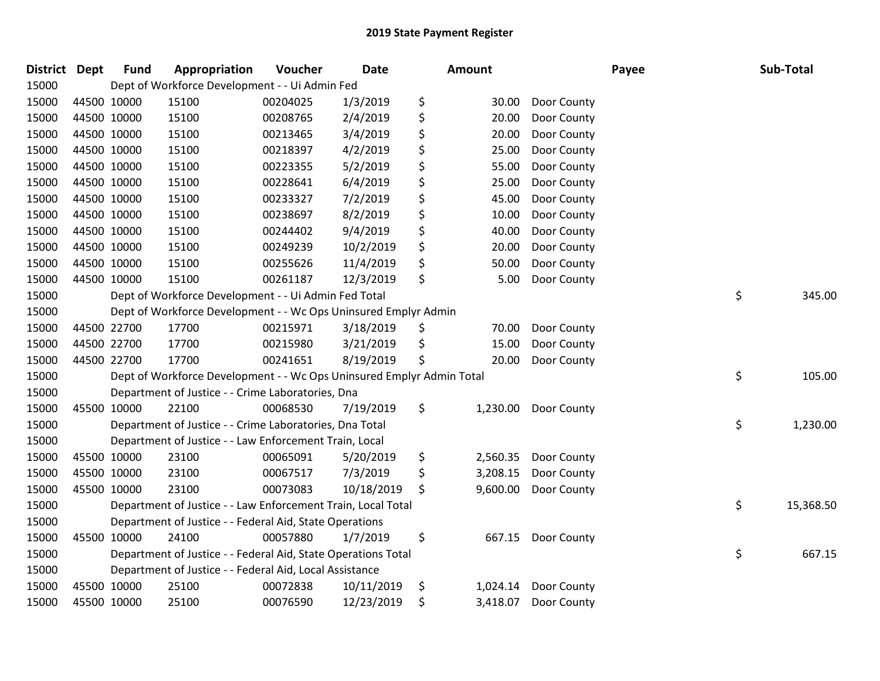| District Dept |             | <b>Fund</b> | Appropriation                                                         | Voucher  | <b>Date</b> | Amount |          |             | Payee | Sub-Total       |
|---------------|-------------|-------------|-----------------------------------------------------------------------|----------|-------------|--------|----------|-------------|-------|-----------------|
| 15000         |             |             | Dept of Workforce Development - - Ui Admin Fed                        |          |             |        |          |             |       |                 |
| 15000         | 44500 10000 |             | 15100                                                                 | 00204025 | 1/3/2019    | \$     | 30.00    | Door County |       |                 |
| 15000         | 44500 10000 |             | 15100                                                                 | 00208765 | 2/4/2019    | \$     | 20.00    | Door County |       |                 |
| 15000         | 44500 10000 |             | 15100                                                                 | 00213465 | 3/4/2019    | \$     | 20.00    | Door County |       |                 |
| 15000         | 44500 10000 |             | 15100                                                                 | 00218397 | 4/2/2019    | \$     | 25.00    | Door County |       |                 |
| 15000         | 44500 10000 |             | 15100                                                                 | 00223355 | 5/2/2019    | \$     | 55.00    | Door County |       |                 |
| 15000         | 44500 10000 |             | 15100                                                                 | 00228641 | 6/4/2019    | \$     | 25.00    | Door County |       |                 |
| 15000         | 44500 10000 |             | 15100                                                                 | 00233327 | 7/2/2019    | \$     | 45.00    | Door County |       |                 |
| 15000         | 44500 10000 |             | 15100                                                                 | 00238697 | 8/2/2019    | \$     | 10.00    | Door County |       |                 |
| 15000         | 44500 10000 |             | 15100                                                                 | 00244402 | 9/4/2019    | \$     | 40.00    | Door County |       |                 |
| 15000         | 44500 10000 |             | 15100                                                                 | 00249239 | 10/2/2019   | \$     | 20.00    | Door County |       |                 |
| 15000         | 44500 10000 |             | 15100                                                                 | 00255626 | 11/4/2019   | \$     | 50.00    | Door County |       |                 |
| 15000         | 44500 10000 |             | 15100                                                                 | 00261187 | 12/3/2019   | \$     | 5.00     | Door County |       |                 |
| 15000         |             |             | Dept of Workforce Development - - Ui Admin Fed Total                  |          |             |        |          |             |       | \$<br>345.00    |
| 15000         |             |             | Dept of Workforce Development - - Wc Ops Uninsured Emplyr Admin       |          |             |        |          |             |       |                 |
| 15000         |             | 44500 22700 | 17700                                                                 | 00215971 | 3/18/2019   | \$     | 70.00    | Door County |       |                 |
| 15000         | 44500 22700 |             | 17700                                                                 | 00215980 | 3/21/2019   | \$     | 15.00    | Door County |       |                 |
| 15000         | 44500 22700 |             | 17700                                                                 | 00241651 | 8/19/2019   | \$     | 20.00    | Door County |       |                 |
| 15000         |             |             | Dept of Workforce Development - - Wc Ops Uninsured Emplyr Admin Total |          |             |        |          |             |       | \$<br>105.00    |
| 15000         |             |             | Department of Justice - - Crime Laboratories, Dna                     |          |             |        |          |             |       |                 |
| 15000         | 45500 10000 |             | 22100                                                                 | 00068530 | 7/19/2019   | \$     | 1,230.00 | Door County |       |                 |
| 15000         |             |             | Department of Justice - - Crime Laboratories, Dna Total               |          |             |        |          |             |       | \$<br>1,230.00  |
| 15000         |             |             | Department of Justice - - Law Enforcement Train, Local                |          |             |        |          |             |       |                 |
| 15000         | 45500 10000 |             | 23100                                                                 | 00065091 | 5/20/2019   | \$     | 2,560.35 | Door County |       |                 |
| 15000         | 45500 10000 |             | 23100                                                                 | 00067517 | 7/3/2019    | \$     | 3,208.15 | Door County |       |                 |
| 15000         | 45500 10000 |             | 23100                                                                 | 00073083 | 10/18/2019  | \$     | 9,600.00 | Door County |       |                 |
| 15000         |             |             | Department of Justice - - Law Enforcement Train, Local Total          |          |             |        |          |             |       | \$<br>15,368.50 |
| 15000         |             |             | Department of Justice - - Federal Aid, State Operations               |          |             |        |          |             |       |                 |
| 15000         | 45500 10000 |             | 24100                                                                 | 00057880 | 1/7/2019    | \$     | 667.15   | Door County |       |                 |
| 15000         |             |             | Department of Justice - - Federal Aid, State Operations Total         |          |             |        |          |             |       | \$<br>667.15    |
| 15000         |             |             | Department of Justice - - Federal Aid, Local Assistance               |          |             |        |          |             |       |                 |
| 15000         | 45500 10000 |             | 25100                                                                 | 00072838 | 10/11/2019  | \$     | 1,024.14 | Door County |       |                 |
| 15000         | 45500 10000 |             | 25100                                                                 | 00076590 | 12/23/2019  | \$     | 3,418.07 | Door County |       |                 |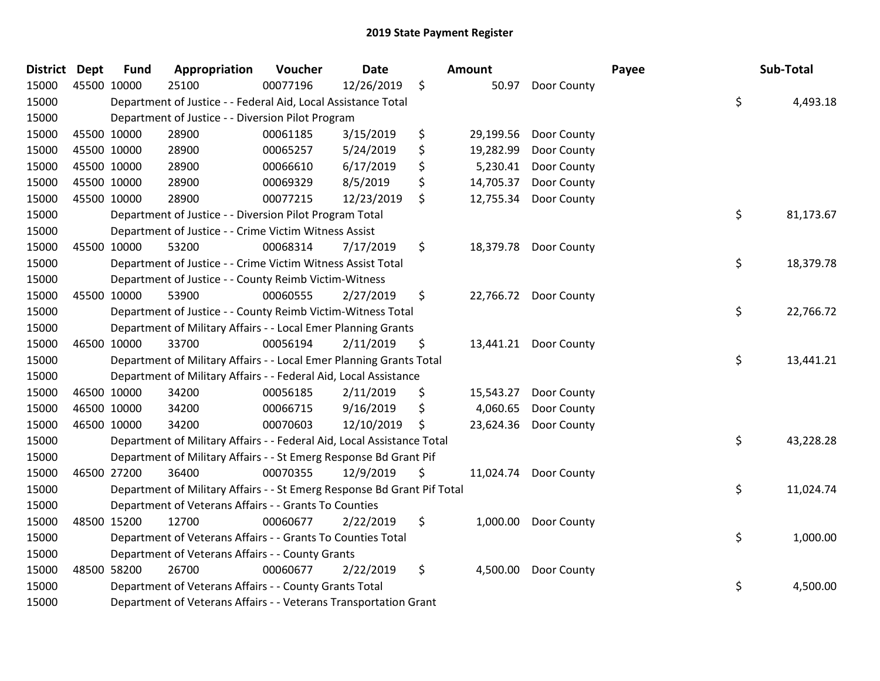| <b>Fund</b>          | Appropriation                                                                                                                                                                                                                 | Voucher  | <b>Date</b> |                                                                                                                                                                                                                                                                                                                                                                                                                                                                                                                                                                                                      |                                                                                                                                                                                                                                                                                                                                                                                                                                                                                            |                                                                                   | Payee                                                                            | Sub-Total       |
|----------------------|-------------------------------------------------------------------------------------------------------------------------------------------------------------------------------------------------------------------------------|----------|-------------|------------------------------------------------------------------------------------------------------------------------------------------------------------------------------------------------------------------------------------------------------------------------------------------------------------------------------------------------------------------------------------------------------------------------------------------------------------------------------------------------------------------------------------------------------------------------------------------------------|--------------------------------------------------------------------------------------------------------------------------------------------------------------------------------------------------------------------------------------------------------------------------------------------------------------------------------------------------------------------------------------------------------------------------------------------------------------------------------------------|-----------------------------------------------------------------------------------|----------------------------------------------------------------------------------|-----------------|
|                      | 25100                                                                                                                                                                                                                         | 00077196 | 12/26/2019  | $\zeta$                                                                                                                                                                                                                                                                                                                                                                                                                                                                                                                                                                                              |                                                                                                                                                                                                                                                                                                                                                                                                                                                                                            | Door County                                                                       |                                                                                  |                 |
|                      |                                                                                                                                                                                                                               |          |             |                                                                                                                                                                                                                                                                                                                                                                                                                                                                                                                                                                                                      |                                                                                                                                                                                                                                                                                                                                                                                                                                                                                            |                                                                                   |                                                                                  | \$<br>4,493.18  |
|                      |                                                                                                                                                                                                                               |          |             |                                                                                                                                                                                                                                                                                                                                                                                                                                                                                                                                                                                                      |                                                                                                                                                                                                                                                                                                                                                                                                                                                                                            |                                                                                   |                                                                                  |                 |
|                      | 28900                                                                                                                                                                                                                         | 00061185 | 3/15/2019   | \$                                                                                                                                                                                                                                                                                                                                                                                                                                                                                                                                                                                                   | 29,199.56                                                                                                                                                                                                                                                                                                                                                                                                                                                                                  | Door County                                                                       |                                                                                  |                 |
|                      | 28900                                                                                                                                                                                                                         | 00065257 | 5/24/2019   | \$                                                                                                                                                                                                                                                                                                                                                                                                                                                                                                                                                                                                   | 19,282.99                                                                                                                                                                                                                                                                                                                                                                                                                                                                                  | Door County                                                                       |                                                                                  |                 |
|                      | 28900                                                                                                                                                                                                                         | 00066610 | 6/17/2019   | \$                                                                                                                                                                                                                                                                                                                                                                                                                                                                                                                                                                                                   | 5,230.41                                                                                                                                                                                                                                                                                                                                                                                                                                                                                   | Door County                                                                       |                                                                                  |                 |
|                      | 28900                                                                                                                                                                                                                         | 00069329 | 8/5/2019    | \$                                                                                                                                                                                                                                                                                                                                                                                                                                                                                                                                                                                                   | 14,705.37                                                                                                                                                                                                                                                                                                                                                                                                                                                                                  | Door County                                                                       |                                                                                  |                 |
|                      | 28900                                                                                                                                                                                                                         | 00077215 | 12/23/2019  | \$                                                                                                                                                                                                                                                                                                                                                                                                                                                                                                                                                                                                   | 12,755.34                                                                                                                                                                                                                                                                                                                                                                                                                                                                                  | Door County                                                                       |                                                                                  |                 |
|                      |                                                                                                                                                                                                                               |          |             |                                                                                                                                                                                                                                                                                                                                                                                                                                                                                                                                                                                                      |                                                                                                                                                                                                                                                                                                                                                                                                                                                                                            |                                                                                   |                                                                                  | \$<br>81,173.67 |
|                      |                                                                                                                                                                                                                               |          |             |                                                                                                                                                                                                                                                                                                                                                                                                                                                                                                                                                                                                      |                                                                                                                                                                                                                                                                                                                                                                                                                                                                                            |                                                                                   |                                                                                  |                 |
|                      | 53200                                                                                                                                                                                                                         | 00068314 | 7/17/2019   | \$                                                                                                                                                                                                                                                                                                                                                                                                                                                                                                                                                                                                   |                                                                                                                                                                                                                                                                                                                                                                                                                                                                                            |                                                                                   |                                                                                  |                 |
|                      |                                                                                                                                                                                                                               |          |             |                                                                                                                                                                                                                                                                                                                                                                                                                                                                                                                                                                                                      |                                                                                                                                                                                                                                                                                                                                                                                                                                                                                            |                                                                                   |                                                                                  | \$<br>18,379.78 |
|                      |                                                                                                                                                                                                                               |          |             |                                                                                                                                                                                                                                                                                                                                                                                                                                                                                                                                                                                                      |                                                                                                                                                                                                                                                                                                                                                                                                                                                                                            |                                                                                   |                                                                                  |                 |
|                      | 53900                                                                                                                                                                                                                         | 00060555 | 2/27/2019   | \$                                                                                                                                                                                                                                                                                                                                                                                                                                                                                                                                                                                                   |                                                                                                                                                                                                                                                                                                                                                                                                                                                                                            |                                                                                   |                                                                                  |                 |
|                      |                                                                                                                                                                                                                               |          |             |                                                                                                                                                                                                                                                                                                                                                                                                                                                                                                                                                                                                      |                                                                                                                                                                                                                                                                                                                                                                                                                                                                                            |                                                                                   |                                                                                  | \$<br>22,766.72 |
|                      |                                                                                                                                                                                                                               |          |             |                                                                                                                                                                                                                                                                                                                                                                                                                                                                                                                                                                                                      |                                                                                                                                                                                                                                                                                                                                                                                                                                                                                            |                                                                                   |                                                                                  |                 |
|                      | 33700                                                                                                                                                                                                                         | 00056194 | 2/11/2019   | \$                                                                                                                                                                                                                                                                                                                                                                                                                                                                                                                                                                                                   | 13,441.21                                                                                                                                                                                                                                                                                                                                                                                                                                                                                  | Door County                                                                       |                                                                                  |                 |
|                      |                                                                                                                                                                                                                               |          |             |                                                                                                                                                                                                                                                                                                                                                                                                                                                                                                                                                                                                      |                                                                                                                                                                                                                                                                                                                                                                                                                                                                                            |                                                                                   |                                                                                  | \$<br>13,441.21 |
|                      |                                                                                                                                                                                                                               |          |             |                                                                                                                                                                                                                                                                                                                                                                                                                                                                                                                                                                                                      |                                                                                                                                                                                                                                                                                                                                                                                                                                                                                            |                                                                                   |                                                                                  |                 |
|                      | 34200                                                                                                                                                                                                                         | 00056185 | 2/11/2019   | \$                                                                                                                                                                                                                                                                                                                                                                                                                                                                                                                                                                                                   | 15,543.27                                                                                                                                                                                                                                                                                                                                                                                                                                                                                  | Door County                                                                       |                                                                                  |                 |
|                      | 34200                                                                                                                                                                                                                         | 00066715 | 9/16/2019   | \$                                                                                                                                                                                                                                                                                                                                                                                                                                                                                                                                                                                                   | 4,060.65                                                                                                                                                                                                                                                                                                                                                                                                                                                                                   | Door County                                                                       |                                                                                  |                 |
|                      | 34200                                                                                                                                                                                                                         | 00070603 | 12/10/2019  | \$                                                                                                                                                                                                                                                                                                                                                                                                                                                                                                                                                                                                   | 23,624.36                                                                                                                                                                                                                                                                                                                                                                                                                                                                                  | Door County                                                                       |                                                                                  |                 |
|                      |                                                                                                                                                                                                                               |          |             |                                                                                                                                                                                                                                                                                                                                                                                                                                                                                                                                                                                                      |                                                                                                                                                                                                                                                                                                                                                                                                                                                                                            |                                                                                   |                                                                                  | \$<br>43,228.28 |
|                      |                                                                                                                                                                                                                               |          |             |                                                                                                                                                                                                                                                                                                                                                                                                                                                                                                                                                                                                      |                                                                                                                                                                                                                                                                                                                                                                                                                                                                                            |                                                                                   |                                                                                  |                 |
|                      | 36400                                                                                                                                                                                                                         | 00070355 | 12/9/2019   | \$                                                                                                                                                                                                                                                                                                                                                                                                                                                                                                                                                                                                   |                                                                                                                                                                                                                                                                                                                                                                                                                                                                                            |                                                                                   |                                                                                  |                 |
|                      |                                                                                                                                                                                                                               |          |             |                                                                                                                                                                                                                                                                                                                                                                                                                                                                                                                                                                                                      |                                                                                                                                                                                                                                                                                                                                                                                                                                                                                            |                                                                                   |                                                                                  | \$<br>11,024.74 |
|                      |                                                                                                                                                                                                                               |          |             |                                                                                                                                                                                                                                                                                                                                                                                                                                                                                                                                                                                                      |                                                                                                                                                                                                                                                                                                                                                                                                                                                                                            |                                                                                   |                                                                                  |                 |
|                      | 12700                                                                                                                                                                                                                         | 00060677 | 2/22/2019   | \$                                                                                                                                                                                                                                                                                                                                                                                                                                                                                                                                                                                                   | 1,000.00                                                                                                                                                                                                                                                                                                                                                                                                                                                                                   | Door County                                                                       |                                                                                  |                 |
|                      |                                                                                                                                                                                                                               |          |             |                                                                                                                                                                                                                                                                                                                                                                                                                                                                                                                                                                                                      |                                                                                                                                                                                                                                                                                                                                                                                                                                                                                            |                                                                                   |                                                                                  | \$<br>1,000.00  |
|                      |                                                                                                                                                                                                                               |          |             |                                                                                                                                                                                                                                                                                                                                                                                                                                                                                                                                                                                                      |                                                                                                                                                                                                                                                                                                                                                                                                                                                                                            |                                                                                   |                                                                                  |                 |
|                      | 26700                                                                                                                                                                                                                         | 00060677 | 2/22/2019   | \$                                                                                                                                                                                                                                                                                                                                                                                                                                                                                                                                                                                                   | 4,500.00                                                                                                                                                                                                                                                                                                                                                                                                                                                                                   | Door County                                                                       |                                                                                  |                 |
|                      |                                                                                                                                                                                                                               |          |             |                                                                                                                                                                                                                                                                                                                                                                                                                                                                                                                                                                                                      |                                                                                                                                                                                                                                                                                                                                                                                                                                                                                            |                                                                                   |                                                                                  | \$<br>4,500.00  |
|                      |                                                                                                                                                                                                                               |          |             |                                                                                                                                                                                                                                                                                                                                                                                                                                                                                                                                                                                                      |                                                                                                                                                                                                                                                                                                                                                                                                                                                                                            |                                                                                   |                                                                                  |                 |
| <b>District Dept</b> | 45500 10000<br>45500 10000<br>45500 10000<br>45500 10000<br>45500 10000<br>45500 10000<br>45500 10000<br>45500 10000<br>46500 10000<br>46500 10000<br>46500 10000<br>46500 10000<br>46500 27200<br>48500 15200<br>48500 58200 |          |             | Department of Justice - - Federal Aid, Local Assistance Total<br>Department of Justice - - Diversion Pilot Program<br>Department of Justice - - Diversion Pilot Program Total<br>Department of Justice - - Crime Victim Witness Assist<br>Department of Justice - - Crime Victim Witness Assist Total<br>Department of Justice - - County Reimb Victim-Witness<br>Department of Veterans Affairs - - Grants To Counties<br>Department of Veterans Affairs - - Grants To Counties Total<br>Department of Veterans Affairs - - County Grants<br>Department of Veterans Affairs - - County Grants Total | Department of Justice - - County Reimb Victim-Witness Total<br>Department of Military Affairs - - Local Emer Planning Grants<br>Department of Military Affairs - - Local Emer Planning Grants Total<br>Department of Military Affairs - - Federal Aid, Local Assistance<br>Department of Military Affairs - - Federal Aid, Local Assistance Total<br>Department of Military Affairs - - St Emerg Response Bd Grant Pif<br>Department of Veterans Affairs - - Veterans Transportation Grant | Amount<br>Department of Military Affairs - - St Emerg Response Bd Grant Pif Total | 50.97<br>18,379.78 Door County<br>22,766.72 Door County<br>11,024.74 Door County |                 |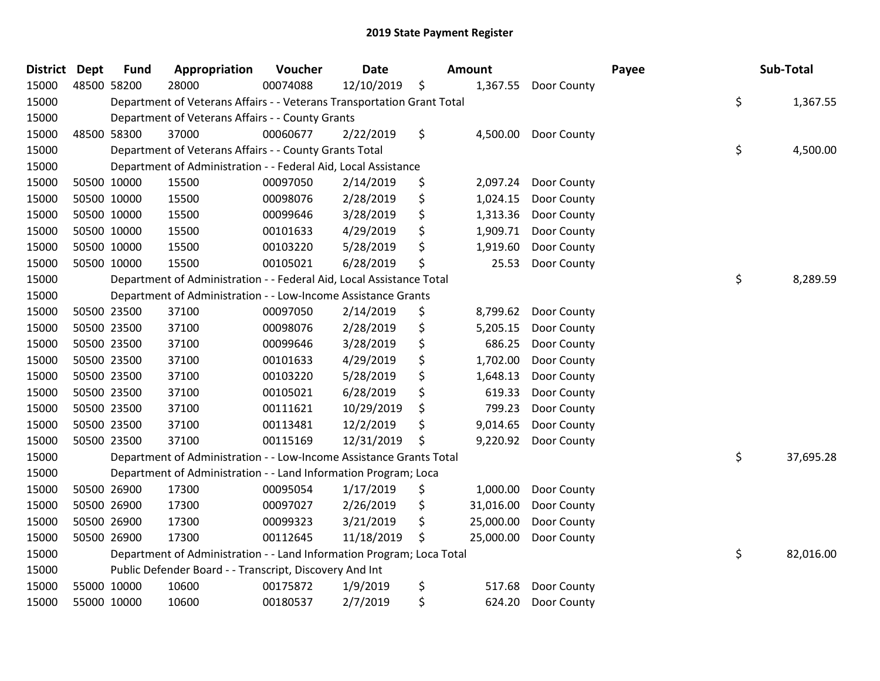| <b>District</b> | <b>Dept</b> | <b>Fund</b> | Appropriation                                                          | Voucher  | <b>Date</b> | <b>Amount</b>   |             | Payee | Sub-Total       |
|-----------------|-------------|-------------|------------------------------------------------------------------------|----------|-------------|-----------------|-------------|-------|-----------------|
| 15000           |             | 48500 58200 | 28000                                                                  | 00074088 | 12/10/2019  | \$<br>1,367.55  | Door County |       |                 |
| 15000           |             |             | Department of Veterans Affairs - - Veterans Transportation Grant Total |          |             |                 |             |       | \$<br>1,367.55  |
| 15000           |             |             | Department of Veterans Affairs - - County Grants                       |          |             |                 |             |       |                 |
| 15000           |             | 48500 58300 | 37000                                                                  | 00060677 | 2/22/2019   | \$<br>4,500.00  | Door County |       |                 |
| 15000           |             |             | Department of Veterans Affairs - - County Grants Total                 |          |             |                 |             |       | \$<br>4,500.00  |
| 15000           |             |             | Department of Administration - - Federal Aid, Local Assistance         |          |             |                 |             |       |                 |
| 15000           |             | 50500 10000 | 15500                                                                  | 00097050 | 2/14/2019   | \$<br>2,097.24  | Door County |       |                 |
| 15000           |             | 50500 10000 | 15500                                                                  | 00098076 | 2/28/2019   | \$<br>1,024.15  | Door County |       |                 |
| 15000           |             | 50500 10000 | 15500                                                                  | 00099646 | 3/28/2019   | \$<br>1,313.36  | Door County |       |                 |
| 15000           |             | 50500 10000 | 15500                                                                  | 00101633 | 4/29/2019   | \$<br>1,909.71  | Door County |       |                 |
| 15000           |             | 50500 10000 | 15500                                                                  | 00103220 | 5/28/2019   | \$<br>1,919.60  | Door County |       |                 |
| 15000           |             | 50500 10000 | 15500                                                                  | 00105021 | 6/28/2019   | \$<br>25.53     | Door County |       |                 |
| 15000           |             |             | Department of Administration - - Federal Aid, Local Assistance Total   |          |             |                 |             |       | \$<br>8,289.59  |
| 15000           |             |             | Department of Administration - - Low-Income Assistance Grants          |          |             |                 |             |       |                 |
| 15000           |             | 50500 23500 | 37100                                                                  | 00097050 | 2/14/2019   | \$<br>8,799.62  | Door County |       |                 |
| 15000           |             | 50500 23500 | 37100                                                                  | 00098076 | 2/28/2019   | \$<br>5,205.15  | Door County |       |                 |
| 15000           |             | 50500 23500 | 37100                                                                  | 00099646 | 3/28/2019   | \$<br>686.25    | Door County |       |                 |
| 15000           |             | 50500 23500 | 37100                                                                  | 00101633 | 4/29/2019   | \$<br>1,702.00  | Door County |       |                 |
| 15000           |             | 50500 23500 | 37100                                                                  | 00103220 | 5/28/2019   | \$<br>1,648.13  | Door County |       |                 |
| 15000           |             | 50500 23500 | 37100                                                                  | 00105021 | 6/28/2019   | \$<br>619.33    | Door County |       |                 |
| 15000           |             | 50500 23500 | 37100                                                                  | 00111621 | 10/29/2019  | \$<br>799.23    | Door County |       |                 |
| 15000           |             | 50500 23500 | 37100                                                                  | 00113481 | 12/2/2019   | \$<br>9,014.65  | Door County |       |                 |
| 15000           |             | 50500 23500 | 37100                                                                  | 00115169 | 12/31/2019  | \$<br>9,220.92  | Door County |       |                 |
| 15000           |             |             | Department of Administration - - Low-Income Assistance Grants Total    |          |             |                 |             |       | \$<br>37,695.28 |
| 15000           |             |             | Department of Administration - - Land Information Program; Loca        |          |             |                 |             |       |                 |
| 15000           |             | 50500 26900 | 17300                                                                  | 00095054 | 1/17/2019   | \$<br>1,000.00  | Door County |       |                 |
| 15000           |             | 50500 26900 | 17300                                                                  | 00097027 | 2/26/2019   | \$<br>31,016.00 | Door County |       |                 |
| 15000           |             | 50500 26900 | 17300                                                                  | 00099323 | 3/21/2019   | \$<br>25,000.00 | Door County |       |                 |
| 15000           |             | 50500 26900 | 17300                                                                  | 00112645 | 11/18/2019  | \$<br>25,000.00 | Door County |       |                 |
| 15000           |             |             | Department of Administration - - Land Information Program; Loca Total  |          |             |                 |             |       | \$<br>82,016.00 |
| 15000           |             |             | Public Defender Board - - Transcript, Discovery And Int                |          |             |                 |             |       |                 |
| 15000           |             | 55000 10000 | 10600                                                                  | 00175872 | 1/9/2019    | \$<br>517.68    | Door County |       |                 |
| 15000           |             | 55000 10000 | 10600                                                                  | 00180537 | 2/7/2019    | \$<br>624.20    | Door County |       |                 |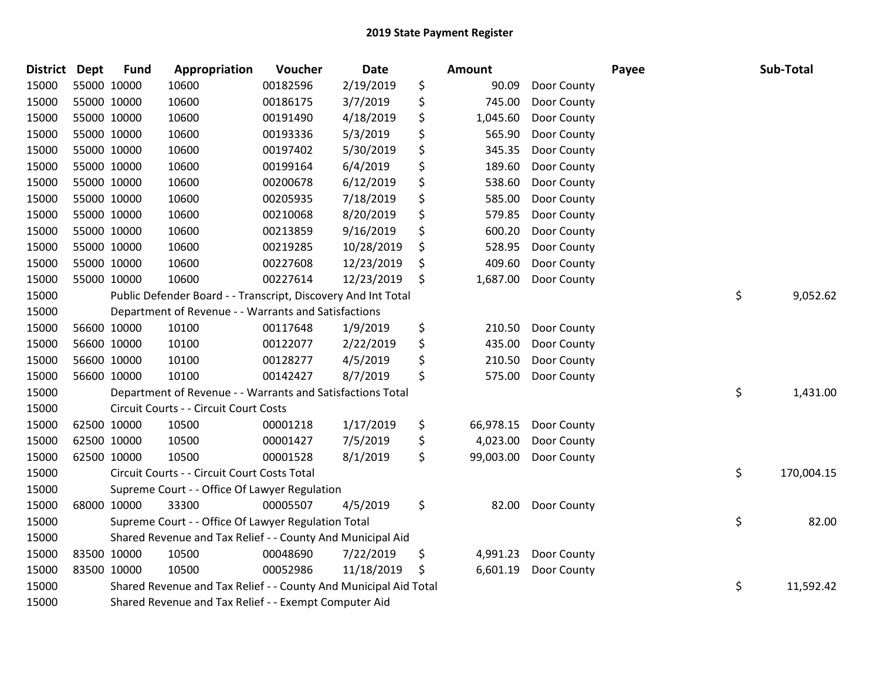| <b>District</b> | <b>Dept</b> | <b>Fund</b> | Appropriation                                                    | Voucher  | <b>Date</b> | <b>Amount</b>   |             | Payee | Sub-Total        |
|-----------------|-------------|-------------|------------------------------------------------------------------|----------|-------------|-----------------|-------------|-------|------------------|
| 15000           |             | 55000 10000 | 10600                                                            | 00182596 | 2/19/2019   | \$<br>90.09     | Door County |       |                  |
| 15000           |             | 55000 10000 | 10600                                                            | 00186175 | 3/7/2019    | \$<br>745.00    | Door County |       |                  |
| 15000           |             | 55000 10000 | 10600                                                            | 00191490 | 4/18/2019   | \$<br>1,045.60  | Door County |       |                  |
| 15000           |             | 55000 10000 | 10600                                                            | 00193336 | 5/3/2019    | \$<br>565.90    | Door County |       |                  |
| 15000           |             | 55000 10000 | 10600                                                            | 00197402 | 5/30/2019   | \$<br>345.35    | Door County |       |                  |
| 15000           |             | 55000 10000 | 10600                                                            | 00199164 | 6/4/2019    | \$<br>189.60    | Door County |       |                  |
| 15000           |             | 55000 10000 | 10600                                                            | 00200678 | 6/12/2019   | \$<br>538.60    | Door County |       |                  |
| 15000           |             | 55000 10000 | 10600                                                            | 00205935 | 7/18/2019   | \$<br>585.00    | Door County |       |                  |
| 15000           |             | 55000 10000 | 10600                                                            | 00210068 | 8/20/2019   | \$<br>579.85    | Door County |       |                  |
| 15000           |             | 55000 10000 | 10600                                                            | 00213859 | 9/16/2019   | \$<br>600.20    | Door County |       |                  |
| 15000           |             | 55000 10000 | 10600                                                            | 00219285 | 10/28/2019  | \$<br>528.95    | Door County |       |                  |
| 15000           |             | 55000 10000 | 10600                                                            | 00227608 | 12/23/2019  | \$<br>409.60    | Door County |       |                  |
| 15000           |             | 55000 10000 | 10600                                                            | 00227614 | 12/23/2019  | \$<br>1,687.00  | Door County |       |                  |
| 15000           |             |             | Public Defender Board - - Transcript, Discovery And Int Total    |          |             |                 |             |       | \$<br>9,052.62   |
| 15000           |             |             | Department of Revenue - - Warrants and Satisfactions             |          |             |                 |             |       |                  |
| 15000           |             | 56600 10000 | 10100                                                            | 00117648 | 1/9/2019    | \$<br>210.50    | Door County |       |                  |
| 15000           |             | 56600 10000 | 10100                                                            | 00122077 | 2/22/2019   | \$<br>435.00    | Door County |       |                  |
| 15000           |             | 56600 10000 | 10100                                                            | 00128277 | 4/5/2019    | \$<br>210.50    | Door County |       |                  |
| 15000           |             | 56600 10000 | 10100                                                            | 00142427 | 8/7/2019    | \$<br>575.00    | Door County |       |                  |
| 15000           |             |             | Department of Revenue - - Warrants and Satisfactions Total       |          |             |                 |             |       | \$<br>1,431.00   |
| 15000           |             |             | Circuit Courts - - Circuit Court Costs                           |          |             |                 |             |       |                  |
| 15000           |             | 62500 10000 | 10500                                                            | 00001218 | 1/17/2019   | \$<br>66,978.15 | Door County |       |                  |
| 15000           |             | 62500 10000 | 10500                                                            | 00001427 | 7/5/2019    | \$<br>4,023.00  | Door County |       |                  |
| 15000           |             | 62500 10000 | 10500                                                            | 00001528 | 8/1/2019    | \$<br>99,003.00 | Door County |       |                  |
| 15000           |             |             | Circuit Courts - - Circuit Court Costs Total                     |          |             |                 |             |       | \$<br>170,004.15 |
| 15000           |             |             | Supreme Court - - Office Of Lawyer Regulation                    |          |             |                 |             |       |                  |
| 15000           |             | 68000 10000 | 33300                                                            | 00005507 | 4/5/2019    | \$<br>82.00     | Door County |       |                  |
| 15000           |             |             | Supreme Court - - Office Of Lawyer Regulation Total              |          |             |                 |             |       | \$<br>82.00      |
| 15000           |             |             | Shared Revenue and Tax Relief - - County And Municipal Aid       |          |             |                 |             |       |                  |
| 15000           |             | 83500 10000 | 10500                                                            | 00048690 | 7/22/2019   | \$<br>4,991.23  | Door County |       |                  |
| 15000           |             | 83500 10000 | 10500                                                            | 00052986 | 11/18/2019  | \$<br>6,601.19  | Door County |       |                  |
| 15000           |             |             | Shared Revenue and Tax Relief - - County And Municipal Aid Total |          |             |                 |             |       | \$<br>11,592.42  |
| 15000           |             |             | Shared Revenue and Tax Relief - - Exempt Computer Aid            |          |             |                 |             |       |                  |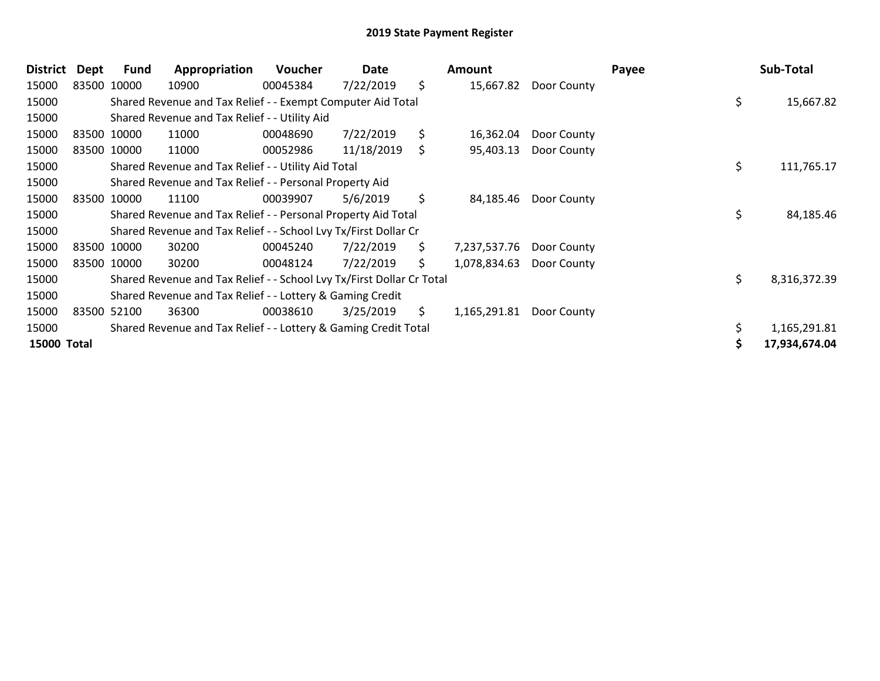| <b>District</b>    | Dept  | Fund        | Appropriation                                                         | <b>Voucher</b> | Date       |     | Amount       |             | Payee | Sub-Total     |
|--------------------|-------|-------------|-----------------------------------------------------------------------|----------------|------------|-----|--------------|-------------|-------|---------------|
| 15000              |       | 83500 10000 | 10900                                                                 | 00045384       | 7/22/2019  | \$  | 15,667.82    | Door County |       |               |
| 15000              |       |             | Shared Revenue and Tax Relief - - Exempt Computer Aid Total           |                |            |     |              |             | \$    | 15,667.82     |
| 15000              |       |             | Shared Revenue and Tax Relief - - Utility Aid                         |                |            |     |              |             |       |               |
| 15000              |       | 83500 10000 | 11000                                                                 | 00048690       | 7/22/2019  | \$. | 16,362.04    | Door County |       |               |
| 15000              |       | 83500 10000 | 11000                                                                 | 00052986       | 11/18/2019 | \$  | 95,403.13    | Door County |       |               |
| 15000              |       |             | Shared Revenue and Tax Relief - - Utility Aid Total                   |                |            |     |              |             | \$    | 111,765.17    |
| 15000              |       |             | Shared Revenue and Tax Relief - - Personal Property Aid               |                |            |     |              |             |       |               |
| 15000              |       | 83500 10000 | 11100                                                                 | 00039907       | 5/6/2019   | \$  | 84,185.46    | Door County |       |               |
| 15000              |       |             | Shared Revenue and Tax Relief - - Personal Property Aid Total         |                |            |     |              |             | \$    | 84,185.46     |
| 15000              |       |             | Shared Revenue and Tax Relief - - School Lvy Tx/First Dollar Cr       |                |            |     |              |             |       |               |
| 15000              |       | 83500 10000 | 30200                                                                 | 00045240       | 7/22/2019  | \$  | 7,237,537.76 | Door County |       |               |
| 15000              |       | 83500 10000 | 30200                                                                 | 00048124       | 7/22/2019  | \$. | 1,078,834.63 | Door County |       |               |
| 15000              |       |             | Shared Revenue and Tax Relief - - School Lvy Tx/First Dollar Cr Total |                |            |     |              |             | \$    | 8,316,372.39  |
| 15000              |       |             | Shared Revenue and Tax Relief - - Lottery & Gaming Credit             |                |            |     |              |             |       |               |
| 15000              | 83500 | 52100       | 36300                                                                 | 00038610       | 3/25/2019  | \$. | 1,165,291.81 | Door County |       |               |
| 15000              |       |             | Shared Revenue and Tax Relief - - Lottery & Gaming Credit Total       |                |            |     |              |             |       | 1,165,291.81  |
| <b>15000 Total</b> |       |             |                                                                       |                |            |     |              |             |       | 17,934,674.04 |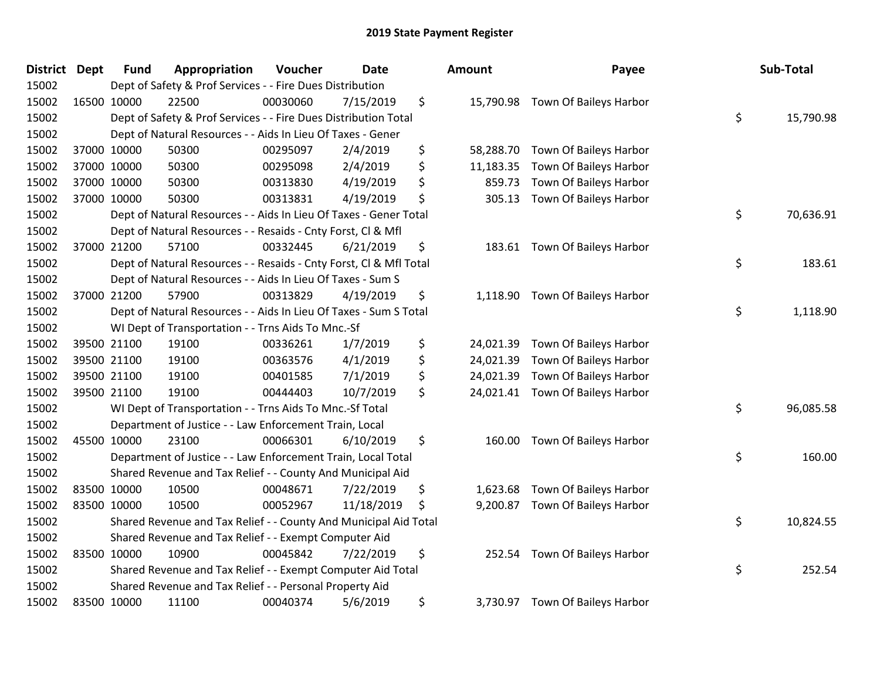| District Dept |             | <b>Fund</b> | Appropriation                                                      | Voucher  | <b>Date</b> | <b>Amount</b>   | Payee                            | Sub-Total       |
|---------------|-------------|-------------|--------------------------------------------------------------------|----------|-------------|-----------------|----------------------------------|-----------------|
| 15002         |             |             | Dept of Safety & Prof Services - - Fire Dues Distribution          |          |             |                 |                                  |                 |
| 15002         |             | 16500 10000 | 22500                                                              | 00030060 | 7/15/2019   | \$              | 15,790.98 Town Of Baileys Harbor |                 |
| 15002         |             |             | Dept of Safety & Prof Services - - Fire Dues Distribution Total    |          |             |                 |                                  | \$<br>15,790.98 |
| 15002         |             |             | Dept of Natural Resources - - Aids In Lieu Of Taxes - Gener        |          |             |                 |                                  |                 |
| 15002         |             | 37000 10000 | 50300                                                              | 00295097 | 2/4/2019    | \$<br>58,288.70 | Town Of Baileys Harbor           |                 |
| 15002         |             | 37000 10000 | 50300                                                              | 00295098 | 2/4/2019    | \$<br>11,183.35 | Town Of Baileys Harbor           |                 |
| 15002         |             | 37000 10000 | 50300                                                              | 00313830 | 4/19/2019   | \$<br>859.73    | Town Of Baileys Harbor           |                 |
| 15002         |             | 37000 10000 | 50300                                                              | 00313831 | 4/19/2019   | \$<br>305.13    | Town Of Baileys Harbor           |                 |
| 15002         |             |             | Dept of Natural Resources - - Aids In Lieu Of Taxes - Gener Total  |          |             |                 |                                  | \$<br>70,636.91 |
| 15002         |             |             | Dept of Natural Resources - - Resaids - Cnty Forst, Cl & Mfl       |          |             |                 |                                  |                 |
| 15002         |             | 37000 21200 | 57100                                                              | 00332445 | 6/21/2019   | \$              | 183.61 Town Of Baileys Harbor    |                 |
| 15002         |             |             | Dept of Natural Resources - - Resaids - Cnty Forst, Cl & Mfl Total |          |             |                 |                                  | \$<br>183.61    |
| 15002         |             |             | Dept of Natural Resources - - Aids In Lieu Of Taxes - Sum S        |          |             |                 |                                  |                 |
| 15002         |             | 37000 21200 | 57900                                                              | 00313829 | 4/19/2019   | \$<br>1,118.90  | Town Of Baileys Harbor           |                 |
| 15002         |             |             | Dept of Natural Resources - - Aids In Lieu Of Taxes - Sum S Total  |          |             |                 |                                  | \$<br>1,118.90  |
| 15002         |             |             | WI Dept of Transportation - - Trns Aids To Mnc.-Sf                 |          |             |                 |                                  |                 |
| 15002         |             | 39500 21100 | 19100                                                              | 00336261 | 1/7/2019    | \$<br>24,021.39 | Town Of Baileys Harbor           |                 |
| 15002         |             | 39500 21100 | 19100                                                              | 00363576 | 4/1/2019    | \$<br>24,021.39 | Town Of Baileys Harbor           |                 |
| 15002         |             | 39500 21100 | 19100                                                              | 00401585 | 7/1/2019    | \$<br>24,021.39 | Town Of Baileys Harbor           |                 |
| 15002         |             | 39500 21100 | 19100                                                              | 00444403 | 10/7/2019   | \$              | 24,021.41 Town Of Baileys Harbor |                 |
| 15002         |             |             | WI Dept of Transportation - - Trns Aids To Mnc.-Sf Total           |          |             |                 |                                  | \$<br>96,085.58 |
| 15002         |             |             | Department of Justice - - Law Enforcement Train, Local             |          |             |                 |                                  |                 |
| 15002         |             | 45500 10000 | 23100                                                              | 00066301 | 6/10/2019   | \$<br>160.00    | Town Of Baileys Harbor           |                 |
| 15002         |             |             | Department of Justice - - Law Enforcement Train, Local Total       |          |             |                 |                                  | \$<br>160.00    |
| 15002         |             |             | Shared Revenue and Tax Relief - - County And Municipal Aid         |          |             |                 |                                  |                 |
| 15002         |             | 83500 10000 | 10500                                                              | 00048671 | 7/22/2019   | \$<br>1,623.68  | Town Of Baileys Harbor           |                 |
| 15002         | 83500 10000 |             | 10500                                                              | 00052967 | 11/18/2019  | \$<br>9,200.87  | Town Of Baileys Harbor           |                 |
| 15002         |             |             | Shared Revenue and Tax Relief - - County And Municipal Aid Total   |          |             |                 |                                  | \$<br>10,824.55 |
| 15002         |             |             | Shared Revenue and Tax Relief - - Exempt Computer Aid              |          |             |                 |                                  |                 |
| 15002         | 83500 10000 |             | 10900                                                              | 00045842 | 7/22/2019   | \$<br>252.54    | Town Of Baileys Harbor           |                 |
| 15002         |             |             | Shared Revenue and Tax Relief - - Exempt Computer Aid Total        |          |             |                 |                                  | \$<br>252.54    |
| 15002         |             |             | Shared Revenue and Tax Relief - - Personal Property Aid            |          |             |                 |                                  |                 |
| 15002         |             | 83500 10000 | 11100                                                              | 00040374 | 5/6/2019    | \$<br>3,730.97  | Town Of Baileys Harbor           |                 |

| Sub-Total | Payee                        | าount     |
|-----------|------------------------------|-----------|
| 15,790.98 | \$<br>Town Of Baileys Harbor | 15,790.98 |
|           | Town Of Baileys Harbor       | 58,288.70 |
|           | Town Of Baileys Harbor       | 11,183.35 |
|           | Town Of Baileys Harbor       | 859.73    |
|           | Town Of Baileys Harbor       | 305.13    |
| 70,636.91 | \$                           |           |
|           | Town Of Baileys Harbor       | 183.61    |
| 183.61    | \$                           |           |
| 1,118.90  | \$<br>Town Of Baileys Harbor | 1,118.90  |
|           |                              |           |
|           | Town Of Baileys Harbor       | 24,021.39 |
|           | Town Of Baileys Harbor       | 24,021.39 |
|           | Town Of Baileys Harbor       | 24,021.39 |
|           | Town Of Baileys Harbor       | 24,021.41 |
| 96,085.58 | \$                           |           |
|           | Town Of Baileys Harbor       | 160.00    |
| 160.00    | \$                           |           |
|           | Town Of Baileys Harbor       | 1,623.68  |
|           | Town Of Baileys Harbor       | 9,200.87  |
| 10,824.55 | \$                           |           |
|           | Town Of Baileys Harbor       | 252.54    |
| 252.54    | \$                           |           |
|           | Town Of Baileys Harbor       | 3,730.97  |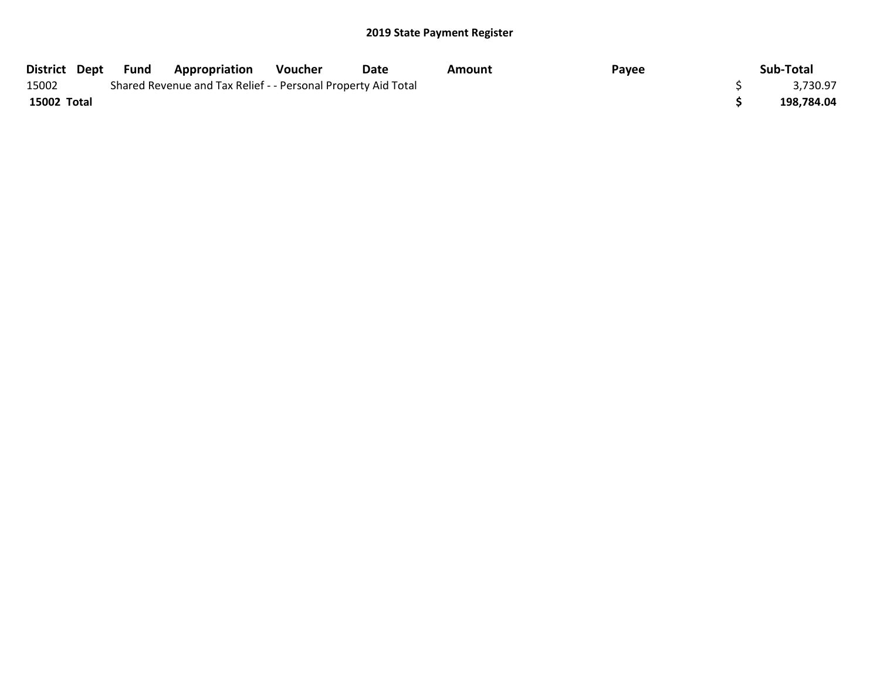|             | District Dept Fund | <b>Appropriation</b>                                          | Voucher | Date | Amount | Payee | Sub-Total  |
|-------------|--------------------|---------------------------------------------------------------|---------|------|--------|-------|------------|
| 15002       |                    | Shared Revenue and Tax Relief - - Personal Property Aid Total |         |      |        |       | 3,730.97   |
| 15002 Total |                    |                                                               |         |      |        |       | 198.784.04 |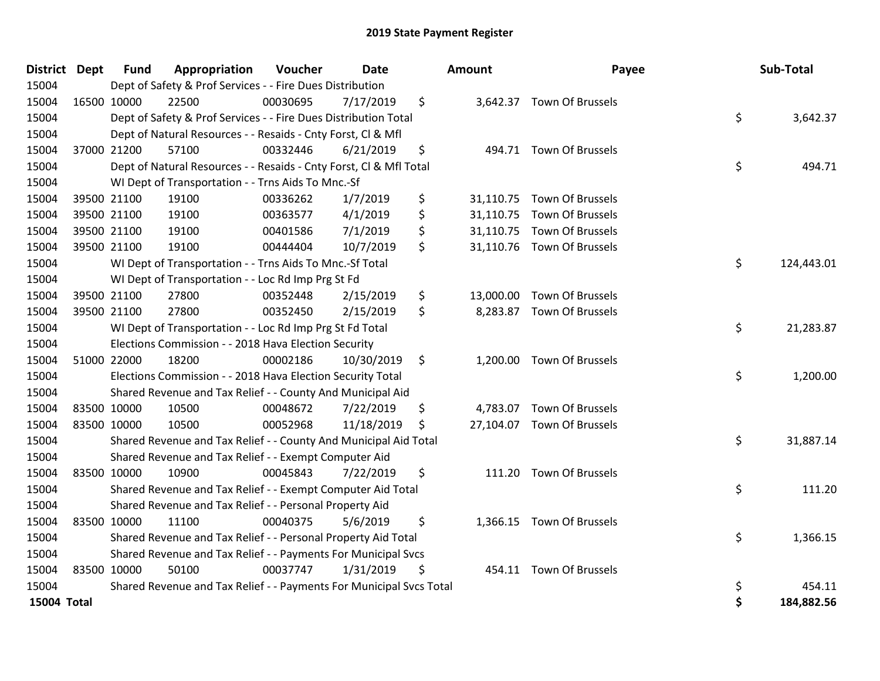| District Dept      |             | <b>Fund</b> | Appropriation                                                       | Voucher  | <b>Date</b> | Amount | Payee                      | Sub-Total        |
|--------------------|-------------|-------------|---------------------------------------------------------------------|----------|-------------|--------|----------------------------|------------------|
| 15004              |             |             | Dept of Safety & Prof Services - - Fire Dues Distribution           |          |             |        |                            |                  |
| 15004              |             | 16500 10000 | 22500                                                               | 00030695 | 7/17/2019   | \$     | 3,642.37 Town Of Brussels  |                  |
| 15004              |             |             | Dept of Safety & Prof Services - - Fire Dues Distribution Total     |          |             |        |                            | \$<br>3,642.37   |
| 15004              |             |             | Dept of Natural Resources - - Resaids - Cnty Forst, Cl & Mfl        |          |             |        |                            |                  |
| 15004              |             | 37000 21200 | 57100                                                               | 00332446 | 6/21/2019   | \$     | 494.71 Town Of Brussels    |                  |
| 15004              |             |             | Dept of Natural Resources - - Resaids - Cnty Forst, Cl & Mfl Total  |          |             |        |                            | \$<br>494.71     |
| 15004              |             |             | WI Dept of Transportation - - Trns Aids To Mnc.-Sf                  |          |             |        |                            |                  |
| 15004              |             | 39500 21100 | 19100                                                               | 00336262 | 1/7/2019    | \$     | 31,110.75 Town Of Brussels |                  |
| 15004              |             | 39500 21100 | 19100                                                               | 00363577 | 4/1/2019    | \$     | 31,110.75 Town Of Brussels |                  |
| 15004              |             | 39500 21100 | 19100                                                               | 00401586 | 7/1/2019    | \$     | 31,110.75 Town Of Brussels |                  |
| 15004              |             | 39500 21100 | 19100                                                               | 00444404 | 10/7/2019   | \$     | 31,110.76 Town Of Brussels |                  |
| 15004              |             |             | WI Dept of Transportation - - Trns Aids To Mnc.-Sf Total            |          |             |        |                            | \$<br>124,443.01 |
| 15004              |             |             | WI Dept of Transportation - - Loc Rd Imp Prg St Fd                  |          |             |        |                            |                  |
| 15004              |             | 39500 21100 | 27800                                                               | 00352448 | 2/15/2019   | \$     | 13,000.00 Town Of Brussels |                  |
| 15004              |             | 39500 21100 | 27800                                                               | 00352450 | 2/15/2019   | \$     | 8,283.87 Town Of Brussels  |                  |
| 15004              |             |             | WI Dept of Transportation - - Loc Rd Imp Prg St Fd Total            |          |             |        |                            | \$<br>21,283.87  |
| 15004              |             |             | Elections Commission - - 2018 Hava Election Security                |          |             |        |                            |                  |
| 15004              |             | 51000 22000 | 18200                                                               | 00002186 | 10/30/2019  | \$     | 1,200.00 Town Of Brussels  |                  |
| 15004              |             |             | Elections Commission - - 2018 Hava Election Security Total          |          |             |        |                            | \$<br>1,200.00   |
| 15004              |             |             | Shared Revenue and Tax Relief - - County And Municipal Aid          |          |             |        |                            |                  |
| 15004              |             | 83500 10000 | 10500                                                               | 00048672 | 7/22/2019   | \$     | 4,783.07 Town Of Brussels  |                  |
| 15004              | 83500 10000 |             | 10500                                                               | 00052968 | 11/18/2019  | \$     | 27,104.07 Town Of Brussels |                  |
| 15004              |             |             | Shared Revenue and Tax Relief - - County And Municipal Aid Total    |          |             |        |                            | \$<br>31,887.14  |
| 15004              |             |             | Shared Revenue and Tax Relief - - Exempt Computer Aid               |          |             |        |                            |                  |
| 15004              |             | 83500 10000 | 10900                                                               | 00045843 | 7/22/2019   | \$     | 111.20 Town Of Brussels    |                  |
| 15004              |             |             | Shared Revenue and Tax Relief - - Exempt Computer Aid Total         |          |             |        |                            | \$<br>111.20     |
| 15004              |             |             | Shared Revenue and Tax Relief - - Personal Property Aid             |          |             |        |                            |                  |
| 15004              |             | 83500 10000 | 11100                                                               | 00040375 | 5/6/2019    | \$     | 1,366.15 Town Of Brussels  |                  |
| 15004              |             |             | Shared Revenue and Tax Relief - - Personal Property Aid Total       |          |             |        |                            | \$<br>1,366.15   |
| 15004              |             |             | Shared Revenue and Tax Relief - - Payments For Municipal Svcs       |          |             |        |                            |                  |
| 15004              | 83500 10000 |             | 50100                                                               | 00037747 | 1/31/2019   | \$     | 454.11 Town Of Brussels    |                  |
| 15004              |             |             | Shared Revenue and Tax Relief - - Payments For Municipal Svcs Total |          |             |        |                            | \$<br>454.11     |
| <b>15004 Total</b> |             |             |                                                                     |          |             |        |                            | \$<br>184,882.56 |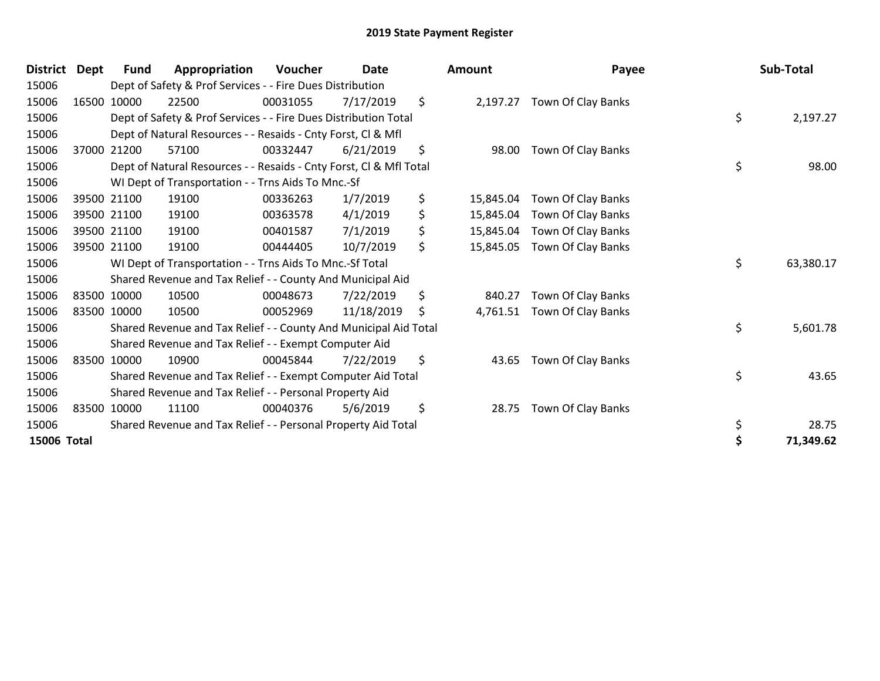| District Dept | Fund        | Appropriation                                                      | Voucher  | <b>Date</b> | <b>Amount</b>   | Payee                       | Sub-Total       |
|---------------|-------------|--------------------------------------------------------------------|----------|-------------|-----------------|-----------------------------|-----------------|
| 15006         |             | Dept of Safety & Prof Services - - Fire Dues Distribution          |          |             |                 |                             |                 |
| 15006         | 16500 10000 | 22500                                                              | 00031055 | 7/17/2019   | \$              | 2,197.27 Town Of Clay Banks |                 |
| 15006         |             | Dept of Safety & Prof Services - - Fire Dues Distribution Total    |          |             |                 |                             | \$<br>2,197.27  |
| 15006         |             | Dept of Natural Resources - - Resaids - Cnty Forst, CI & Mfl       |          |             |                 |                             |                 |
| 15006         | 37000 21200 | 57100                                                              | 00332447 | 6/21/2019   | \$<br>98.00     | Town Of Clay Banks          |                 |
| 15006         |             | Dept of Natural Resources - - Resaids - Cnty Forst, CI & Mfl Total |          |             |                 |                             | \$<br>98.00     |
| 15006         |             | WI Dept of Transportation - - Trns Aids To Mnc.-Sf                 |          |             |                 |                             |                 |
| 15006         | 39500 21100 | 19100                                                              | 00336263 | 1/7/2019    | \$<br>15,845.04 | Town Of Clay Banks          |                 |
| 15006         | 39500 21100 | 19100                                                              | 00363578 | 4/1/2019    | \$<br>15,845.04 | Town Of Clay Banks          |                 |
| 15006         | 39500 21100 | 19100                                                              | 00401587 | 7/1/2019    | \$<br>15,845.04 | Town Of Clay Banks          |                 |
| 15006         | 39500 21100 | 19100                                                              | 00444405 | 10/7/2019   | \$<br>15,845.05 | Town Of Clay Banks          |                 |
| 15006         |             | WI Dept of Transportation - - Trns Aids To Mnc.-Sf Total           |          |             |                 |                             | \$<br>63,380.17 |
| 15006         |             | Shared Revenue and Tax Relief - - County And Municipal Aid         |          |             |                 |                             |                 |
| 15006         | 83500 10000 | 10500                                                              | 00048673 | 7/22/2019   | \$<br>840.27    | Town Of Clay Banks          |                 |
| 15006         | 83500 10000 | 10500                                                              | 00052969 | 11/18/2019  | \$<br>4,761.51  | Town Of Clay Banks          |                 |
| 15006         |             | Shared Revenue and Tax Relief - - County And Municipal Aid Total   |          |             |                 |                             | \$<br>5,601.78  |
| 15006         |             | Shared Revenue and Tax Relief - - Exempt Computer Aid              |          |             |                 |                             |                 |
| 15006         | 83500 10000 | 10900                                                              | 00045844 | 7/22/2019   | \$<br>43.65     | Town Of Clay Banks          |                 |
| 15006         |             | Shared Revenue and Tax Relief - - Exempt Computer Aid Total        |          |             |                 |                             | \$<br>43.65     |
| 15006         |             | Shared Revenue and Tax Relief - - Personal Property Aid            |          |             |                 |                             |                 |
| 15006         | 83500 10000 | 11100                                                              | 00040376 | 5/6/2019    | \$<br>28.75     | Town Of Clay Banks          |                 |
| 15006         |             | Shared Revenue and Tax Relief - - Personal Property Aid Total      |          |             |                 |                             | \$<br>28.75     |
| 15006 Total   |             |                                                                    |          |             |                 |                             | \$<br>71,349.62 |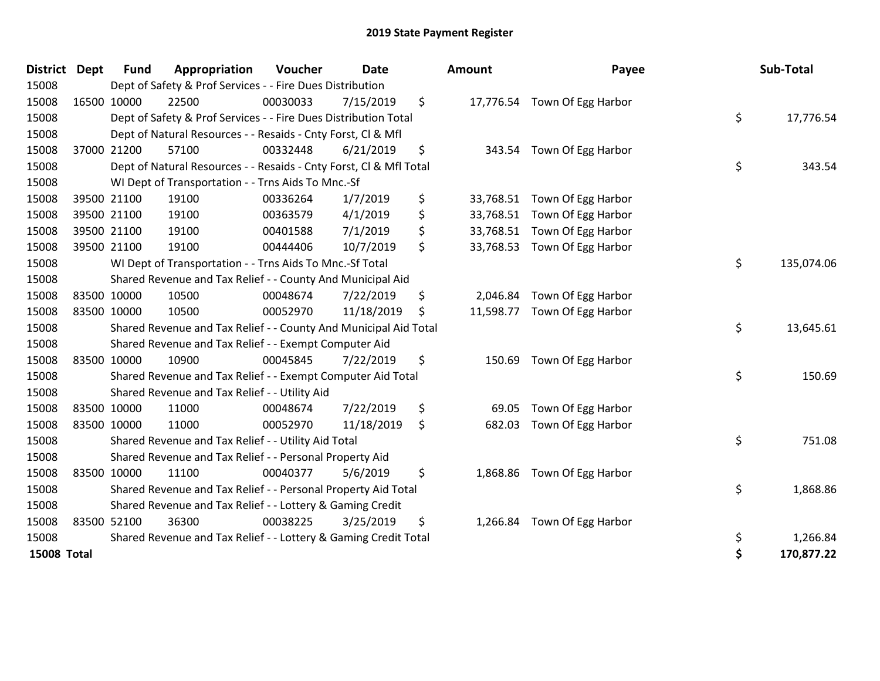| <b>District</b>    | <b>Dept</b> | <b>Fund</b> | Appropriation                                                      | Voucher  | <b>Date</b> | Amount          | Payee                        | Sub-Total        |
|--------------------|-------------|-------------|--------------------------------------------------------------------|----------|-------------|-----------------|------------------------------|------------------|
| 15008              |             |             | Dept of Safety & Prof Services - - Fire Dues Distribution          |          |             |                 |                              |                  |
| 15008              |             | 16500 10000 | 22500                                                              | 00030033 | 7/15/2019   | \$              | 17,776.54 Town Of Egg Harbor |                  |
| 15008              |             |             | Dept of Safety & Prof Services - - Fire Dues Distribution Total    |          |             |                 |                              | \$<br>17,776.54  |
| 15008              |             |             | Dept of Natural Resources - - Resaids - Cnty Forst, Cl & Mfl       |          |             |                 |                              |                  |
| 15008              |             | 37000 21200 | 57100                                                              | 00332448 | 6/21/2019   | \$              | 343.54 Town Of Egg Harbor    |                  |
| 15008              |             |             | Dept of Natural Resources - - Resaids - Cnty Forst, Cl & Mfl Total |          |             |                 |                              | \$<br>343.54     |
| 15008              |             |             | WI Dept of Transportation - - Trns Aids To Mnc.-Sf                 |          |             |                 |                              |                  |
| 15008              |             | 39500 21100 | 19100                                                              | 00336264 | 1/7/2019    | \$<br>33,768.51 | Town Of Egg Harbor           |                  |
| 15008              |             | 39500 21100 | 19100                                                              | 00363579 | 4/1/2019    | \$<br>33,768.51 | Town Of Egg Harbor           |                  |
| 15008              |             | 39500 21100 | 19100                                                              | 00401588 | 7/1/2019    | \$<br>33,768.51 | Town Of Egg Harbor           |                  |
| 15008              |             | 39500 21100 | 19100                                                              | 00444406 | 10/7/2019   | \$<br>33,768.53 | Town Of Egg Harbor           |                  |
| 15008              |             |             | WI Dept of Transportation - - Trns Aids To Mnc.-Sf Total           |          |             |                 |                              | \$<br>135,074.06 |
| 15008              |             |             | Shared Revenue and Tax Relief - - County And Municipal Aid         |          |             |                 |                              |                  |
| 15008              |             | 83500 10000 | 10500                                                              | 00048674 | 7/22/2019   | \$<br>2,046.84  | Town Of Egg Harbor           |                  |
| 15008              |             | 83500 10000 | 10500                                                              | 00052970 | 11/18/2019  | \$<br>11,598.77 | Town Of Egg Harbor           |                  |
| 15008              |             |             | Shared Revenue and Tax Relief - - County And Municipal Aid Total   |          |             |                 |                              | \$<br>13,645.61  |
| 15008              |             |             | Shared Revenue and Tax Relief - - Exempt Computer Aid              |          |             |                 |                              |                  |
| 15008              |             | 83500 10000 | 10900                                                              | 00045845 | 7/22/2019   | \$<br>150.69    | Town Of Egg Harbor           |                  |
| 15008              |             |             | Shared Revenue and Tax Relief - - Exempt Computer Aid Total        |          |             |                 |                              | \$<br>150.69     |
| 15008              |             |             | Shared Revenue and Tax Relief - - Utility Aid                      |          |             |                 |                              |                  |
| 15008              |             | 83500 10000 | 11000                                                              | 00048674 | 7/22/2019   | \$<br>69.05     | Town Of Egg Harbor           |                  |
| 15008              |             | 83500 10000 | 11000                                                              | 00052970 | 11/18/2019  | \$<br>682.03    | Town Of Egg Harbor           |                  |
| 15008              |             |             | Shared Revenue and Tax Relief - - Utility Aid Total                |          |             |                 |                              | \$<br>751.08     |
| 15008              |             |             | Shared Revenue and Tax Relief - - Personal Property Aid            |          |             |                 |                              |                  |
| 15008              |             | 83500 10000 | 11100                                                              | 00040377 | 5/6/2019    | \$              | 1,868.86 Town Of Egg Harbor  |                  |
| 15008              |             |             | Shared Revenue and Tax Relief - - Personal Property Aid Total      |          |             |                 |                              | \$<br>1,868.86   |
| 15008              |             |             | Shared Revenue and Tax Relief - - Lottery & Gaming Credit          |          |             |                 |                              |                  |
| 15008              |             | 83500 52100 | 36300                                                              | 00038225 | 3/25/2019   | \$<br>1,266.84  | Town Of Egg Harbor           |                  |
| 15008              |             |             | Shared Revenue and Tax Relief - - Lottery & Gaming Credit Total    |          |             |                 |                              | \$<br>1,266.84   |
| <b>15008 Total</b> |             |             |                                                                    |          |             |                 |                              | \$<br>170,877.22 |

| ount                                | Payee                                                          |          | Sub-Total              |
|-------------------------------------|----------------------------------------------------------------|----------|------------------------|
|                                     | 17,776.54 Town Of Egg Harbor                                   | \$       | 17,776.54              |
| 343.54                              | Town Of Egg Harbor                                             | \$       | 343.54                 |
| 33,768.51<br>33,768.51<br>33,768.51 | Town Of Egg Harbor<br>Town Of Egg Harbor<br>Town Of Egg Harbor |          |                        |
| 33,768.53                           | Town Of Egg Harbor                                             | \$       | 135,074.06             |
| 11,598.77                           | 2,046.84 Town Of Egg Harbor<br>Town Of Egg Harbor              | \$       | 13,645.61              |
| 150.69                              | Town Of Egg Harbor                                             | \$       | 150.69                 |
| 69.05                               | Town Of Egg Harbor                                             |          |                        |
| 682.03                              | Town Of Egg Harbor                                             | \$       | 751.08                 |
| 1,868.86                            | Town Of Egg Harbor                                             | \$       | 1,868.86               |
| 1,266.84                            | Town Of Egg Harbor                                             | \$<br>\$ | 1,266.84<br>170,877.22 |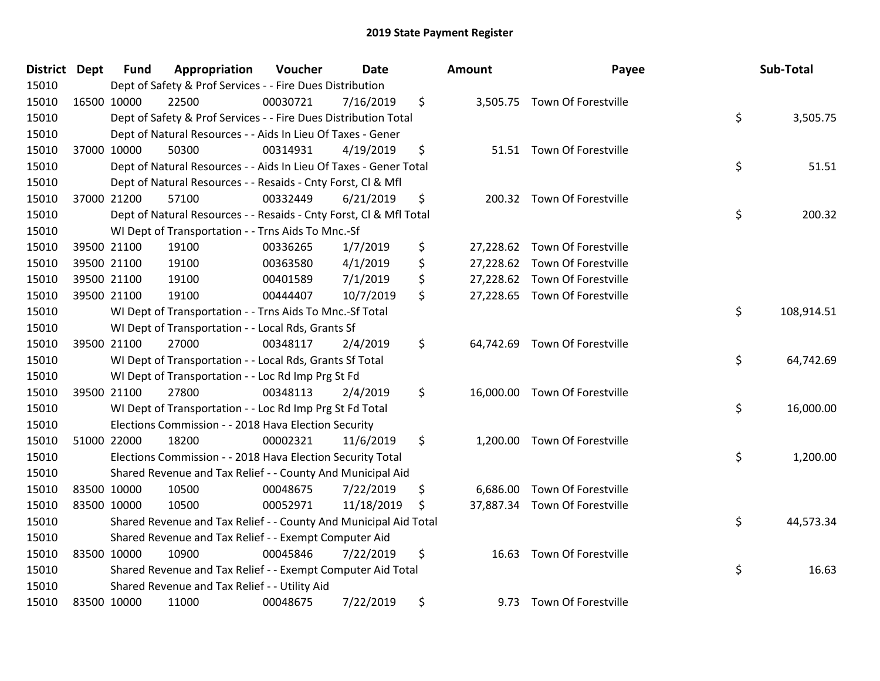| District Dept |             | <b>Fund</b> | Appropriation                                                      | Voucher  | <b>Date</b> | Amount         | Payee                         | Sub-Total        |
|---------------|-------------|-------------|--------------------------------------------------------------------|----------|-------------|----------------|-------------------------------|------------------|
| 15010         |             |             | Dept of Safety & Prof Services - - Fire Dues Distribution          |          |             |                |                               |                  |
| 15010         |             | 16500 10000 | 22500                                                              | 00030721 | 7/16/2019   | \$             | 3,505.75 Town Of Forestville  |                  |
| 15010         |             |             | Dept of Safety & Prof Services - - Fire Dues Distribution Total    |          |             |                |                               | \$<br>3,505.75   |
| 15010         |             |             | Dept of Natural Resources - - Aids In Lieu Of Taxes - Gener        |          |             |                |                               |                  |
| 15010         |             | 37000 10000 | 50300                                                              | 00314931 | 4/19/2019   | \$             | 51.51 Town Of Forestville     |                  |
| 15010         |             |             | Dept of Natural Resources - - Aids In Lieu Of Taxes - Gener Total  |          |             |                |                               | \$<br>51.51      |
| 15010         |             |             | Dept of Natural Resources - - Resaids - Cnty Forst, Cl & Mfl       |          |             |                |                               |                  |
| 15010         |             | 37000 21200 | 57100                                                              | 00332449 | 6/21/2019   | \$             | 200.32 Town Of Forestville    |                  |
| 15010         |             |             | Dept of Natural Resources - - Resaids - Cnty Forst, CI & Mfl Total |          |             |                |                               | \$<br>200.32     |
| 15010         |             |             | WI Dept of Transportation - - Trns Aids To Mnc.-Sf                 |          |             |                |                               |                  |
| 15010         |             | 39500 21100 | 19100                                                              | 00336265 | 1/7/2019    | \$             | 27,228.62 Town Of Forestville |                  |
| 15010         |             | 39500 21100 | 19100                                                              | 00363580 | 4/1/2019    | \$             | 27,228.62 Town Of Forestville |                  |
| 15010         |             | 39500 21100 | 19100                                                              | 00401589 | 7/1/2019    | \$             | 27,228.62 Town Of Forestville |                  |
| 15010         |             | 39500 21100 | 19100                                                              | 00444407 | 10/7/2019   | \$             | 27,228.65 Town Of Forestville |                  |
| 15010         |             |             | WI Dept of Transportation - - Trns Aids To Mnc.-Sf Total           |          |             |                |                               | \$<br>108,914.51 |
| 15010         |             |             | WI Dept of Transportation - - Local Rds, Grants Sf                 |          |             |                |                               |                  |
| 15010         |             | 39500 21100 | 27000                                                              | 00348117 | 2/4/2019    | \$             | 64,742.69 Town Of Forestville |                  |
| 15010         |             |             | WI Dept of Transportation - - Local Rds, Grants Sf Total           |          |             |                |                               | \$<br>64,742.69  |
| 15010         |             |             | WI Dept of Transportation - - Loc Rd Imp Prg St Fd                 |          |             |                |                               |                  |
| 15010         |             | 39500 21100 | 27800                                                              | 00348113 | 2/4/2019    | \$             | 16,000.00 Town Of Forestville |                  |
| 15010         |             |             | WI Dept of Transportation - - Loc Rd Imp Prg St Fd Total           |          |             |                |                               | \$<br>16,000.00  |
| 15010         |             |             | Elections Commission - - 2018 Hava Election Security               |          |             |                |                               |                  |
| 15010         |             | 51000 22000 | 18200                                                              | 00002321 | 11/6/2019   | \$             | 1,200.00 Town Of Forestville  |                  |
| 15010         |             |             | Elections Commission - - 2018 Hava Election Security Total         |          |             |                |                               | \$<br>1,200.00   |
| 15010         |             |             | Shared Revenue and Tax Relief - - County And Municipal Aid         |          |             |                |                               |                  |
| 15010         |             | 83500 10000 | 10500                                                              | 00048675 | 7/22/2019   | \$<br>6,686.00 | Town Of Forestville           |                  |
| 15010         |             | 83500 10000 | 10500                                                              | 00052971 | 11/18/2019  | \$             | 37,887.34 Town Of Forestville |                  |
| 15010         |             |             | Shared Revenue and Tax Relief - - County And Municipal Aid Total   |          |             |                |                               | \$<br>44,573.34  |
| 15010         |             |             | Shared Revenue and Tax Relief - - Exempt Computer Aid              |          |             |                |                               |                  |
| 15010         |             | 83500 10000 | 10900                                                              | 00045846 | 7/22/2019   | \$             | 16.63 Town Of Forestville     |                  |
| 15010         |             |             | Shared Revenue and Tax Relief - - Exempt Computer Aid Total        |          |             |                |                               | \$<br>16.63      |
| 15010         |             |             | Shared Revenue and Tax Relief - - Utility Aid                      |          |             |                |                               |                  |
| 15010         | 83500 10000 |             | 11000                                                              | 00048675 | 7/22/2019   | \$             | 9.73 Town Of Forestville      |                  |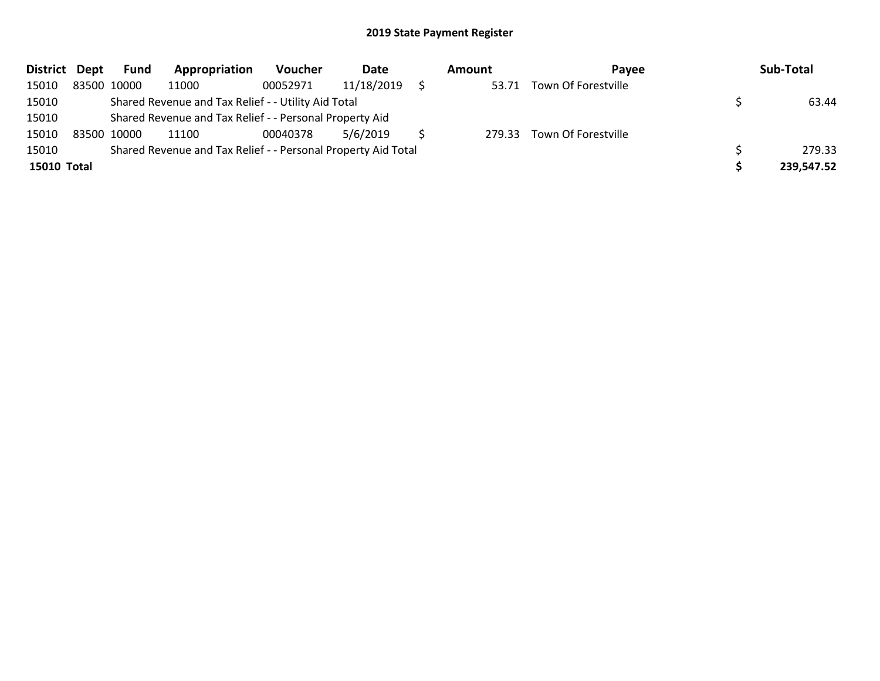| District Dept | Fund        | Appropriation                                                 | <b>Voucher</b> | Date       | <b>Amount</b> | Pavee               | Sub-Total  |
|---------------|-------------|---------------------------------------------------------------|----------------|------------|---------------|---------------------|------------|
| 15010         | 83500 10000 | 11000                                                         | 00052971       | 11/18/2019 | 53.71         | Town Of Forestville |            |
| 15010         |             | Shared Revenue and Tax Relief - - Utility Aid Total           |                |            |               |                     | 63.44      |
| 15010         |             | Shared Revenue and Tax Relief - - Personal Property Aid       |                |            |               |                     |            |
| 15010         | 83500 10000 | 11100                                                         | 00040378       | 5/6/2019   | 279.33        | Town Of Forestville |            |
| 15010         |             | Shared Revenue and Tax Relief - - Personal Property Aid Total |                |            |               |                     | 279.33     |
| 15010 Total   |             |                                                               |                |            |               |                     | 239,547.52 |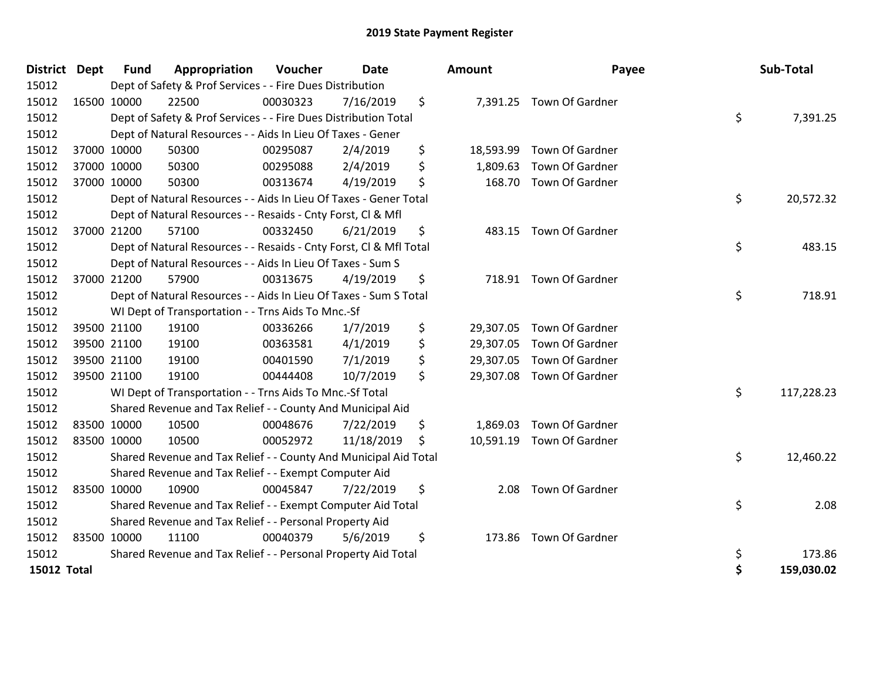| District Dept | <b>Fund</b> | Appropriation                                                      | Voucher  | <b>Date</b> |    | Amount    | Payee                    | Sub-Total        |
|---------------|-------------|--------------------------------------------------------------------|----------|-------------|----|-----------|--------------------------|------------------|
| 15012         |             | Dept of Safety & Prof Services - - Fire Dues Distribution          |          |             |    |           |                          |                  |
| 15012         | 16500 10000 | 22500                                                              | 00030323 | 7/16/2019   | \$ |           | 7,391.25 Town Of Gardner |                  |
| 15012         |             | Dept of Safety & Prof Services - - Fire Dues Distribution Total    |          |             |    |           |                          | \$<br>7,391.25   |
| 15012         |             | Dept of Natural Resources - - Aids In Lieu Of Taxes - Gener        |          |             |    |           |                          |                  |
| 15012         | 37000 10000 | 50300                                                              | 00295087 | 2/4/2019    | \$ | 18,593.99 | Town Of Gardner          |                  |
| 15012         | 37000 10000 | 50300                                                              | 00295088 | 2/4/2019    | \$ | 1,809.63  | Town Of Gardner          |                  |
| 15012         | 37000 10000 | 50300                                                              | 00313674 | 4/19/2019   | \$ | 168.70    | <b>Town Of Gardner</b>   |                  |
| 15012         |             | Dept of Natural Resources - - Aids In Lieu Of Taxes - Gener Total  |          |             |    |           |                          | \$<br>20,572.32  |
| 15012         |             | Dept of Natural Resources - - Resaids - Cnty Forst, Cl & Mfl       |          |             |    |           |                          |                  |
| 15012         | 37000 21200 | 57100                                                              | 00332450 | 6/21/2019   | \$ | 483.15    | Town Of Gardner          |                  |
| 15012         |             | Dept of Natural Resources - - Resaids - Cnty Forst, CI & Mfl Total |          |             |    |           |                          | \$<br>483.15     |
| 15012         |             | Dept of Natural Resources - - Aids In Lieu Of Taxes - Sum S        |          |             |    |           |                          |                  |
| 15012         | 37000 21200 | 57900                                                              | 00313675 | 4/19/2019   | \$ |           | 718.91 Town Of Gardner   |                  |
| 15012         |             | Dept of Natural Resources - - Aids In Lieu Of Taxes - Sum S Total  |          |             |    |           |                          | \$<br>718.91     |
| 15012         |             | WI Dept of Transportation - - Trns Aids To Mnc.-Sf                 |          |             |    |           |                          |                  |
| 15012         | 39500 21100 | 19100                                                              | 00336266 | 1/7/2019    | \$ | 29,307.05 | Town Of Gardner          |                  |
| 15012         | 39500 21100 | 19100                                                              | 00363581 | 4/1/2019    | \$ | 29,307.05 | Town Of Gardner          |                  |
| 15012         | 39500 21100 | 19100                                                              | 00401590 | 7/1/2019    | \$ | 29,307.05 | Town Of Gardner          |                  |
| 15012         | 39500 21100 | 19100                                                              | 00444408 | 10/7/2019   | \$ | 29,307.08 | Town Of Gardner          |                  |
| 15012         |             | WI Dept of Transportation - - Trns Aids To Mnc.-Sf Total           |          |             |    |           |                          | \$<br>117,228.23 |
| 15012         |             | Shared Revenue and Tax Relief - - County And Municipal Aid         |          |             |    |           |                          |                  |
| 15012         | 83500 10000 | 10500                                                              | 00048676 | 7/22/2019   | \$ | 1,869.03  | Town Of Gardner          |                  |
| 15012         | 83500 10000 | 10500                                                              | 00052972 | 11/18/2019  | Ŝ. | 10,591.19 | Town Of Gardner          |                  |
| 15012         |             | Shared Revenue and Tax Relief - - County And Municipal Aid Total   |          |             |    |           |                          | \$<br>12,460.22  |
| 15012         |             | Shared Revenue and Tax Relief - - Exempt Computer Aid              |          |             |    |           |                          |                  |
| 15012         | 83500 10000 | 10900                                                              | 00045847 | 7/22/2019   | \$ | 2.08      | Town Of Gardner          |                  |
| 15012         |             | Shared Revenue and Tax Relief - - Exempt Computer Aid Total        |          |             |    |           |                          | \$<br>2.08       |
| 15012         |             | Shared Revenue and Tax Relief - - Personal Property Aid            |          |             |    |           |                          |                  |
| 15012         | 83500 10000 | 11100                                                              | 00040379 | 5/6/2019    | \$ |           | 173.86 Town Of Gardner   |                  |
| 15012         |             | Shared Revenue and Tax Relief - - Personal Property Aid Total      |          |             |    |           |                          | \$<br>173.86     |
| 15012 Total   |             |                                                                    |          |             |    |           |                          | \$<br>159,030.02 |

| วนทt      | Payee                    | Sub-Total        |
|-----------|--------------------------|------------------|
|           | 7,391.25 Town Of Gardner | \$<br>7,391.25   |
| 18,593.99 | Town Of Gardner          |                  |
| 1,809.63  | Town Of Gardner          |                  |
| 168.70    | Town Of Gardner          | \$<br>20,572.32  |
| 483.15    | Town Of Gardner          |                  |
|           |                          | \$<br>483.15     |
| 718.91    | Town Of Gardner          | \$<br>718.91     |
| 29,307.05 | Town Of Gardner          |                  |
| 29,307.05 | Town Of Gardner          |                  |
| 29,307.05 | Town Of Gardner          |                  |
| 29,307.08 | Town Of Gardner          |                  |
|           |                          | \$<br>117,228.23 |
|           | 1,869.03 Town Of Gardner |                  |
| 10,591.19 | Town Of Gardner          |                  |
|           |                          | \$<br>12,460.22  |
| 2.08      | Town Of Gardner          | \$<br>2.08       |
| 173.86    | Town Of Gardner          | \$<br>173.86     |
|           |                          | \$<br>159,030.02 |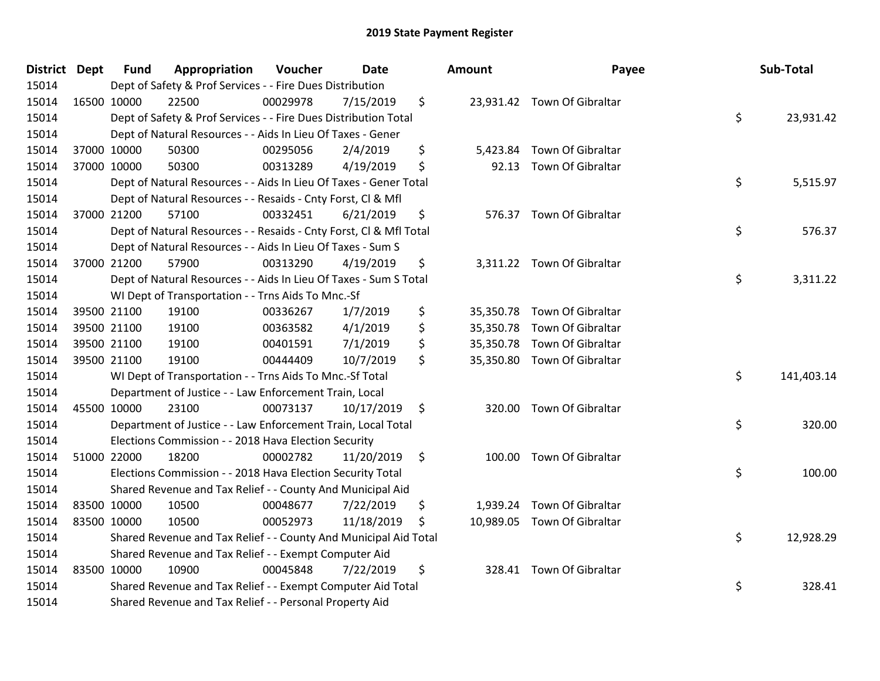| <b>District Dept</b> | <b>Fund</b> | Appropriation                                                      | Voucher  | <b>Date</b> |     | Amount   | Payee                       | Sub-Total        |
|----------------------|-------------|--------------------------------------------------------------------|----------|-------------|-----|----------|-----------------------------|------------------|
| 15014                |             | Dept of Safety & Prof Services - - Fire Dues Distribution          |          |             |     |          |                             |                  |
| 15014                | 16500 10000 | 22500                                                              | 00029978 | 7/15/2019   | \$  |          | 23,931.42 Town Of Gibraltar |                  |
| 15014                |             | Dept of Safety & Prof Services - - Fire Dues Distribution Total    |          |             |     |          |                             | \$<br>23,931.42  |
| 15014                |             | Dept of Natural Resources - - Aids In Lieu Of Taxes - Gener        |          |             |     |          |                             |                  |
| 15014                | 37000 10000 | 50300                                                              | 00295056 | 2/4/2019    | \$  | 5,423.84 | Town Of Gibraltar           |                  |
| 15014                | 37000 10000 | 50300                                                              | 00313289 | 4/19/2019   | \$  | 92.13    | Town Of Gibraltar           |                  |
| 15014                |             | Dept of Natural Resources - - Aids In Lieu Of Taxes - Gener Total  |          |             |     |          |                             | \$<br>5,515.97   |
| 15014                |             | Dept of Natural Resources - - Resaids - Cnty Forst, Cl & Mfl       |          |             |     |          |                             |                  |
| 15014                | 37000 21200 | 57100                                                              | 00332451 | 6/21/2019   | \$  |          | 576.37 Town Of Gibraltar    |                  |
| 15014                |             | Dept of Natural Resources - - Resaids - Cnty Forst, Cl & Mfl Total |          |             |     |          |                             | \$<br>576.37     |
| 15014                |             | Dept of Natural Resources - - Aids In Lieu Of Taxes - Sum S        |          |             |     |          |                             |                  |
| 15014                | 37000 21200 | 57900                                                              | 00313290 | 4/19/2019   | \$  |          | 3,311.22 Town Of Gibraltar  |                  |
| 15014                |             | Dept of Natural Resources - - Aids In Lieu Of Taxes - Sum S Total  |          |             |     |          |                             | \$<br>3,311.22   |
| 15014                |             | WI Dept of Transportation - - Trns Aids To Mnc.-Sf                 |          |             |     |          |                             |                  |
| 15014                | 39500 21100 | 19100                                                              | 00336267 | 1/7/2019    | \$  |          | 35,350.78 Town Of Gibraltar |                  |
| 15014                | 39500 21100 | 19100                                                              | 00363582 | 4/1/2019    | \$  |          | 35,350.78 Town Of Gibraltar |                  |
| 15014                | 39500 21100 | 19100                                                              | 00401591 | 7/1/2019    | \$  |          | 35,350.78 Town Of Gibraltar |                  |
| 15014                | 39500 21100 | 19100                                                              | 00444409 | 10/7/2019   | \$  |          | 35,350.80 Town Of Gibraltar |                  |
| 15014                |             | WI Dept of Transportation - - Trns Aids To Mnc.-Sf Total           |          |             |     |          |                             | \$<br>141,403.14 |
| 15014                |             | Department of Justice - - Law Enforcement Train, Local             |          |             |     |          |                             |                  |
| 15014                | 45500 10000 | 23100                                                              | 00073137 | 10/17/2019  | \$  |          | 320.00 Town Of Gibraltar    |                  |
| 15014                |             | Department of Justice - - Law Enforcement Train, Local Total       |          |             |     |          |                             | \$<br>320.00     |
| 15014                |             | Elections Commission - - 2018 Hava Election Security               |          |             |     |          |                             |                  |
| 15014                | 51000 22000 | 18200                                                              | 00002782 | 11/20/2019  | \$  |          | 100.00 Town Of Gibraltar    |                  |
| 15014                |             | Elections Commission - - 2018 Hava Election Security Total         |          |             |     |          |                             | \$<br>100.00     |
| 15014                |             | Shared Revenue and Tax Relief - - County And Municipal Aid         |          |             |     |          |                             |                  |
| 15014                | 83500 10000 | 10500                                                              | 00048677 | 7/22/2019   | \$  | 1,939.24 | Town Of Gibraltar           |                  |
| 15014                | 83500 10000 | 10500                                                              | 00052973 | 11/18/2019  | \$. |          | 10,989.05 Town Of Gibraltar |                  |
| 15014                |             | Shared Revenue and Tax Relief - - County And Municipal Aid Total   |          |             |     |          |                             | \$<br>12,928.29  |
| 15014                |             | Shared Revenue and Tax Relief - - Exempt Computer Aid              |          |             |     |          |                             |                  |
| 15014                | 83500 10000 | 10900                                                              | 00045848 | 7/22/2019   | \$  | 328.41   | Town Of Gibraltar           |                  |
| 15014                |             | Shared Revenue and Tax Relief - - Exempt Computer Aid Total        |          |             |     |          |                             | \$<br>328.41     |
| 15014                |             | Shared Revenue and Tax Relief - - Personal Property Aid            |          |             |     |          |                             |                  |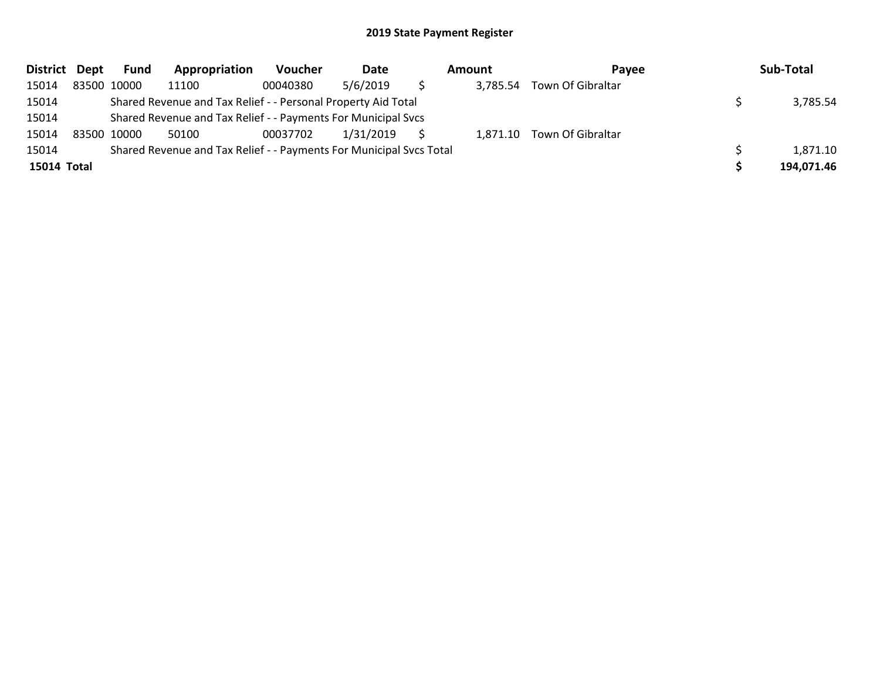| District Dept | <b>Fund</b> | Appropriation                                                       | Voucher  | Date      | Amount   | <b>Pavee</b>               | Sub-Total  |
|---------------|-------------|---------------------------------------------------------------------|----------|-----------|----------|----------------------------|------------|
| 15014         | 83500 10000 | 11100                                                               | 00040380 | 5/6/2019  | 3,785.54 | Town Of Gibraltar          |            |
| 15014         |             | Shared Revenue and Tax Relief - - Personal Property Aid Total       |          |           |          |                            | 3,785.54   |
| 15014         |             | Shared Revenue and Tax Relief - - Payments For Municipal Svcs       |          |           |          |                            |            |
| 15014         | 83500 10000 | 50100                                                               | 00037702 | 1/31/2019 |          | 1,871.10 Town Of Gibraltar |            |
| 15014         |             | Shared Revenue and Tax Relief - - Payments For Municipal Svcs Total |          |           |          |                            | 1,871.10   |
| 15014 Total   |             |                                                                     |          |           |          |                            | 194,071.46 |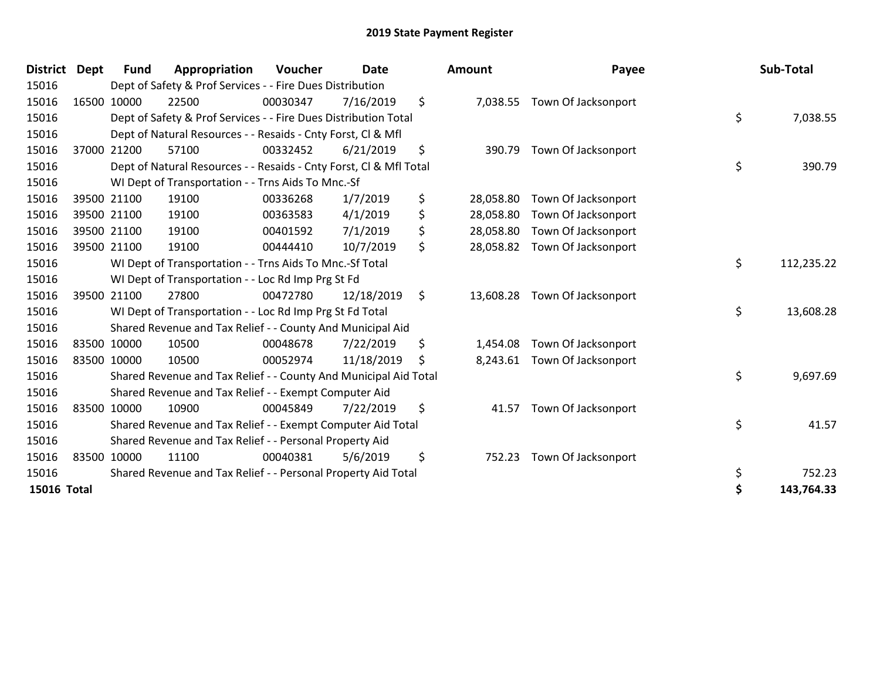| District Dept | <b>Fund</b> | Appropriation                                                      | Voucher  | <b>Date</b>      | <b>Amount</b>   | Payee               | Sub-Total        |
|---------------|-------------|--------------------------------------------------------------------|----------|------------------|-----------------|---------------------|------------------|
| 15016         |             | Dept of Safety & Prof Services - - Fire Dues Distribution          |          |                  |                 |                     |                  |
| 15016         | 16500 10000 | 22500                                                              | 00030347 | 7/16/2019        | \$<br>7,038.55  | Town Of Jacksonport |                  |
| 15016         |             | Dept of Safety & Prof Services - - Fire Dues Distribution Total    |          |                  |                 |                     | \$<br>7,038.55   |
| 15016         |             | Dept of Natural Resources - - Resaids - Cnty Forst, CI & Mfl       |          |                  |                 |                     |                  |
| 15016         | 37000 21200 | 57100                                                              | 00332452 | 6/21/2019        | \$<br>390.79    | Town Of Jacksonport |                  |
| 15016         |             | Dept of Natural Resources - - Resaids - Cnty Forst, CI & Mfl Total |          |                  |                 |                     | \$<br>390.79     |
| 15016         |             | WI Dept of Transportation - - Trns Aids To Mnc.-Sf                 |          |                  |                 |                     |                  |
| 15016         | 39500 21100 | 19100                                                              | 00336268 | 1/7/2019         | \$<br>28,058.80 | Town Of Jacksonport |                  |
| 15016         | 39500 21100 | 19100                                                              | 00363583 | 4/1/2019         | \$<br>28,058.80 | Town Of Jacksonport |                  |
| 15016         | 39500 21100 | 19100                                                              | 00401592 | 7/1/2019         | \$<br>28,058.80 | Town Of Jacksonport |                  |
| 15016         | 39500 21100 | 19100                                                              | 00444410 | 10/7/2019        | \$<br>28,058.82 | Town Of Jacksonport |                  |
| 15016         |             | WI Dept of Transportation - - Trns Aids To Mnc.-Sf Total           |          | \$<br>112,235.22 |                 |                     |                  |
| 15016         |             | WI Dept of Transportation - - Loc Rd Imp Prg St Fd                 |          |                  |                 |                     |                  |
| 15016         | 39500 21100 | 27800                                                              | 00472780 | 12/18/2019       | \$<br>13,608.28 | Town Of Jacksonport |                  |
| 15016         |             | WI Dept of Transportation - - Loc Rd Imp Prg St Fd Total           |          |                  |                 |                     | \$<br>13,608.28  |
| 15016         |             | Shared Revenue and Tax Relief - - County And Municipal Aid         |          |                  |                 |                     |                  |
| 15016         | 83500 10000 | 10500                                                              | 00048678 | 7/22/2019        | \$<br>1,454.08  | Town Of Jacksonport |                  |
| 15016         | 83500 10000 | 10500                                                              | 00052974 | 11/18/2019       | \$<br>8,243.61  | Town Of Jacksonport |                  |
| 15016         |             | Shared Revenue and Tax Relief - - County And Municipal Aid Total   |          |                  |                 |                     | \$<br>9,697.69   |
| 15016         |             | Shared Revenue and Tax Relief - - Exempt Computer Aid              |          |                  |                 |                     |                  |
| 15016         | 83500 10000 | 10900                                                              | 00045849 | 7/22/2019        | \$<br>41.57     | Town Of Jacksonport |                  |
| 15016         |             | Shared Revenue and Tax Relief - - Exempt Computer Aid Total        |          |                  |                 |                     | \$<br>41.57      |
| 15016         |             | Shared Revenue and Tax Relief - - Personal Property Aid            |          |                  |                 |                     |                  |
| 15016         | 83500 10000 | 11100                                                              | 00040381 | 5/6/2019         | \$<br>752.23    | Town Of Jacksonport |                  |
| 15016         |             | Shared Revenue and Tax Relief - - Personal Property Aid Total      |          |                  |                 |                     | \$<br>752.23     |
| 15016 Total   |             |                                                                    |          |                  |                 |                     | \$<br>143,764.33 |

| District           | Dept | <b>Fund</b>                                        | Appropriation                                                      | Voucher  | <b>Date</b>      |    | <b>Amount</b> | Payee                         | Sub-Total        |
|--------------------|------|----------------------------------------------------|--------------------------------------------------------------------|----------|------------------|----|---------------|-------------------------------|------------------|
| 15016              |      |                                                    | Dept of Safety & Prof Services - - Fire Dues Distribution          |          |                  |    |               |                               |                  |
| 15016              |      | 16500 10000                                        | 22500                                                              | 00030347 | 7/16/2019        | \$ | 7,038.55      | Town Of Jacksonport           |                  |
| 15016              |      |                                                    | Dept of Safety & Prof Services - - Fire Dues Distribution Total    |          |                  |    |               |                               | \$<br>7,038.55   |
| 15016              |      |                                                    | Dept of Natural Resources - - Resaids - Cnty Forst, CI & Mfl       |          |                  |    |               |                               |                  |
| 15016              |      | 37000 21200                                        | 57100                                                              | 00332452 | 6/21/2019        | \$ | 390.79        | Town Of Jacksonport           |                  |
| 15016              |      |                                                    | Dept of Natural Resources - - Resaids - Cnty Forst, Cl & Mfl Total |          |                  |    |               |                               | \$<br>390.79     |
| 15016              |      |                                                    | WI Dept of Transportation - - Trns Aids To Mnc.-Sf                 |          |                  |    |               |                               |                  |
| 15016              |      | 39500 21100                                        | 19100                                                              | 00336268 | 1/7/2019         | \$ | 28,058.80     | Town Of Jacksonport           |                  |
| 15016              |      | 39500 21100                                        | 19100                                                              | 00363583 | 4/1/2019         | \$ | 28,058.80     | Town Of Jacksonport           |                  |
| 15016              |      | 39500 21100                                        | 19100                                                              | 00401592 | 7/1/2019         | \$ | 28,058.80     | Town Of Jacksonport           |                  |
| 15016              |      | 39500 21100                                        | 19100                                                              | 00444410 | 10/7/2019        | \$ | 28,058.82     | Town Of Jacksonport           |                  |
| 15016              |      |                                                    | WI Dept of Transportation - - Trns Aids To Mnc.-Sf Total           |          | \$<br>112,235.22 |    |               |                               |                  |
| 15016              |      | WI Dept of Transportation - - Loc Rd Imp Prg St Fd |                                                                    |          |                  |    |               |                               |                  |
| 15016              |      | 39500 21100                                        | 27800                                                              | 00472780 | 12/18/2019       | \$ |               | 13,608.28 Town Of Jacksonport |                  |
| 15016              |      |                                                    | WI Dept of Transportation - - Loc Rd Imp Prg St Fd Total           |          |                  |    |               |                               | \$<br>13,608.28  |
| 15016              |      |                                                    | Shared Revenue and Tax Relief - - County And Municipal Aid         |          |                  |    |               |                               |                  |
| 15016              |      | 83500 10000                                        | 10500                                                              | 00048678 | 7/22/2019        | \$ | 1,454.08      | Town Of Jacksonport           |                  |
| 15016              |      | 83500 10000                                        | 10500                                                              | 00052974 | 11/18/2019       | S  |               | 8,243.61 Town Of Jacksonport  |                  |
| 15016              |      |                                                    | Shared Revenue and Tax Relief - - County And Municipal Aid Total   |          |                  |    |               |                               | \$<br>9,697.69   |
| 15016              |      |                                                    | Shared Revenue and Tax Relief - - Exempt Computer Aid              |          |                  |    |               |                               |                  |
| 15016              |      | 83500 10000                                        | 10900                                                              | 00045849 | 7/22/2019        | \$ | 41.57         | Town Of Jacksonport           |                  |
| 15016              |      |                                                    | Shared Revenue and Tax Relief - - Exempt Computer Aid Total        |          |                  |    |               |                               | \$<br>41.57      |
| 15016              |      |                                                    | Shared Revenue and Tax Relief - - Personal Property Aid            |          |                  |    |               |                               |                  |
| 15016              |      | 83500 10000                                        | 11100                                                              | 00040381 | 5/6/2019         | \$ | 752.23        | Town Of Jacksonport           |                  |
| 15016              |      |                                                    | Shared Revenue and Tax Relief - - Personal Property Aid Total      |          |                  |    |               |                               | \$<br>752.23     |
| <b>15016 Total</b> |      |                                                    |                                                                    |          |                  |    |               |                               | \$<br>143,764.33 |
|                    |      |                                                    |                                                                    |          |                  |    |               |                               |                  |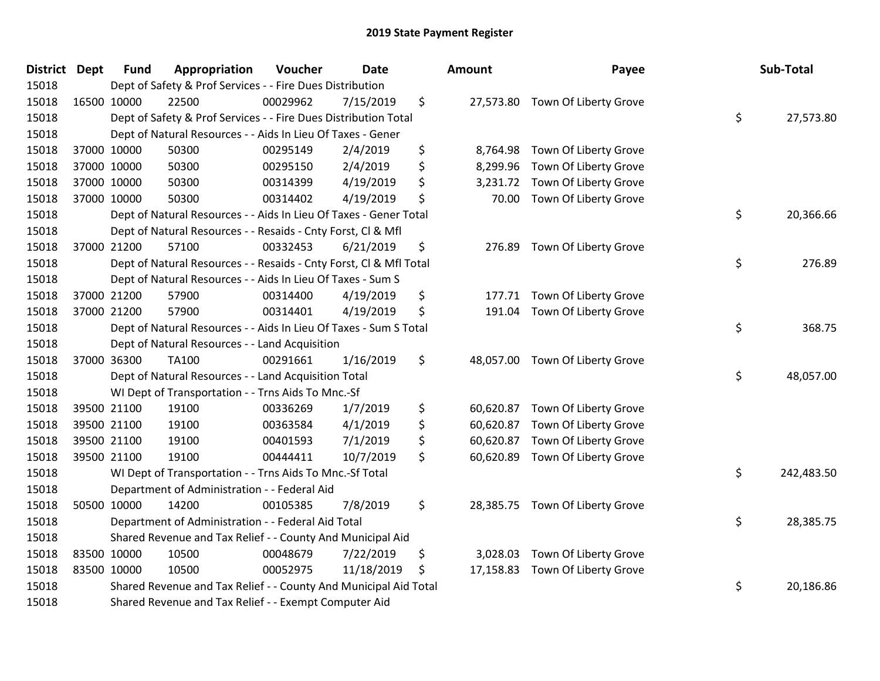| <b>District</b> | <b>Dept</b> | <b>Fund</b>                                                       | Appropriation                                                      | Voucher  | Date       |    | <b>Amount</b> | Payee                           |    | Sub-Total  |  |
|-----------------|-------------|-------------------------------------------------------------------|--------------------------------------------------------------------|----------|------------|----|---------------|---------------------------------|----|------------|--|
| 15018           |             |                                                                   | Dept of Safety & Prof Services - - Fire Dues Distribution          |          |            |    |               |                                 |    |            |  |
| 15018           |             | 16500 10000                                                       | 22500                                                              | 00029962 | 7/15/2019  | \$ |               | 27,573.80 Town Of Liberty Grove |    |            |  |
| 15018           |             |                                                                   | Dept of Safety & Prof Services - - Fire Dues Distribution Total    |          |            |    |               |                                 | \$ | 27,573.80  |  |
| 15018           |             |                                                                   | Dept of Natural Resources - - Aids In Lieu Of Taxes - Gener        |          |            |    |               |                                 |    |            |  |
| 15018           |             | 37000 10000                                                       | 50300                                                              | 00295149 | 2/4/2019   | \$ | 8,764.98      | Town Of Liberty Grove           |    |            |  |
| 15018           |             | 37000 10000                                                       | 50300                                                              | 00295150 | 2/4/2019   | \$ | 8,299.96      | Town Of Liberty Grove           |    |            |  |
| 15018           |             | 37000 10000                                                       | 50300                                                              | 00314399 | 4/19/2019  | \$ | 3,231.72      | Town Of Liberty Grove           |    |            |  |
| 15018           |             | 37000 10000                                                       | 50300                                                              | 00314402 | 4/19/2019  | \$ | 70.00         | Town Of Liberty Grove           |    |            |  |
| 15018           |             |                                                                   | Dept of Natural Resources - - Aids In Lieu Of Taxes - Gener Total  |          |            |    |               |                                 | \$ | 20,366.66  |  |
| 15018           |             |                                                                   | Dept of Natural Resources - - Resaids - Cnty Forst, Cl & Mfl       |          |            |    |               |                                 |    |            |  |
| 15018           |             | 37000 21200                                                       | 57100                                                              | 00332453 | 6/21/2019  | \$ | 276.89        | Town Of Liberty Grove           |    |            |  |
| 15018           |             |                                                                   | Dept of Natural Resources - - Resaids - Cnty Forst, Cl & Mfl Total |          |            |    |               |                                 | \$ | 276.89     |  |
| 15018           |             |                                                                   | Dept of Natural Resources - - Aids In Lieu Of Taxes - Sum S        |          |            |    |               |                                 |    |            |  |
| 15018           |             | 37000 21200                                                       | 57900                                                              | 00314400 | 4/19/2019  | \$ | 177.71        | Town Of Liberty Grove           |    |            |  |
| 15018           |             | 37000 21200                                                       | 57900                                                              | 00314401 | 4/19/2019  | \$ | 191.04        | Town Of Liberty Grove           |    |            |  |
| 15018           |             | Dept of Natural Resources - - Aids In Lieu Of Taxes - Sum S Total |                                                                    |          |            |    |               |                                 |    | 368.75     |  |
| 15018           |             |                                                                   | Dept of Natural Resources - - Land Acquisition                     |          |            |    |               |                                 |    |            |  |
| 15018           |             | 37000 36300                                                       | TA100                                                              | 00291661 | 1/16/2019  | \$ |               | 48,057.00 Town Of Liberty Grove |    |            |  |
| 15018           |             |                                                                   | Dept of Natural Resources - - Land Acquisition Total               |          |            |    |               |                                 | \$ | 48,057.00  |  |
| 15018           |             |                                                                   | WI Dept of Transportation - - Trns Aids To Mnc.-Sf                 |          |            |    |               |                                 |    |            |  |
| 15018           |             | 39500 21100                                                       | 19100                                                              | 00336269 | 1/7/2019   | \$ | 60,620.87     | Town Of Liberty Grove           |    |            |  |
| 15018           |             | 39500 21100                                                       | 19100                                                              | 00363584 | 4/1/2019   | \$ | 60,620.87     | Town Of Liberty Grove           |    |            |  |
| 15018           |             | 39500 21100                                                       | 19100                                                              | 00401593 | 7/1/2019   | \$ | 60,620.87     | Town Of Liberty Grove           |    |            |  |
| 15018           |             | 39500 21100                                                       | 19100                                                              | 00444411 | 10/7/2019  | \$ | 60,620.89     | Town Of Liberty Grove           |    |            |  |
| 15018           |             |                                                                   | WI Dept of Transportation - - Trns Aids To Mnc.-Sf Total           |          |            |    |               |                                 | \$ | 242,483.50 |  |
| 15018           |             |                                                                   | Department of Administration - - Federal Aid                       |          |            |    |               |                                 |    |            |  |
| 15018           |             | 50500 10000                                                       | 14200                                                              | 00105385 | 7/8/2019   | \$ |               | 28,385.75 Town Of Liberty Grove |    |            |  |
| 15018           |             |                                                                   | Department of Administration - - Federal Aid Total                 |          |            |    |               |                                 | \$ | 28,385.75  |  |
| 15018           |             |                                                                   | Shared Revenue and Tax Relief - - County And Municipal Aid         |          |            |    |               |                                 |    |            |  |
| 15018           |             | 83500 10000                                                       | 10500                                                              | 00048679 | 7/22/2019  | \$ | 3,028.03      | Town Of Liberty Grove           |    |            |  |
| 15018           |             | 83500 10000                                                       | 10500                                                              | 00052975 | 11/18/2019 | \$ | 17,158.83     | Town Of Liberty Grove           |    |            |  |
| 15018           |             |                                                                   | Shared Revenue and Tax Relief - - County And Municipal Aid Total   |          |            |    |               |                                 | \$ | 20,186.86  |  |
| 15018           |             |                                                                   | Shared Revenue and Tax Relief - - Exempt Computer Aid              |          |            |    |               |                                 |    |            |  |

| ount      | Payee                 | Sub-Total        |
|-----------|-----------------------|------------------|
| 27,573.80 | Town Of Liberty Grove | \$<br>27,573.80  |
| 8,764.98  | Town Of Liberty Grove |                  |
| 8,299.96  | Town Of Liberty Grove |                  |
| 3,231.72  | Town Of Liberty Grove |                  |
| 70.00     | Town Of Liberty Grove |                  |
|           |                       | \$<br>20,366.66  |
| 276.89    | Town Of Liberty Grove |                  |
|           |                       | \$<br>276.89     |
| 177.71    | Town Of Liberty Grove |                  |
| 191.04    | Town Of Liberty Grove |                  |
|           |                       | \$<br>368.75     |
| 48,057.00 | Town Of Liberty Grove | \$<br>48,057.00  |
|           |                       |                  |
| 60,620.87 | Town Of Liberty Grove |                  |
| 60,620.87 | Town Of Liberty Grove |                  |
| 60,620.87 | Town Of Liberty Grove |                  |
| 60,620.89 | Town Of Liberty Grove |                  |
|           |                       | \$<br>242,483.50 |
| 28,385.75 | Town Of Liberty Grove |                  |
|           |                       | \$<br>28,385.75  |
| 3,028.03  | Town Of Liberty Grove |                  |
| 17,158.83 | Town Of Liberty Grove |                  |
|           |                       | \$<br>20,186.86  |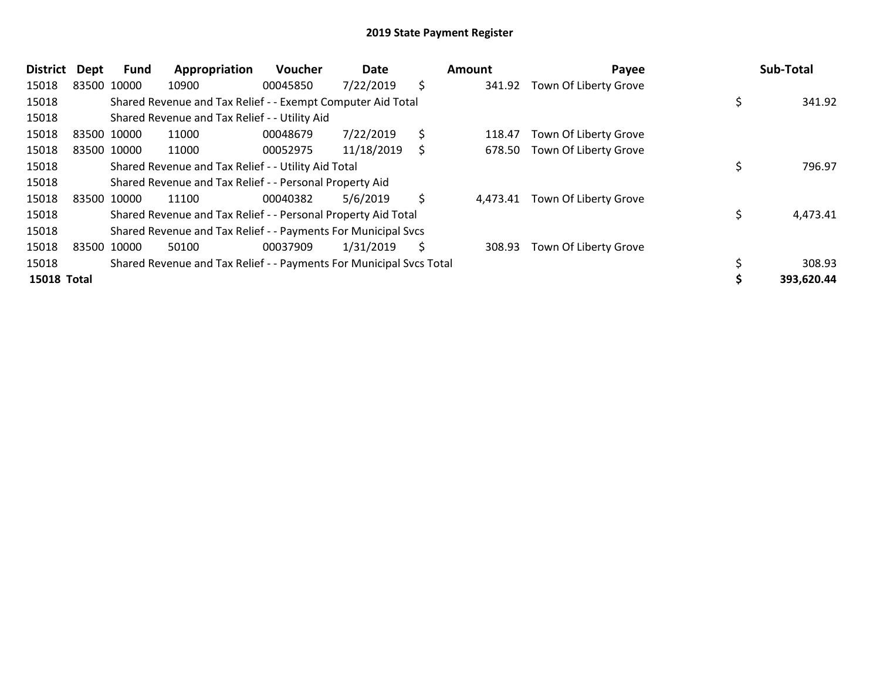| <b>District</b>    | <b>Dept</b> | <b>Fund</b> | Appropriation                                                       | Voucher  | Date       |    | Amount   | Payee                 | Sub-Total  |
|--------------------|-------------|-------------|---------------------------------------------------------------------|----------|------------|----|----------|-----------------------|------------|
| 15018              |             | 83500 10000 | 10900                                                               | 00045850 | 7/22/2019  | \$ | 341.92   | Town Of Liberty Grove |            |
| 15018              |             |             | Shared Revenue and Tax Relief - - Exempt Computer Aid Total         |          |            |    |          |                       | 341.92     |
| 15018              |             |             | Shared Revenue and Tax Relief - - Utility Aid                       |          |            |    |          |                       |            |
| 15018              |             | 83500 10000 | 11000                                                               | 00048679 | 7/22/2019  | \$ | 118.47   | Town Of Liberty Grove |            |
| 15018              |             | 83500 10000 | 11000                                                               | 00052975 | 11/18/2019 | Ś  | 678.50   | Town Of Liberty Grove |            |
| 15018              |             |             | Shared Revenue and Tax Relief - - Utility Aid Total                 | 796.97   |            |    |          |                       |            |
| 15018              |             |             | Shared Revenue and Tax Relief - - Personal Property Aid             |          |            |    |          |                       |            |
| 15018              |             | 83500 10000 | 11100                                                               | 00040382 | 5/6/2019   | \$ | 4,473.41 | Town Of Liberty Grove |            |
| 15018              |             |             | Shared Revenue and Tax Relief - - Personal Property Aid Total       |          |            |    |          |                       | 4,473.41   |
| 15018              |             |             | Shared Revenue and Tax Relief - - Payments For Municipal Svcs       |          |            |    |          |                       |            |
| 15018              |             | 83500 10000 | 50100                                                               | 00037909 | 1/31/2019  | S  | 308.93   | Town Of Liberty Grove |            |
| 15018              |             |             | Shared Revenue and Tax Relief - - Payments For Municipal Svcs Total |          |            |    |          |                       | 308.93     |
| <b>15018 Total</b> |             |             |                                                                     |          |            |    |          |                       | 393,620.44 |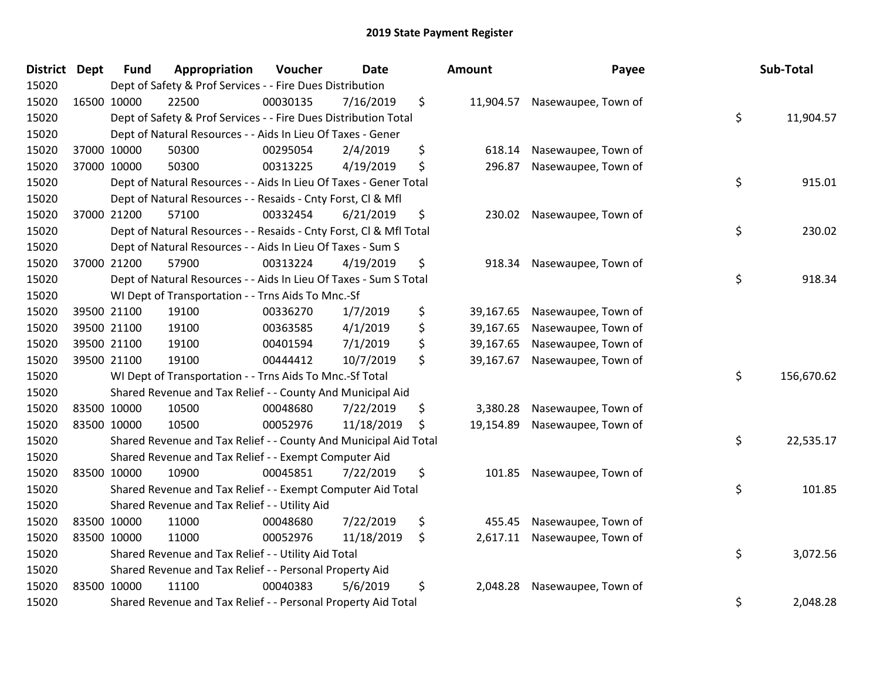| <b>District Dept</b> | <b>Fund</b> | Appropriation                                                      | Voucher  | <b>Date</b> | Amount          | Payee                         | Sub-Total        |
|----------------------|-------------|--------------------------------------------------------------------|----------|-------------|-----------------|-------------------------------|------------------|
| 15020                |             | Dept of Safety & Prof Services - - Fire Dues Distribution          |          |             |                 |                               |                  |
| 15020                | 16500 10000 | 22500                                                              | 00030135 | 7/16/2019   | \$              | 11,904.57 Nasewaupee, Town of |                  |
| 15020                |             | Dept of Safety & Prof Services - - Fire Dues Distribution Total    |          |             |                 |                               | \$<br>11,904.57  |
| 15020                |             | Dept of Natural Resources - - Aids In Lieu Of Taxes - Gener        |          |             |                 |                               |                  |
| 15020                | 37000 10000 | 50300                                                              | 00295054 | 2/4/2019    | \$<br>618.14    | Nasewaupee, Town of           |                  |
| 15020                | 37000 10000 | 50300                                                              | 00313225 | 4/19/2019   | \$<br>296.87    | Nasewaupee, Town of           |                  |
| 15020                |             | Dept of Natural Resources - - Aids In Lieu Of Taxes - Gener Total  |          |             |                 |                               | \$<br>915.01     |
| 15020                |             | Dept of Natural Resources - - Resaids - Cnty Forst, Cl & Mfl       |          |             |                 |                               |                  |
| 15020                | 37000 21200 | 57100                                                              | 00332454 | 6/21/2019   | \$              | 230.02 Nasewaupee, Town of    |                  |
| 15020                |             | Dept of Natural Resources - - Resaids - Cnty Forst, CI & Mfl Total |          |             |                 |                               | \$<br>230.02     |
| 15020                |             | Dept of Natural Resources - - Aids In Lieu Of Taxes - Sum S        |          |             |                 |                               |                  |
| 15020                | 37000 21200 | 57900                                                              | 00313224 | 4/19/2019   | \$<br>918.34    | Nasewaupee, Town of           |                  |
| 15020                |             | Dept of Natural Resources - - Aids In Lieu Of Taxes - Sum S Total  |          |             |                 |                               | \$<br>918.34     |
| 15020                |             | WI Dept of Transportation - - Trns Aids To Mnc.-Sf                 |          |             |                 |                               |                  |
| 15020                | 39500 21100 | 19100                                                              | 00336270 | 1/7/2019    | \$<br>39,167.65 | Nasewaupee, Town of           |                  |
| 15020                | 39500 21100 | 19100                                                              | 00363585 | 4/1/2019    | \$<br>39,167.65 | Nasewaupee, Town of           |                  |
| 15020                | 39500 21100 | 19100                                                              | 00401594 | 7/1/2019    | \$<br>39,167.65 | Nasewaupee, Town of           |                  |
| 15020                | 39500 21100 | 19100                                                              | 00444412 | 10/7/2019   | \$<br>39,167.67 | Nasewaupee, Town of           |                  |
| 15020                |             | WI Dept of Transportation - - Trns Aids To Mnc.-Sf Total           |          |             |                 |                               | \$<br>156,670.62 |
| 15020                |             | Shared Revenue and Tax Relief - - County And Municipal Aid         |          |             |                 |                               |                  |
| 15020                | 83500 10000 | 10500                                                              | 00048680 | 7/22/2019   | \$<br>3,380.28  | Nasewaupee, Town of           |                  |
| 15020                | 83500 10000 | 10500                                                              | 00052976 | 11/18/2019  | \$<br>19,154.89 | Nasewaupee, Town of           |                  |
| 15020                |             | Shared Revenue and Tax Relief - - County And Municipal Aid Total   |          |             |                 |                               | \$<br>22,535.17  |
| 15020                |             | Shared Revenue and Tax Relief - - Exempt Computer Aid              |          |             |                 |                               |                  |
| 15020                | 83500 10000 | 10900                                                              | 00045851 | 7/22/2019   | \$<br>101.85    | Nasewaupee, Town of           |                  |
| 15020                |             | Shared Revenue and Tax Relief - - Exempt Computer Aid Total        |          |             |                 |                               | \$<br>101.85     |
| 15020                |             | Shared Revenue and Tax Relief - - Utility Aid                      |          |             |                 |                               |                  |
| 15020                | 83500 10000 | 11000                                                              | 00048680 | 7/22/2019   | \$<br>455.45    | Nasewaupee, Town of           |                  |
| 15020                | 83500 10000 | 11000                                                              | 00052976 | 11/18/2019  | \$<br>2,617.11  | Nasewaupee, Town of           |                  |
| 15020                |             | Shared Revenue and Tax Relief - - Utility Aid Total                |          |             |                 |                               | \$<br>3,072.56   |
| 15020                |             | Shared Revenue and Tax Relief - - Personal Property Aid            |          |             |                 |                               |                  |
| 15020                | 83500 10000 | 11100                                                              | 00040383 | 5/6/2019    | \$<br>2,048.28  | Nasewaupee, Town of           |                  |
| 15020                |             | Shared Revenue and Tax Relief - - Personal Property Aid Total      |          |             |                 |                               | \$<br>2,048.28   |

| nount     | Payee               | <b>Sub-Total</b> |
|-----------|---------------------|------------------|
| 11,904.57 | Nasewaupee, Town of | \$<br>11,904.57  |
| 618.14    | Nasewaupee, Town of |                  |
| 296.87    | Nasewaupee, Town of |                  |
|           |                     | \$<br>915.01     |
| 230.02    | Nasewaupee, Town of |                  |
|           |                     | \$<br>230.02     |
| 918.34    | Nasewaupee, Town of |                  |
|           |                     | \$<br>918.34     |
|           |                     |                  |
| 39,167.65 | Nasewaupee, Town of |                  |
| 39,167.65 | Nasewaupee, Town of |                  |
| 39,167.65 | Nasewaupee, Town of |                  |
| 39,167.67 | Nasewaupee, Town of |                  |
|           |                     | \$<br>156,670.62 |
| 3,380.28  | Nasewaupee, Town of |                  |
| 19,154.89 | Nasewaupee, Town of |                  |
|           |                     | \$<br>22,535.17  |
| 101.85    | Nasewaupee, Town of |                  |
|           |                     | \$<br>101.85     |
| 455.45    | Nasewaupee, Town of |                  |
| 2,617.11  | Nasewaupee, Town of |                  |
|           |                     | \$<br>3,072.56   |
| 2,048.28  | Nasewaupee, Town of |                  |
|           |                     | \$<br>2,048.28   |
|           |                     |                  |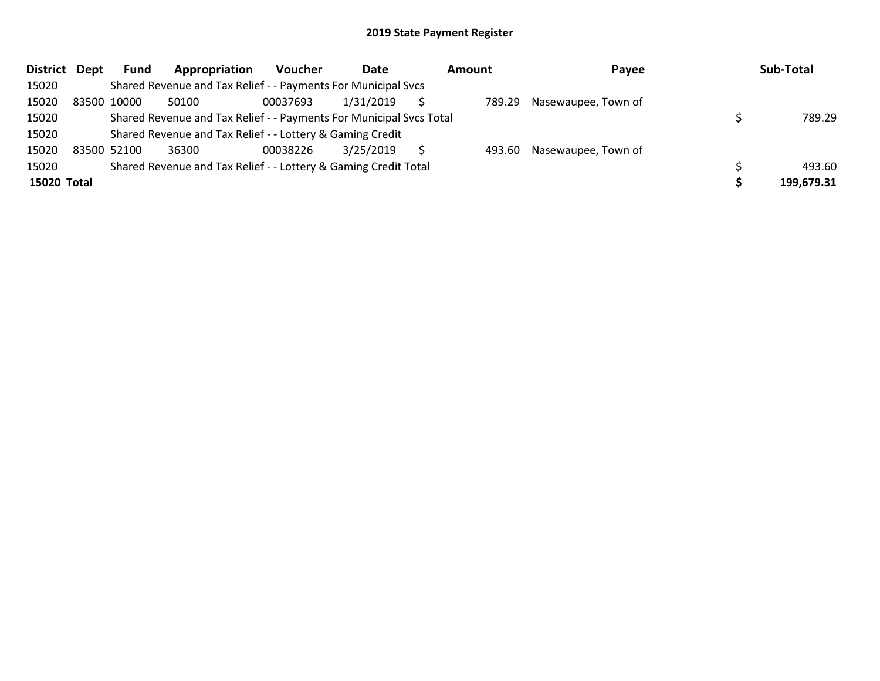| District Dept | <b>Fund</b> | Appropriation                                                       | Voucher  | Date      | <b>Amount</b> | Payee               | Sub-Total  |
|---------------|-------------|---------------------------------------------------------------------|----------|-----------|---------------|---------------------|------------|
| 15020         |             | Shared Revenue and Tax Relief - - Payments For Municipal Svcs       |          |           |               |                     |            |
| 15020         | 83500 10000 | 50100                                                               | 00037693 | 1/31/2019 | 789.29        | Nasewaupee, Town of |            |
| 15020         |             | Shared Revenue and Tax Relief - - Payments For Municipal Svcs Total |          |           |               |                     | 789.29     |
| 15020         |             | Shared Revenue and Tax Relief - - Lottery & Gaming Credit           |          |           |               |                     |            |
| 15020         | 83500 52100 | 36300                                                               | 00038226 | 3/25/2019 | 493.60        | Nasewaupee, Town of |            |
| 15020         |             | Shared Revenue and Tax Relief - - Lottery & Gaming Credit Total     |          |           |               |                     | 493.60     |
| 15020 Total   |             |                                                                     |          |           |               |                     | 199,679.31 |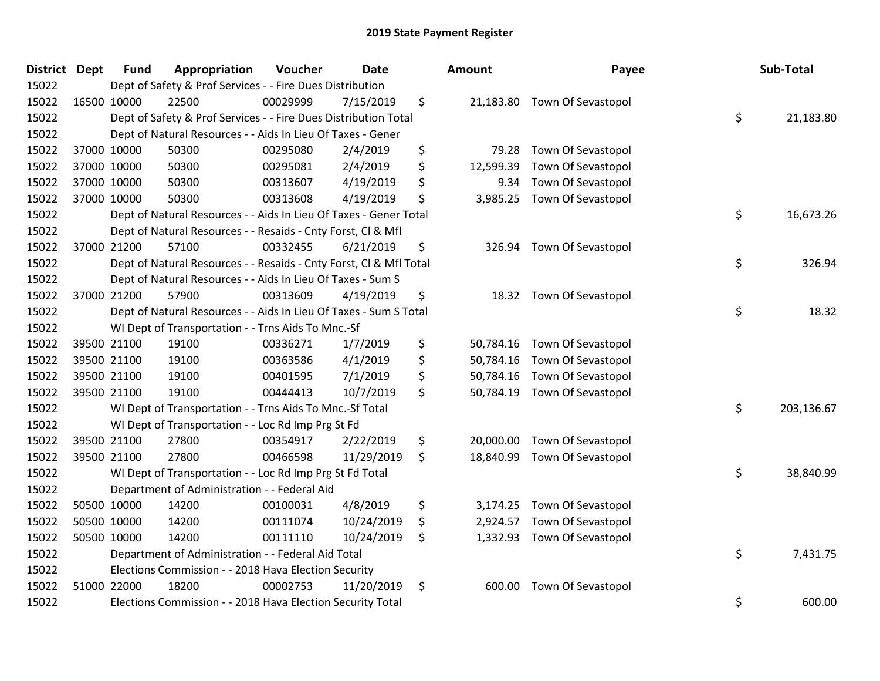| <b>District Dept</b> | <b>Fund</b> | Appropriation                                                      | Voucher  | <b>Date</b> | Amount          | Payee              | Sub-Total        |
|----------------------|-------------|--------------------------------------------------------------------|----------|-------------|-----------------|--------------------|------------------|
| 15022                |             | Dept of Safety & Prof Services - - Fire Dues Distribution          |          |             |                 |                    |                  |
| 15022                | 16500 10000 | 22500                                                              | 00029999 | 7/15/2019   | \$<br>21,183.80 | Town Of Sevastopol |                  |
| 15022                |             | Dept of Safety & Prof Services - - Fire Dues Distribution Total    |          |             |                 |                    | \$<br>21,183.80  |
| 15022                |             | Dept of Natural Resources - - Aids In Lieu Of Taxes - Gener        |          |             |                 |                    |                  |
| 15022                | 37000 10000 | 50300                                                              | 00295080 | 2/4/2019    | \$<br>79.28     | Town Of Sevastopol |                  |
| 15022                | 37000 10000 | 50300                                                              | 00295081 | 2/4/2019    | \$<br>12,599.39 | Town Of Sevastopol |                  |
| 15022                | 37000 10000 | 50300                                                              | 00313607 | 4/19/2019   | \$<br>9.34      | Town Of Sevastopol |                  |
| 15022                | 37000 10000 | 50300                                                              | 00313608 | 4/19/2019   | \$<br>3,985.25  | Town Of Sevastopol |                  |
| 15022                |             | Dept of Natural Resources - - Aids In Lieu Of Taxes - Gener Total  |          |             |                 |                    | \$<br>16,673.26  |
| 15022                |             | Dept of Natural Resources - - Resaids - Cnty Forst, Cl & Mfl       |          |             |                 |                    |                  |
| 15022                | 37000 21200 | 57100                                                              | 00332455 | 6/21/2019   | \$<br>326.94    | Town Of Sevastopol |                  |
| 15022                |             | Dept of Natural Resources - - Resaids - Cnty Forst, Cl & Mfl Total |          |             |                 |                    | \$<br>326.94     |
| 15022                |             | Dept of Natural Resources - - Aids In Lieu Of Taxes - Sum S        |          |             |                 |                    |                  |
| 15022                | 37000 21200 | 57900                                                              | 00313609 | 4/19/2019   | \$<br>18.32     | Town Of Sevastopol |                  |
| 15022                |             | Dept of Natural Resources - - Aids In Lieu Of Taxes - Sum S Total  |          |             |                 |                    | \$<br>18.32      |
| 15022                |             | WI Dept of Transportation - - Trns Aids To Mnc.-Sf                 |          |             |                 |                    |                  |
| 15022                | 39500 21100 | 19100                                                              | 00336271 | 1/7/2019    | \$<br>50,784.16 | Town Of Sevastopol |                  |
| 15022                | 39500 21100 | 19100                                                              | 00363586 | 4/1/2019    | \$<br>50,784.16 | Town Of Sevastopol |                  |
| 15022                | 39500 21100 | 19100                                                              | 00401595 | 7/1/2019    | \$<br>50,784.16 | Town Of Sevastopol |                  |
| 15022                | 39500 21100 | 19100                                                              | 00444413 | 10/7/2019   | \$<br>50,784.19 | Town Of Sevastopol |                  |
| 15022                |             | WI Dept of Transportation - - Trns Aids To Mnc.-Sf Total           |          |             |                 |                    | \$<br>203,136.67 |
| 15022                |             | WI Dept of Transportation - - Loc Rd Imp Prg St Fd                 |          |             |                 |                    |                  |
| 15022                | 39500 21100 | 27800                                                              | 00354917 | 2/22/2019   | \$<br>20,000.00 | Town Of Sevastopol |                  |
| 15022                | 39500 21100 | 27800                                                              | 00466598 | 11/29/2019  | \$<br>18,840.99 | Town Of Sevastopol |                  |
| 15022                |             | WI Dept of Transportation - - Loc Rd Imp Prg St Fd Total           |          |             |                 |                    | \$<br>38,840.99  |
| 15022                |             | Department of Administration - - Federal Aid                       |          |             |                 |                    |                  |
| 15022                | 50500 10000 | 14200                                                              | 00100031 | 4/8/2019    | \$<br>3,174.25  | Town Of Sevastopol |                  |
| 15022                | 50500 10000 | 14200                                                              | 00111074 | 10/24/2019  | \$<br>2,924.57  | Town Of Sevastopol |                  |
| 15022                | 50500 10000 | 14200                                                              | 00111110 | 10/24/2019  | \$<br>1,332.93  | Town Of Sevastopol |                  |
| 15022                |             | Department of Administration - - Federal Aid Total                 |          |             |                 |                    | \$<br>7,431.75   |
| 15022                |             | Elections Commission - - 2018 Hava Election Security               |          |             |                 |                    |                  |
| 15022                | 51000 22000 | 18200                                                              | 00002753 | 11/20/2019  | \$<br>600.00    | Town Of Sevastopol |                  |
| 15022                |             | Elections Commission - - 2018 Hava Election Security Total         |          |             |                 |                    | \$<br>600.00     |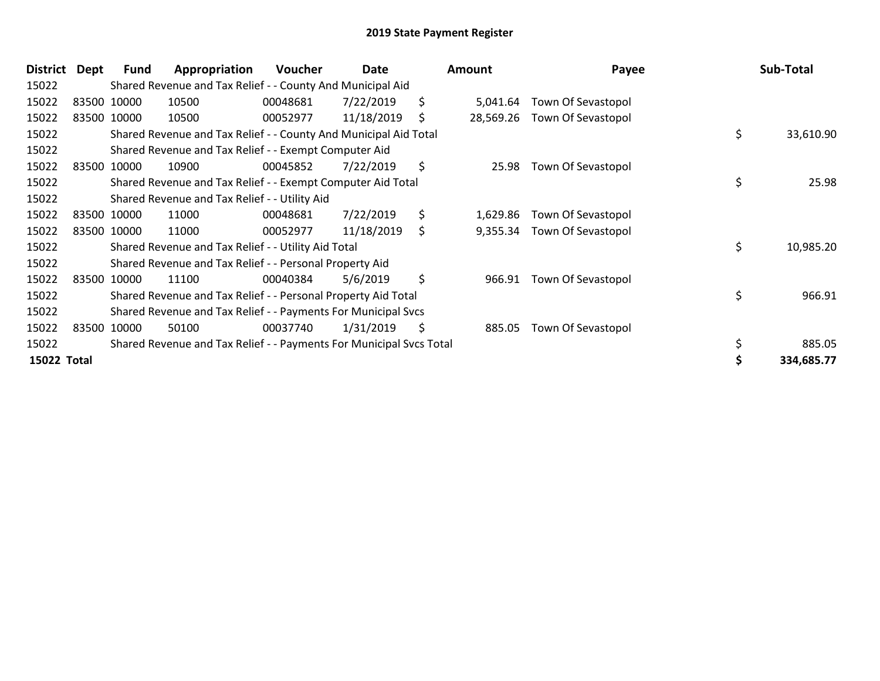| <b>District</b> | Dept | <b>Fund</b> | Appropriation                                                       | <b>Voucher</b> | Date       | Amount          | Payee                       | Sub-Total       |
|-----------------|------|-------------|---------------------------------------------------------------------|----------------|------------|-----------------|-----------------------------|-----------------|
| 15022           |      |             | Shared Revenue and Tax Relief - - County And Municipal Aid          |                |            |                 |                             |                 |
| 15022           |      | 83500 10000 | 10500                                                               | 00048681       | 7/22/2019  | \$<br>5,041.64  | Town Of Sevastopol          |                 |
| 15022           |      | 83500 10000 | 10500                                                               | 00052977       | 11/18/2019 | \$<br>28,569.26 | Town Of Sevastopol          |                 |
| 15022           |      |             | Shared Revenue and Tax Relief - - County And Municipal Aid Total    |                |            |                 |                             | \$<br>33,610.90 |
| 15022           |      |             | Shared Revenue and Tax Relief - - Exempt Computer Aid               |                |            |                 |                             |                 |
| 15022           |      | 83500 10000 | 10900                                                               | 00045852       | 7/22/2019  | \$<br>25.98     | Town Of Sevastopol          |                 |
| 15022           |      |             | Shared Revenue and Tax Relief - - Exempt Computer Aid Total         |                |            |                 |                             | \$<br>25.98     |
| 15022           |      |             | Shared Revenue and Tax Relief - - Utility Aid                       |                |            |                 |                             |                 |
| 15022           |      | 83500 10000 | 11000                                                               | 00048681       | 7/22/2019  | \$<br>1,629.86  | Town Of Sevastopol          |                 |
| 15022           |      | 83500 10000 | 11000                                                               | 00052977       | 11/18/2019 | \$              | 9,355.34 Town Of Sevastopol |                 |
| 15022           |      |             | Shared Revenue and Tax Relief - - Utility Aid Total                 |                |            |                 |                             | \$<br>10,985.20 |
| 15022           |      |             | Shared Revenue and Tax Relief - - Personal Property Aid             |                |            |                 |                             |                 |
| 15022           |      | 83500 10000 | 11100                                                               | 00040384       | 5/6/2019   | \$<br>966.91    | Town Of Sevastopol          |                 |
| 15022           |      |             | Shared Revenue and Tax Relief - - Personal Property Aid Total       |                |            |                 |                             | \$<br>966.91    |
| 15022           |      |             | Shared Revenue and Tax Relief - - Payments For Municipal Svcs       |                |            |                 |                             |                 |
| 15022           |      | 83500 10000 | 50100                                                               | 00037740       | 1/31/2019  | \$<br>885.05    | Town Of Sevastopol          |                 |
| 15022           |      |             | Shared Revenue and Tax Relief - - Payments For Municipal Svcs Total |                |            |                 |                             | \$<br>885.05    |
| 15022 Total     |      |             |                                                                     |                |            |                 |                             | 334,685.77      |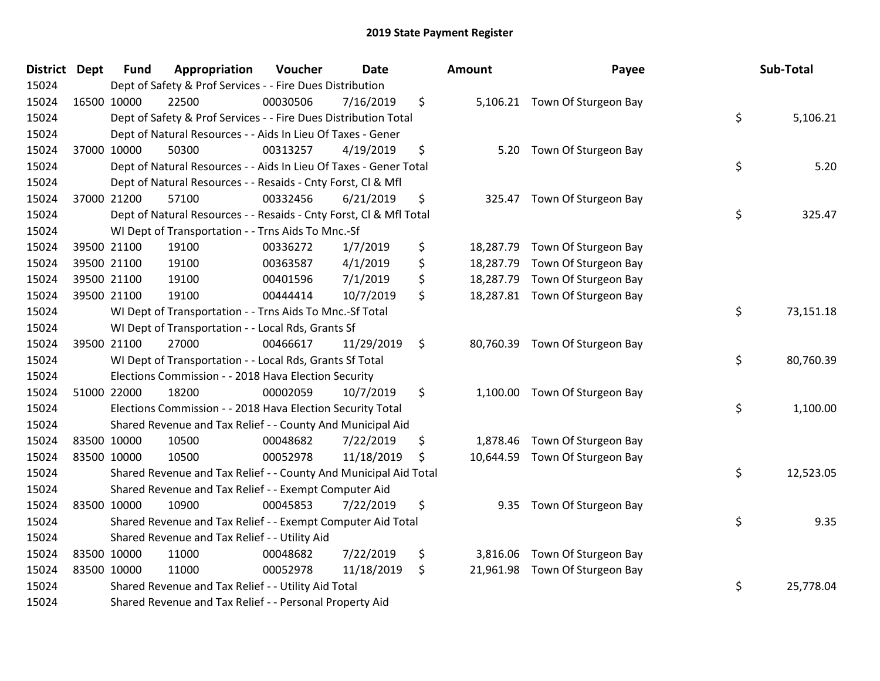| <b>District Dept</b> | <b>Fund</b> | Appropriation                                                      | Voucher  | <b>Date</b> | Amount         | Payee                          | Sub-Total       |
|----------------------|-------------|--------------------------------------------------------------------|----------|-------------|----------------|--------------------------------|-----------------|
| 15024                |             | Dept of Safety & Prof Services - - Fire Dues Distribution          |          |             |                |                                |                 |
| 15024                | 16500 10000 | 22500                                                              | 00030506 | 7/16/2019   | \$             | 5,106.21 Town Of Sturgeon Bay  |                 |
| 15024                |             | Dept of Safety & Prof Services - - Fire Dues Distribution Total    |          |             |                |                                | \$<br>5,106.21  |
| 15024                |             | Dept of Natural Resources - - Aids In Lieu Of Taxes - Gener        |          |             |                |                                |                 |
| 15024                | 37000 10000 | 50300                                                              | 00313257 | 4/19/2019   | \$<br>5.20     | Town Of Sturgeon Bay           |                 |
| 15024                |             | Dept of Natural Resources - - Aids In Lieu Of Taxes - Gener Total  |          |             |                |                                | \$<br>5.20      |
| 15024                |             | Dept of Natural Resources - - Resaids - Cnty Forst, Cl & Mfl       |          |             |                |                                |                 |
| 15024                | 37000 21200 | 57100                                                              | 00332456 | 6/21/2019   | \$<br>325.47   | Town Of Sturgeon Bay           |                 |
| 15024                |             | Dept of Natural Resources - - Resaids - Cnty Forst, Cl & Mfl Total |          |             |                |                                | \$<br>325.47    |
| 15024                |             | WI Dept of Transportation - - Trns Aids To Mnc.-Sf                 |          |             |                |                                |                 |
| 15024                | 39500 21100 | 19100                                                              | 00336272 | 1/7/2019    | \$             | 18,287.79 Town Of Sturgeon Bay |                 |
| 15024                | 39500 21100 | 19100                                                              | 00363587 | 4/1/2019    | \$             | 18,287.79 Town Of Sturgeon Bay |                 |
| 15024                | 39500 21100 | 19100                                                              | 00401596 | 7/1/2019    | \$             | 18,287.79 Town Of Sturgeon Bay |                 |
| 15024                | 39500 21100 | 19100                                                              | 00444414 | 10/7/2019   | \$             | 18,287.81 Town Of Sturgeon Bay |                 |
| 15024                |             | WI Dept of Transportation - - Trns Aids To Mnc.-Sf Total           |          |             |                |                                | \$<br>73,151.18 |
| 15024                |             | WI Dept of Transportation - - Local Rds, Grants Sf                 |          |             |                |                                |                 |
| 15024                | 39500 21100 | 27000                                                              | 00466617 | 11/29/2019  | \$             | 80,760.39 Town Of Sturgeon Bay |                 |
| 15024                |             | WI Dept of Transportation - - Local Rds, Grants Sf Total           |          |             |                |                                | \$<br>80,760.39 |
| 15024                |             | Elections Commission - - 2018 Hava Election Security               |          |             |                |                                |                 |
| 15024                | 51000 22000 | 18200                                                              | 00002059 | 10/7/2019   | \$             | 1,100.00 Town Of Sturgeon Bay  |                 |
| 15024                |             | Elections Commission - - 2018 Hava Election Security Total         |          |             |                |                                | \$<br>1,100.00  |
| 15024                |             | Shared Revenue and Tax Relief - - County And Municipal Aid         |          |             |                |                                |                 |
| 15024                | 83500 10000 | 10500                                                              | 00048682 | 7/22/2019   | \$             | 1,878.46 Town Of Sturgeon Bay  |                 |
| 15024                | 83500 10000 | 10500                                                              | 00052978 | 11/18/2019  | \$             | 10,644.59 Town Of Sturgeon Bay |                 |
| 15024                |             | Shared Revenue and Tax Relief - - County And Municipal Aid Total   |          |             |                |                                | \$<br>12,523.05 |
| 15024                |             | Shared Revenue and Tax Relief - - Exempt Computer Aid              |          |             |                |                                |                 |
| 15024                | 83500 10000 | 10900                                                              | 00045853 | 7/22/2019   | \$<br>9.35     | Town Of Sturgeon Bay           |                 |
| 15024                |             | Shared Revenue and Tax Relief - - Exempt Computer Aid Total        |          |             |                |                                | \$<br>9.35      |
| 15024                |             | Shared Revenue and Tax Relief - - Utility Aid                      |          |             |                |                                |                 |
| 15024                | 83500 10000 | 11000                                                              | 00048682 | 7/22/2019   | \$<br>3,816.06 | Town Of Sturgeon Bay           |                 |
| 15024                | 83500 10000 | 11000                                                              | 00052978 | 11/18/2019  | \$             | 21,961.98 Town Of Sturgeon Bay |                 |
| 15024                |             | Shared Revenue and Tax Relief - - Utility Aid Total                |          |             |                |                                | \$<br>25,778.04 |
| 15024                |             | Shared Revenue and Tax Relief - - Personal Property Aid            |          |             |                |                                |                 |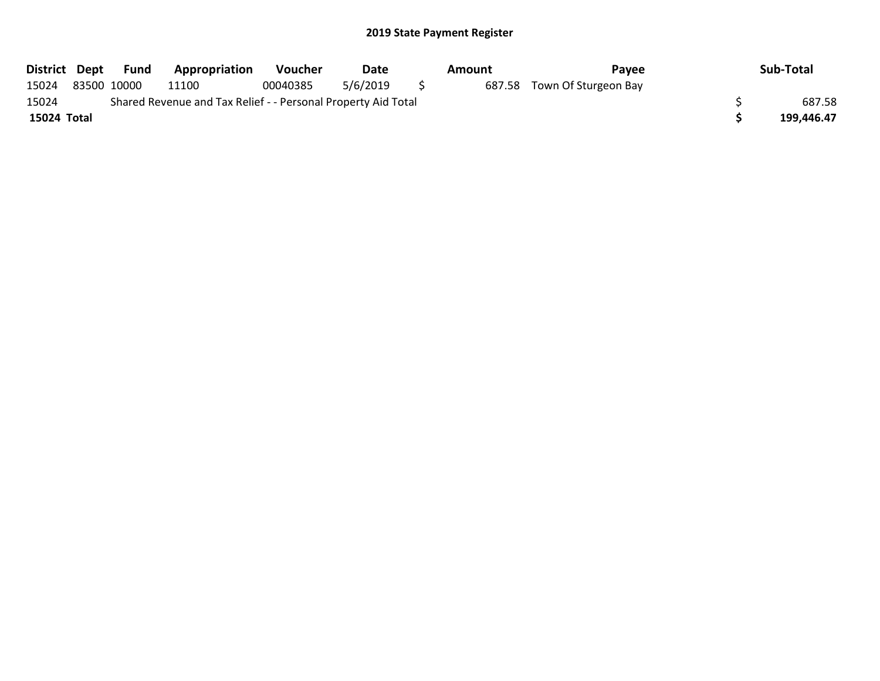| District Dept |                                                               | Fund        | <b>Appropriation</b> | <b>Voucher</b> | Date     |  | Amount | Pavee                       |  | Sub-Total  |
|---------------|---------------------------------------------------------------|-------------|----------------------|----------------|----------|--|--------|-----------------------------|--|------------|
| 15024         |                                                               | 83500 10000 | 11100                | 00040385       | 5/6/2019 |  |        | 687.58 Town Of Sturgeon Bay |  |            |
| 15024         | Shared Revenue and Tax Relief - - Personal Property Aid Total |             |                      |                |          |  |        |                             |  |            |
| 15024 Total   |                                                               |             |                      |                |          |  |        |                             |  | 199.446.47 |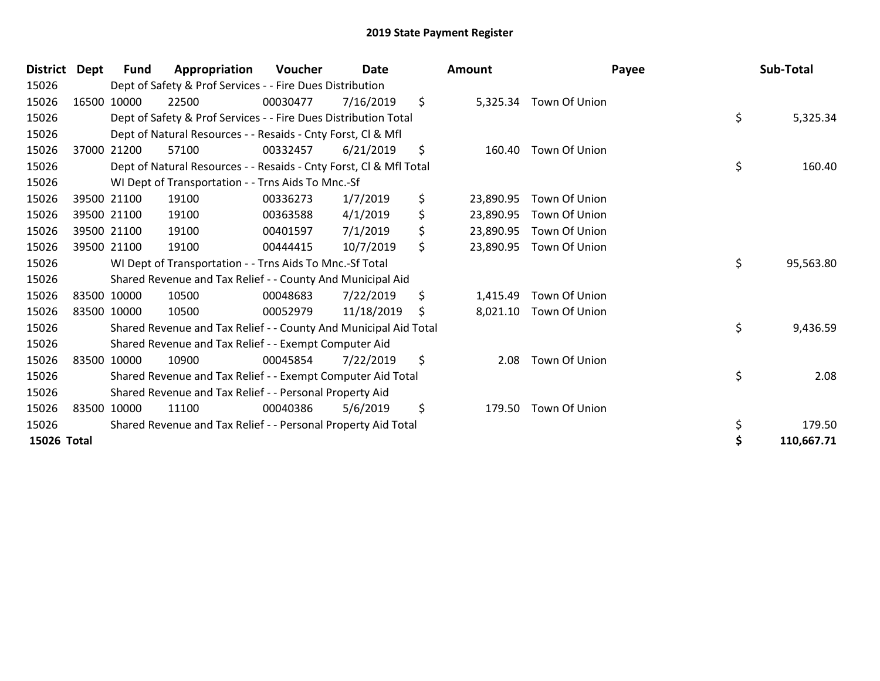| <b>District</b> | Dept | Fund        | Appropriation                                                      | <b>Voucher</b> | Date       | <b>Amount</b>   | Payee         | Sub-Total        |
|-----------------|------|-------------|--------------------------------------------------------------------|----------------|------------|-----------------|---------------|------------------|
| 15026           |      |             | Dept of Safety & Prof Services - - Fire Dues Distribution          |                |            |                 |               |                  |
| 15026           |      | 16500 10000 | 22500                                                              | 00030477       | 7/16/2019  | \$<br>5,325.34  | Town Of Union |                  |
| 15026           |      |             | Dept of Safety & Prof Services - - Fire Dues Distribution Total    |                |            |                 |               | \$<br>5,325.34   |
| 15026           |      |             | Dept of Natural Resources - - Resaids - Cnty Forst, CI & Mfl       |                |            |                 |               |                  |
| 15026           |      | 37000 21200 | 57100                                                              | 00332457       | 6/21/2019  | \$<br>160.40    | Town Of Union |                  |
| 15026           |      |             | Dept of Natural Resources - - Resaids - Cnty Forst, Cl & Mfl Total |                |            |                 |               | \$<br>160.40     |
| 15026           |      |             | WI Dept of Transportation - - Trns Aids To Mnc.-Sf                 |                |            |                 |               |                  |
| 15026           |      | 39500 21100 | 19100                                                              | 00336273       | 1/7/2019   | \$<br>23,890.95 | Town Of Union |                  |
| 15026           |      | 39500 21100 | 19100                                                              | 00363588       | 4/1/2019   | \$<br>23,890.95 | Town Of Union |                  |
| 15026           |      | 39500 21100 | 19100                                                              | 00401597       | 7/1/2019   | \$<br>23,890.95 | Town Of Union |                  |
| 15026           |      | 39500 21100 | 19100                                                              | 00444415       | 10/7/2019  | \$<br>23,890.95 | Town Of Union |                  |
| 15026           |      |             | WI Dept of Transportation - - Trns Aids To Mnc.-Sf Total           |                |            |                 |               | \$<br>95,563.80  |
| 15026           |      |             | Shared Revenue and Tax Relief - - County And Municipal Aid         |                |            |                 |               |                  |
| 15026           |      | 83500 10000 | 10500                                                              | 00048683       | 7/22/2019  | \$<br>1,415.49  | Town Of Union |                  |
| 15026           |      | 83500 10000 | 10500                                                              | 00052979       | 11/18/2019 | \$<br>8,021.10  | Town Of Union |                  |
| 15026           |      |             | Shared Revenue and Tax Relief - - County And Municipal Aid Total   |                |            |                 |               | \$<br>9,436.59   |
| 15026           |      |             | Shared Revenue and Tax Relief - - Exempt Computer Aid              |                |            |                 |               |                  |
| 15026           |      | 83500 10000 | 10900                                                              | 00045854       | 7/22/2019  | \$<br>2.08      | Town Of Union |                  |
| 15026           |      |             | Shared Revenue and Tax Relief - - Exempt Computer Aid Total        |                |            |                 |               | \$<br>2.08       |
| 15026           |      |             | Shared Revenue and Tax Relief - - Personal Property Aid            |                |            |                 |               |                  |
| 15026           |      | 83500 10000 | 11100                                                              | 00040386       | 5/6/2019   | \$<br>179.50    | Town Of Union |                  |
| 15026           |      |             | Shared Revenue and Tax Relief - - Personal Property Aid Total      |                |            |                 |               | \$<br>179.50     |
| 15026 Total     |      |             |                                                                    |                |            |                 |               | \$<br>110,667.71 |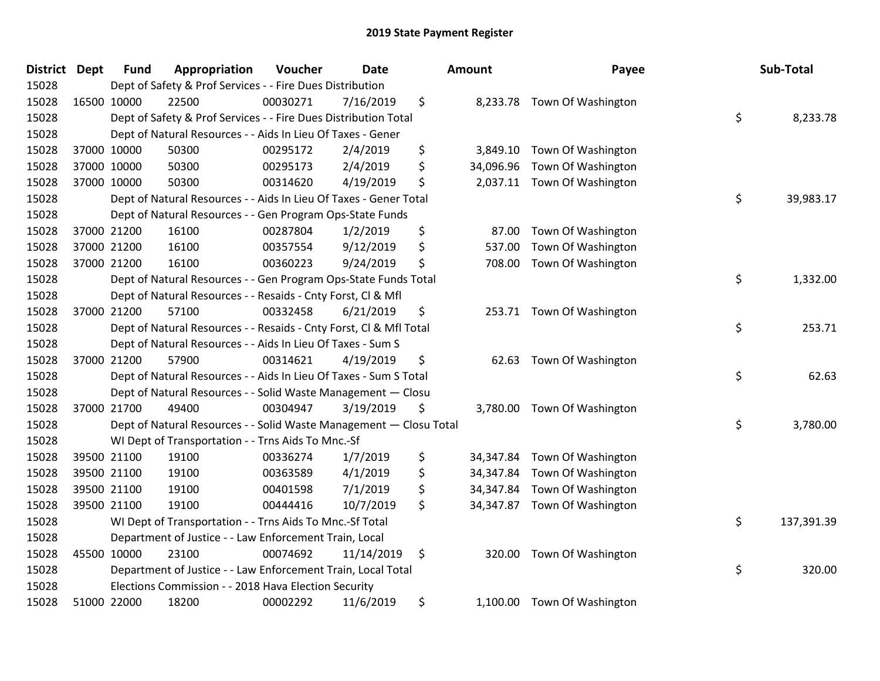| <b>District Dept</b> |             | <b>Fund</b> | Appropriation                                                      | Voucher  | <b>Date</b> | <b>Amount</b>   | Payee                        | Sub-Total        |
|----------------------|-------------|-------------|--------------------------------------------------------------------|----------|-------------|-----------------|------------------------------|------------------|
| 15028                |             |             | Dept of Safety & Prof Services - - Fire Dues Distribution          |          |             |                 |                              |                  |
| 15028                | 16500 10000 |             | 22500                                                              | 00030271 | 7/16/2019   | \$              | 8,233.78 Town Of Washington  |                  |
| 15028                |             |             | Dept of Safety & Prof Services - - Fire Dues Distribution Total    |          |             |                 |                              | \$<br>8,233.78   |
| 15028                |             |             | Dept of Natural Resources - - Aids In Lieu Of Taxes - Gener        |          |             |                 |                              |                  |
| 15028                |             | 37000 10000 | 50300                                                              | 00295172 | 2/4/2019    | \$<br>3,849.10  | Town Of Washington           |                  |
| 15028                |             | 37000 10000 | 50300                                                              | 00295173 | 2/4/2019    | \$<br>34,096.96 | Town Of Washington           |                  |
| 15028                |             | 37000 10000 | 50300                                                              | 00314620 | 4/19/2019   | \$              | 2,037.11 Town Of Washington  |                  |
| 15028                |             |             | Dept of Natural Resources - - Aids In Lieu Of Taxes - Gener Total  |          |             |                 |                              | \$<br>39,983.17  |
| 15028                |             |             | Dept of Natural Resources - - Gen Program Ops-State Funds          |          |             |                 |                              |                  |
| 15028                |             | 37000 21200 | 16100                                                              | 00287804 | 1/2/2019    | \$<br>87.00     | Town Of Washington           |                  |
| 15028                |             | 37000 21200 | 16100                                                              | 00357554 | 9/12/2019   | \$<br>537.00    | Town Of Washington           |                  |
| 15028                |             | 37000 21200 | 16100                                                              | 00360223 | 9/24/2019   | \$<br>708.00    | Town Of Washington           |                  |
| 15028                |             |             | Dept of Natural Resources - - Gen Program Ops-State Funds Total    |          |             |                 |                              | \$<br>1,332.00   |
| 15028                |             |             | Dept of Natural Resources - - Resaids - Cnty Forst, Cl & Mfl       |          |             |                 |                              |                  |
| 15028                |             | 37000 21200 | 57100                                                              | 00332458 | 6/21/2019   | \$              | 253.71 Town Of Washington    |                  |
| 15028                |             |             | Dept of Natural Resources - - Resaids - Cnty Forst, Cl & Mfl Total |          |             |                 |                              | \$<br>253.71     |
| 15028                |             |             | Dept of Natural Resources - - Aids In Lieu Of Taxes - Sum S        |          |             |                 |                              |                  |
| 15028                |             | 37000 21200 | 57900                                                              | 00314621 | 4/19/2019   | \$              | 62.63 Town Of Washington     |                  |
| 15028                |             |             | Dept of Natural Resources - - Aids In Lieu Of Taxes - Sum S Total  |          |             |                 |                              | \$<br>62.63      |
| 15028                |             |             | Dept of Natural Resources - - Solid Waste Management - Closu       |          |             |                 |                              |                  |
| 15028                |             | 37000 21700 | 49400                                                              | 00304947 | 3/19/2019   | \$              | 3,780.00 Town Of Washington  |                  |
| 15028                |             |             | Dept of Natural Resources - - Solid Waste Management - Closu Total |          |             |                 |                              | \$<br>3,780.00   |
| 15028                |             |             | WI Dept of Transportation - - Trns Aids To Mnc.-Sf                 |          |             |                 |                              |                  |
| 15028                |             | 39500 21100 | 19100                                                              | 00336274 | 1/7/2019    | \$<br>34,347.84 | Town Of Washington           |                  |
| 15028                |             | 39500 21100 | 19100                                                              | 00363589 | 4/1/2019    | \$<br>34,347.84 | Town Of Washington           |                  |
| 15028                |             | 39500 21100 | 19100                                                              | 00401598 | 7/1/2019    | \$<br>34,347.84 | Town Of Washington           |                  |
| 15028                |             | 39500 21100 | 19100                                                              | 00444416 | 10/7/2019   | \$              | 34,347.87 Town Of Washington |                  |
| 15028                |             |             | WI Dept of Transportation - - Trns Aids To Mnc.-Sf Total           |          |             |                 |                              | \$<br>137,391.39 |
| 15028                |             |             | Department of Justice - - Law Enforcement Train, Local             |          |             |                 |                              |                  |
| 15028                |             | 45500 10000 | 23100                                                              | 00074692 | 11/14/2019  | \$<br>320.00    | Town Of Washington           |                  |
| 15028                |             |             | Department of Justice - - Law Enforcement Train, Local Total       |          |             |                 |                              | \$<br>320.00     |
| 15028                |             |             | Elections Commission - - 2018 Hava Election Security               |          |             |                 |                              |                  |
| 15028                |             | 51000 22000 | 18200                                                              | 00002292 | 11/6/2019   | \$<br>1,100.00  | Town Of Washington           |                  |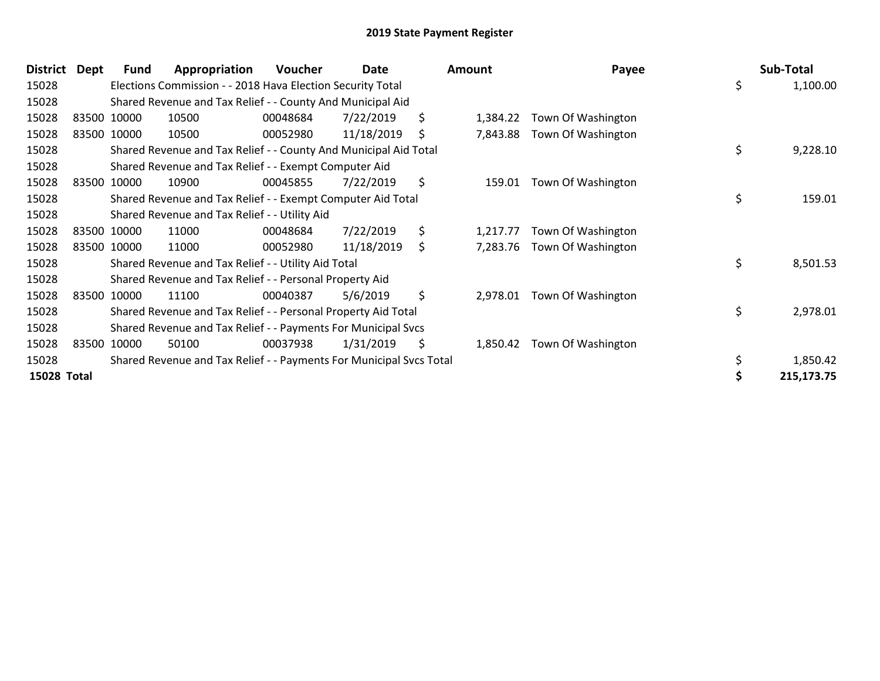| <b>District</b>    | <b>Dept</b> | <b>Fund</b> | Appropriation                                                       | <b>Voucher</b> | Date       | Amount         | Payee              | Sub-Total      |
|--------------------|-------------|-------------|---------------------------------------------------------------------|----------------|------------|----------------|--------------------|----------------|
| 15028              |             |             | Elections Commission - - 2018 Hava Election Security Total          |                |            |                |                    | \$<br>1,100.00 |
| 15028              |             |             | Shared Revenue and Tax Relief - - County And Municipal Aid          |                |            |                |                    |                |
| 15028              |             | 83500 10000 | 10500                                                               | 00048684       | 7/22/2019  | \$<br>1,384.22 | Town Of Washington |                |
| 15028              |             | 83500 10000 | 10500                                                               | 00052980       | 11/18/2019 | \$<br>7,843.88 | Town Of Washington |                |
| 15028              |             |             | Shared Revenue and Tax Relief - - County And Municipal Aid Total    |                |            |                |                    | \$<br>9,228.10 |
| 15028              |             |             | Shared Revenue and Tax Relief - - Exempt Computer Aid               |                |            |                |                    |                |
| 15028              |             | 83500 10000 | 10900                                                               | 00045855       | 7/22/2019  | \$<br>159.01   | Town Of Washington |                |
| 15028              |             |             | Shared Revenue and Tax Relief - - Exempt Computer Aid Total         |                |            |                |                    | \$<br>159.01   |
| 15028              |             |             | Shared Revenue and Tax Relief - - Utility Aid                       |                |            |                |                    |                |
| 15028              |             | 83500 10000 | 11000                                                               | 00048684       | 7/22/2019  | \$<br>1,217.77 | Town Of Washington |                |
| 15028              |             | 83500 10000 | 11000                                                               | 00052980       | 11/18/2019 | \$<br>7,283.76 | Town Of Washington |                |
| 15028              |             |             | Shared Revenue and Tax Relief - - Utility Aid Total                 |                |            |                |                    | \$<br>8,501.53 |
| 15028              |             |             | Shared Revenue and Tax Relief - - Personal Property Aid             |                |            |                |                    |                |
| 15028              |             | 83500 10000 | 11100                                                               | 00040387       | 5/6/2019   | \$<br>2,978.01 | Town Of Washington |                |
| 15028              |             |             | Shared Revenue and Tax Relief - - Personal Property Aid Total       |                |            |                |                    | \$<br>2,978.01 |
| 15028              |             |             | Shared Revenue and Tax Relief - - Payments For Municipal Svcs       |                |            |                |                    |                |
| 15028              |             | 83500 10000 | 50100                                                               | 00037938       | 1/31/2019  | \$<br>1,850.42 | Town Of Washington |                |
| 15028              |             |             | Shared Revenue and Tax Relief - - Payments For Municipal Svcs Total |                |            |                |                    | 1,850.42       |
| <b>15028 Total</b> |             |             |                                                                     |                |            |                |                    | 215,173.75     |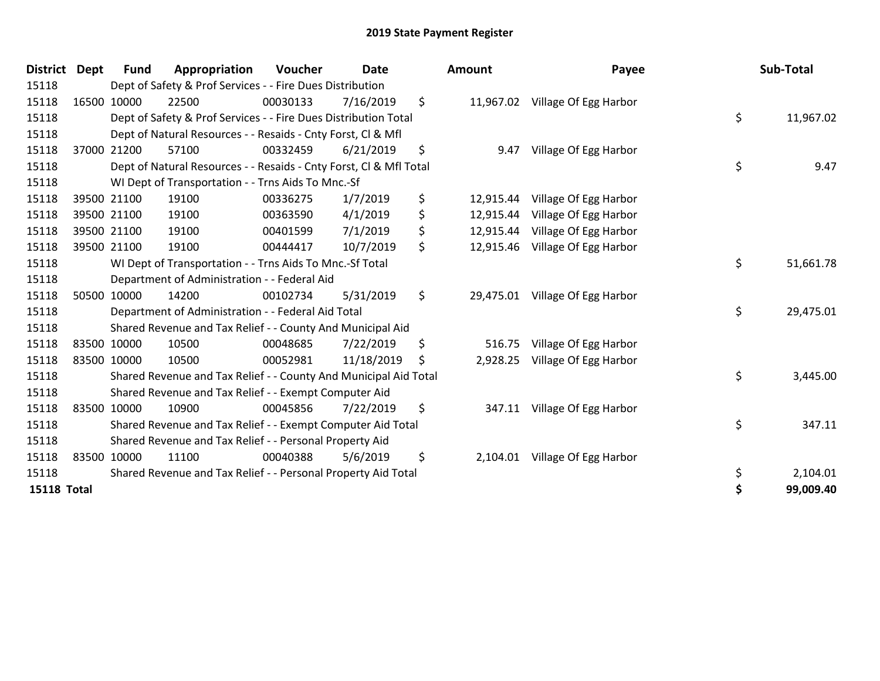| District Dept      | <b>Fund</b> | Appropriation                                                      | <b>Voucher</b> | <b>Date</b> | <b>Amount</b>   | Payee                           | Sub-Total       |
|--------------------|-------------|--------------------------------------------------------------------|----------------|-------------|-----------------|---------------------------------|-----------------|
| 15118              |             | Dept of Safety & Prof Services - - Fire Dues Distribution          |                |             |                 |                                 |                 |
| 15118              | 16500 10000 | 22500                                                              | 00030133       | 7/16/2019   | \$              | 11,967.02 Village Of Egg Harbor |                 |
| 15118              |             | Dept of Safety & Prof Services - - Fire Dues Distribution Total    |                |             |                 |                                 | \$<br>11,967.02 |
| 15118              |             | Dept of Natural Resources - - Resaids - Cnty Forst, CI & Mfl       |                |             |                 |                                 |                 |
| 15118              | 37000 21200 | 57100                                                              | 00332459       | 6/21/2019   | \$<br>9.47      | Village Of Egg Harbor           |                 |
| 15118              |             | Dept of Natural Resources - - Resaids - Cnty Forst, Cl & Mfl Total |                |             |                 |                                 | \$<br>9.47      |
| 15118              |             | WI Dept of Transportation - - Trns Aids To Mnc.-Sf                 |                |             |                 |                                 |                 |
| 15118              | 39500 21100 | 19100                                                              | 00336275       | 1/7/2019    | \$<br>12,915.44 | Village Of Egg Harbor           |                 |
| 15118              | 39500 21100 | 19100                                                              | 00363590       | 4/1/2019    | \$<br>12,915.44 | Village Of Egg Harbor           |                 |
| 15118              | 39500 21100 | 19100                                                              | 00401599       | 7/1/2019    | \$<br>12,915.44 | Village Of Egg Harbor           |                 |
| 15118              | 39500 21100 | 19100                                                              | 00444417       | 10/7/2019   | \$<br>12,915.46 | Village Of Egg Harbor           |                 |
| 15118              |             | WI Dept of Transportation - - Trns Aids To Mnc.-Sf Total           |                |             |                 |                                 | \$<br>51,661.78 |
| 15118              |             | Department of Administration - - Federal Aid                       |                |             |                 |                                 |                 |
| 15118              | 50500 10000 | 14200                                                              | 00102734       | 5/31/2019   | \$<br>29,475.01 | Village Of Egg Harbor           |                 |
| 15118              |             | Department of Administration - - Federal Aid Total                 |                |             |                 |                                 | \$<br>29,475.01 |
| 15118              |             | Shared Revenue and Tax Relief - - County And Municipal Aid         |                |             |                 |                                 |                 |
| 15118              | 83500 10000 | 10500                                                              | 00048685       | 7/22/2019   | \$<br>516.75    | Village Of Egg Harbor           |                 |
| 15118              | 83500 10000 | 10500                                                              | 00052981       | 11/18/2019  | \$<br>2,928.25  | Village Of Egg Harbor           |                 |
| 15118              |             | Shared Revenue and Tax Relief - - County And Municipal Aid Total   |                |             |                 |                                 | \$<br>3,445.00  |
| 15118              |             | Shared Revenue and Tax Relief - - Exempt Computer Aid              |                |             |                 |                                 |                 |
| 15118              | 83500 10000 | 10900                                                              | 00045856       | 7/22/2019   | \$<br>347.11    | Village Of Egg Harbor           |                 |
| 15118              |             | Shared Revenue and Tax Relief - - Exempt Computer Aid Total        |                |             |                 |                                 | \$<br>347.11    |
| 15118              |             | Shared Revenue and Tax Relief - - Personal Property Aid            |                |             |                 |                                 |                 |
| 15118              | 83500 10000 | 11100                                                              | 00040388       | 5/6/2019    | \$<br>2,104.01  | Village Of Egg Harbor           |                 |
| 15118              |             | Shared Revenue and Tax Relief - - Personal Property Aid Total      |                |             |                 |                                 | \$<br>2,104.01  |
| <b>15118 Total</b> |             |                                                                    |                |             |                 |                                 | \$<br>99,009.40 |

| nount | Payee                           | Sub-Total       |
|-------|---------------------------------|-----------------|
|       | 11,967.02 Village Of Egg Harbor |                 |
|       |                                 | \$<br>11,967.02 |
|       | 9.47 Village Of Egg Harbor      |                 |
|       |                                 | \$<br>9.47      |
|       | 12,915.44 Village Of Egg Harbor |                 |
|       | 12,915.44 Village Of Egg Harbor |                 |
|       | 12,915.44 Village Of Egg Harbor |                 |
|       | 12,915.46 Village Of Egg Harbor |                 |
|       |                                 | \$<br>51,661.78 |
|       | 29,475.01 Village Of Egg Harbor |                 |
|       |                                 | \$<br>29,475.01 |
|       | 516.75 Village Of Egg Harbor    |                 |
|       | 2,928.25 Village Of Egg Harbor  |                 |
|       |                                 | \$<br>3,445.00  |
|       | 347.11 Village Of Egg Harbor    |                 |
|       |                                 | \$<br>347.11    |
|       | 2,104.01 Village Of Egg Harbor  |                 |
|       |                                 | \$<br>2,104.01  |
|       |                                 | \$<br>99,009.40 |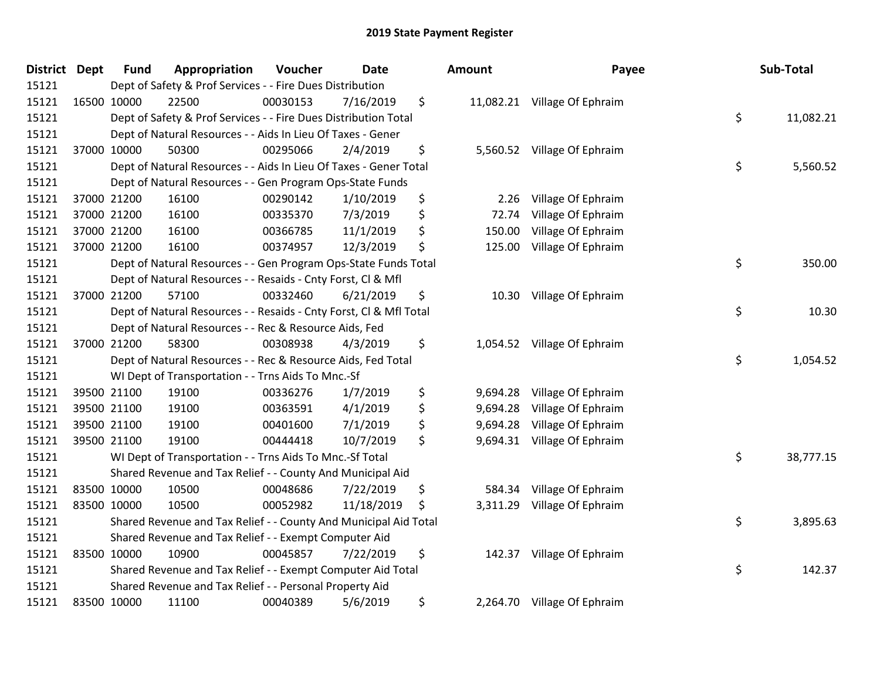| <b>District</b> | <b>Dept</b> | <b>Fund</b> | Appropriation                                                      | Voucher  | <b>Date</b> | <b>Amount</b>  | Payee                        | Sub-Total       |
|-----------------|-------------|-------------|--------------------------------------------------------------------|----------|-------------|----------------|------------------------------|-----------------|
| 15121           |             |             | Dept of Safety & Prof Services - - Fire Dues Distribution          |          |             |                |                              |                 |
| 15121           |             | 16500 10000 | 22500                                                              | 00030153 | 7/16/2019   | \$             | 11,082.21 Village Of Ephraim |                 |
| 15121           |             |             | Dept of Safety & Prof Services - - Fire Dues Distribution Total    |          |             |                |                              | \$<br>11,082.21 |
| 15121           |             |             | Dept of Natural Resources - - Aids In Lieu Of Taxes - Gener        |          |             |                |                              |                 |
| 15121           |             | 37000 10000 | 50300                                                              | 00295066 | 2/4/2019    | \$             | 5,560.52 Village Of Ephraim  |                 |
| 15121           |             |             | Dept of Natural Resources - - Aids In Lieu Of Taxes - Gener Total  |          |             |                |                              | \$<br>5,560.52  |
| 15121           |             |             | Dept of Natural Resources - - Gen Program Ops-State Funds          |          |             |                |                              |                 |
| 15121           |             | 37000 21200 | 16100                                                              | 00290142 | 1/10/2019   | \$<br>2.26     | Village Of Ephraim           |                 |
| 15121           |             | 37000 21200 | 16100                                                              | 00335370 | 7/3/2019    | \$<br>72.74    | Village Of Ephraim           |                 |
| 15121           |             | 37000 21200 | 16100                                                              | 00366785 | 11/1/2019   | \$<br>150.00   | Village Of Ephraim           |                 |
| 15121           |             | 37000 21200 | 16100                                                              | 00374957 | 12/3/2019   | \$<br>125.00   | Village Of Ephraim           |                 |
| 15121           |             |             | Dept of Natural Resources - - Gen Program Ops-State Funds Total    |          |             |                |                              | \$<br>350.00    |
| 15121           |             |             | Dept of Natural Resources - - Resaids - Cnty Forst, Cl & Mfl       |          |             |                |                              |                 |
| 15121           |             | 37000 21200 | 57100                                                              | 00332460 | 6/21/2019   | \$<br>10.30    | Village Of Ephraim           |                 |
| 15121           |             |             | Dept of Natural Resources - - Resaids - Cnty Forst, Cl & Mfl Total |          |             |                |                              | \$<br>10.30     |
| 15121           |             |             | Dept of Natural Resources - - Rec & Resource Aids, Fed             |          |             |                |                              |                 |
| 15121           |             | 37000 21200 | 58300                                                              | 00308938 | 4/3/2019    | \$<br>1,054.52 | Village Of Ephraim           |                 |
| 15121           |             |             | Dept of Natural Resources - - Rec & Resource Aids, Fed Total       |          |             |                |                              | \$<br>1,054.52  |
| 15121           |             |             | WI Dept of Transportation - - Trns Aids To Mnc.-Sf                 |          |             |                |                              |                 |
| 15121           |             | 39500 21100 | 19100                                                              | 00336276 | 1/7/2019    | \$<br>9,694.28 | Village Of Ephraim           |                 |
| 15121           |             | 39500 21100 | 19100                                                              | 00363591 | 4/1/2019    | \$<br>9,694.28 | Village Of Ephraim           |                 |
| 15121           |             | 39500 21100 | 19100                                                              | 00401600 | 7/1/2019    | \$<br>9,694.28 | Village Of Ephraim           |                 |
| 15121           |             | 39500 21100 | 19100                                                              | 00444418 | 10/7/2019   | \$             | 9,694.31 Village Of Ephraim  |                 |
| 15121           |             |             | WI Dept of Transportation - - Trns Aids To Mnc.-Sf Total           |          |             |                |                              | \$<br>38,777.15 |
| 15121           |             |             | Shared Revenue and Tax Relief - - County And Municipal Aid         |          |             |                |                              |                 |
| 15121           |             | 83500 10000 | 10500                                                              | 00048686 | 7/22/2019   | \$<br>584.34   | Village Of Ephraim           |                 |
| 15121           |             | 83500 10000 | 10500                                                              | 00052982 | 11/18/2019  | \$<br>3,311.29 | Village Of Ephraim           |                 |
| 15121           |             |             | Shared Revenue and Tax Relief - - County And Municipal Aid Total   |          |             |                |                              | \$<br>3,895.63  |
| 15121           |             |             | Shared Revenue and Tax Relief - - Exempt Computer Aid              |          |             |                |                              |                 |
| 15121           |             | 83500 10000 | 10900                                                              | 00045857 | 7/22/2019   | \$<br>142.37   | Village Of Ephraim           |                 |
| 15121           |             |             | Shared Revenue and Tax Relief - - Exempt Computer Aid Total        |          |             |                |                              | \$<br>142.37    |
| 15121           |             |             | Shared Revenue and Tax Relief - - Personal Property Aid            |          |             |                |                              |                 |
| 15121           |             | 83500 10000 | 11100                                                              | 00040389 | 5/6/2019    | \$             | 2,264.70 Village Of Ephraim  |                 |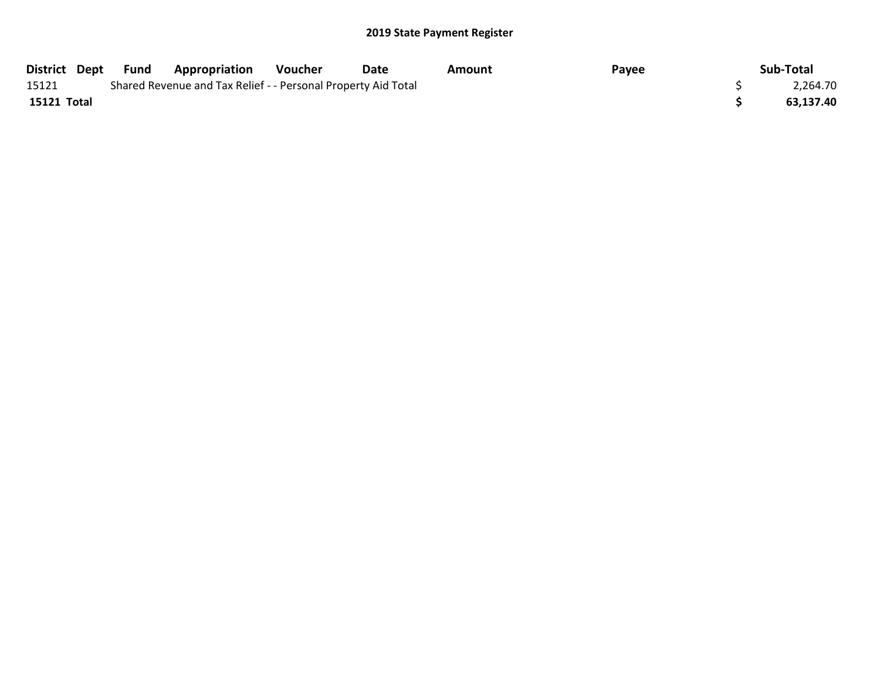|             | District Dept Fund | <b>Appropriation</b>                                          | Voucher | Date | Amount | Payee | Sub-Total |
|-------------|--------------------|---------------------------------------------------------------|---------|------|--------|-------|-----------|
| 15121       |                    | Shared Revenue and Tax Relief - - Personal Property Aid Total |         |      |        |       | 2,264.70  |
| 15121 Total |                    |                                                               |         |      |        |       | 63,137.40 |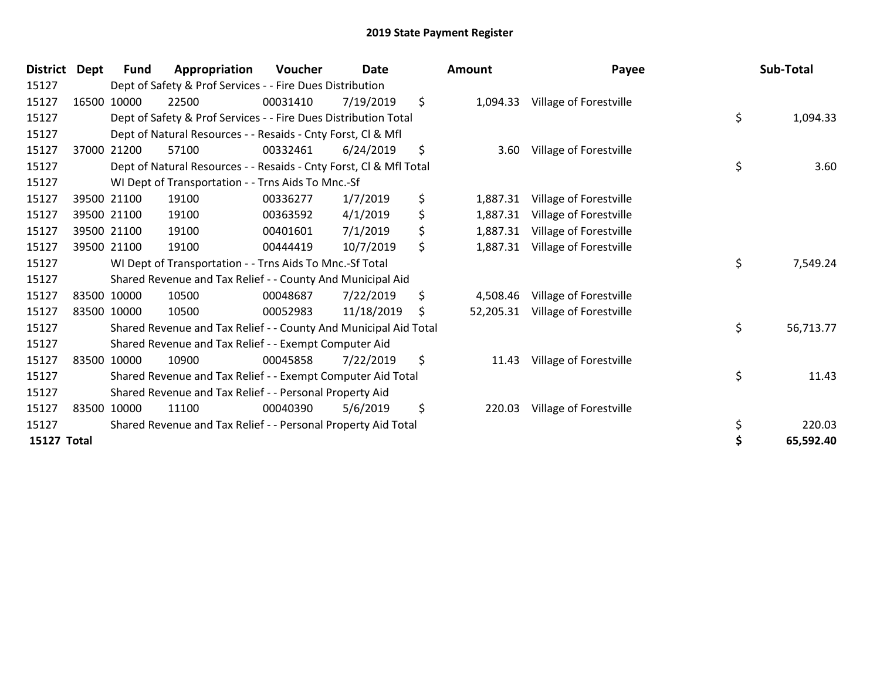| <b>District</b>    | <b>Dept</b> | Fund        | Appropriation                                                      | Voucher  | <b>Date</b> | <b>Amount</b>   | Payee                  | Sub-Total       |
|--------------------|-------------|-------------|--------------------------------------------------------------------|----------|-------------|-----------------|------------------------|-----------------|
| 15127              |             |             | Dept of Safety & Prof Services - - Fire Dues Distribution          |          |             |                 |                        |                 |
| 15127              |             | 16500 10000 | 22500                                                              | 00031410 | 7/19/2019   | \$<br>1,094.33  | Village of Forestville |                 |
| 15127              |             |             | Dept of Safety & Prof Services - - Fire Dues Distribution Total    |          |             |                 |                        | \$<br>1,094.33  |
| 15127              |             |             | Dept of Natural Resources - - Resaids - Cnty Forst, Cl & Mfl       |          |             |                 |                        |                 |
| 15127              |             | 37000 21200 | 57100                                                              | 00332461 | 6/24/2019   | \$<br>3.60      | Village of Forestville |                 |
| 15127              |             |             | Dept of Natural Resources - - Resaids - Cnty Forst, Cl & Mfl Total |          |             |                 |                        | \$<br>3.60      |
| 15127              |             |             | WI Dept of Transportation - - Trns Aids To Mnc.-Sf                 |          |             |                 |                        |                 |
| 15127              |             | 39500 21100 | 19100                                                              | 00336277 | 1/7/2019    | \$<br>1,887.31  | Village of Forestville |                 |
| 15127              |             | 39500 21100 | 19100                                                              | 00363592 | 4/1/2019    | \$<br>1,887.31  | Village of Forestville |                 |
| 15127              |             | 39500 21100 | 19100                                                              | 00401601 | 7/1/2019    | \$<br>1,887.31  | Village of Forestville |                 |
| 15127              |             | 39500 21100 | 19100                                                              | 00444419 | 10/7/2019   | \$<br>1,887.31  | Village of Forestville |                 |
| 15127              |             |             | WI Dept of Transportation - - Trns Aids To Mnc.-Sf Total           |          |             |                 |                        | \$<br>7,549.24  |
| 15127              |             |             | Shared Revenue and Tax Relief - - County And Municipal Aid         |          |             |                 |                        |                 |
| 15127              |             | 83500 10000 | 10500                                                              | 00048687 | 7/22/2019   | \$<br>4,508.46  | Village of Forestville |                 |
| 15127              |             | 83500 10000 | 10500                                                              | 00052983 | 11/18/2019  | \$<br>52,205.31 | Village of Forestville |                 |
| 15127              |             |             | Shared Revenue and Tax Relief - - County And Municipal Aid Total   |          |             |                 |                        | \$<br>56,713.77 |
| 15127              |             |             | Shared Revenue and Tax Relief - - Exempt Computer Aid              |          |             |                 |                        |                 |
| 15127              |             | 83500 10000 | 10900                                                              | 00045858 | 7/22/2019   | \$<br>11.43     | Village of Forestville |                 |
| 15127              |             |             | Shared Revenue and Tax Relief - - Exempt Computer Aid Total        |          |             |                 |                        | \$<br>11.43     |
| 15127              |             |             | Shared Revenue and Tax Relief - - Personal Property Aid            |          |             |                 |                        |                 |
| 15127              |             | 83500 10000 | 11100                                                              | 00040390 | 5/6/2019    | \$<br>220.03    | Village of Forestville |                 |
| 15127              |             |             | Shared Revenue and Tax Relief - - Personal Property Aid Total      |          |             |                 |                        | \$<br>220.03    |
| <b>15127 Total</b> |             |             |                                                                    |          |             |                 |                        | \$<br>65,592.40 |

| ount     | Payee                            | Sub-Total       |
|----------|----------------------------------|-----------------|
|          | 1,094.33 Village of Forestville  |                 |
|          |                                  | \$<br>1,094.33  |
| 3.60     | Village of Forestville           |                 |
|          |                                  | \$<br>3.60      |
|          | 1,887.31 Village of Forestville  |                 |
|          | 1,887.31 Village of Forestville  |                 |
|          | 1,887.31 Village of Forestville  |                 |
| 1,887.31 | Village of Forestville           |                 |
|          |                                  | \$<br>7,549.24  |
|          | 4,508.46 Village of Forestville  |                 |
|          | 52,205.31 Village of Forestville |                 |
|          |                                  | \$<br>56,713.77 |
| 11.43    | Village of Forestville           |                 |
|          |                                  | \$<br>11.43     |
| 220.03   | Village of Forestville           |                 |
|          |                                  | \$<br>220.03    |
|          |                                  | \$<br>65,592.40 |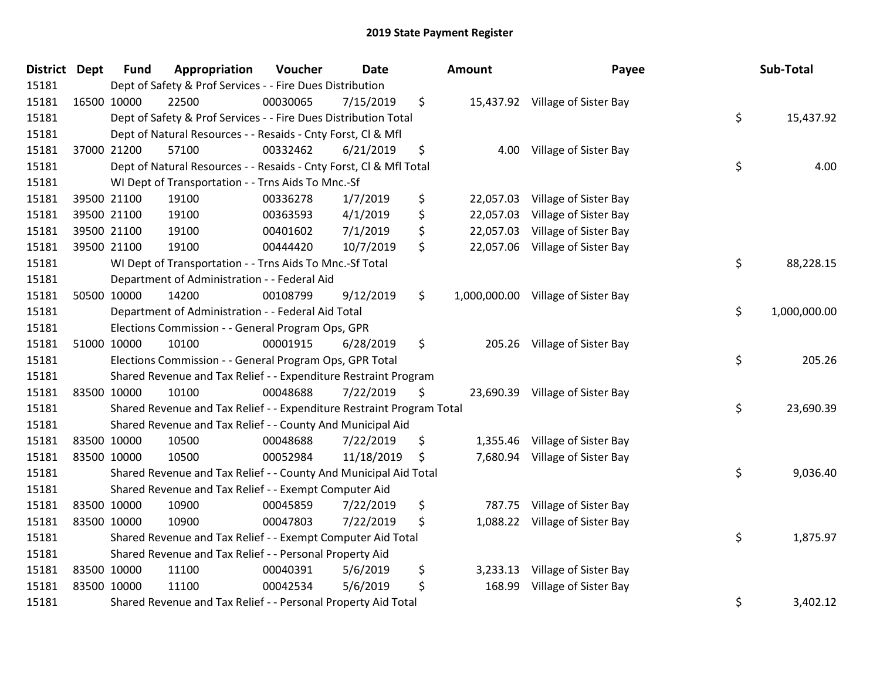| <b>District Dept</b> | <b>Fund</b> | Appropriation                                                         | Voucher  | <b>Date</b> | Amount          | Payee                              | Sub-Total          |
|----------------------|-------------|-----------------------------------------------------------------------|----------|-------------|-----------------|------------------------------------|--------------------|
| 15181                |             | Dept of Safety & Prof Services - - Fire Dues Distribution             |          |             |                 |                                    |                    |
| 15181                | 16500 10000 | 22500                                                                 | 00030065 | 7/15/2019   | \$              | 15,437.92 Village of Sister Bay    |                    |
| 15181                |             | Dept of Safety & Prof Services - - Fire Dues Distribution Total       |          |             |                 |                                    | \$<br>15,437.92    |
| 15181                |             | Dept of Natural Resources - - Resaids - Cnty Forst, CI & Mfl          |          |             |                 |                                    |                    |
| 15181                | 37000 21200 | 57100                                                                 | 00332462 | 6/21/2019   | \$<br>4.00      | Village of Sister Bay              |                    |
| 15181                |             | Dept of Natural Resources - - Resaids - Cnty Forst, CI & Mfl Total    |          |             |                 |                                    | \$<br>4.00         |
| 15181                |             | WI Dept of Transportation - - Trns Aids To Mnc.-Sf                    |          |             |                 |                                    |                    |
| 15181                | 39500 21100 | 19100                                                                 | 00336278 | 1/7/2019    | \$<br>22,057.03 | Village of Sister Bay              |                    |
| 15181                | 39500 21100 | 19100                                                                 | 00363593 | 4/1/2019    | \$<br>22,057.03 | Village of Sister Bay              |                    |
| 15181                | 39500 21100 | 19100                                                                 | 00401602 | 7/1/2019    | \$<br>22,057.03 | Village of Sister Bay              |                    |
| 15181                | 39500 21100 | 19100                                                                 | 00444420 | 10/7/2019   | \$<br>22,057.06 | Village of Sister Bay              |                    |
| 15181                |             | WI Dept of Transportation - - Trns Aids To Mnc.-Sf Total              |          |             |                 |                                    | \$<br>88,228.15    |
| 15181                |             | Department of Administration - - Federal Aid                          |          |             |                 |                                    |                    |
| 15181                | 50500 10000 | 14200                                                                 | 00108799 | 9/12/2019   | \$              | 1,000,000.00 Village of Sister Bay |                    |
| 15181                |             | Department of Administration - - Federal Aid Total                    |          |             |                 |                                    | \$<br>1,000,000.00 |
| 15181                |             | Elections Commission - - General Program Ops, GPR                     |          |             |                 |                                    |                    |
| 15181                | 51000 10000 | 10100                                                                 | 00001915 | 6/28/2019   | \$<br>205.26    | Village of Sister Bay              |                    |
| 15181                |             | Elections Commission - - General Program Ops, GPR Total               |          |             |                 |                                    | \$<br>205.26       |
| 15181                |             | Shared Revenue and Tax Relief - - Expenditure Restraint Program       |          |             |                 |                                    |                    |
| 15181                | 83500 10000 | 10100                                                                 | 00048688 | 7/22/2019   | \$              | 23,690.39 Village of Sister Bay    |                    |
| 15181                |             | Shared Revenue and Tax Relief - - Expenditure Restraint Program Total |          |             |                 |                                    | \$<br>23,690.39    |
| 15181                |             | Shared Revenue and Tax Relief - - County And Municipal Aid            |          |             |                 |                                    |                    |
| 15181                | 83500 10000 | 10500                                                                 | 00048688 | 7/22/2019   | \$<br>1,355.46  | Village of Sister Bay              |                    |
| 15181                | 83500 10000 | 10500                                                                 | 00052984 | 11/18/2019  | \$              | 7,680.94 Village of Sister Bay     |                    |
| 15181                |             | Shared Revenue and Tax Relief - - County And Municipal Aid Total      |          |             |                 |                                    | \$<br>9,036.40     |
| 15181                |             | Shared Revenue and Tax Relief - - Exempt Computer Aid                 |          |             |                 |                                    |                    |
| 15181                | 83500 10000 | 10900                                                                 | 00045859 | 7/22/2019   | \$<br>787.75    | Village of Sister Bay              |                    |
| 15181                | 83500 10000 | 10900                                                                 | 00047803 | 7/22/2019   | \$<br>1,088.22  | Village of Sister Bay              |                    |
| 15181                |             | Shared Revenue and Tax Relief - - Exempt Computer Aid Total           |          |             |                 |                                    | \$<br>1,875.97     |
| 15181                |             | Shared Revenue and Tax Relief - - Personal Property Aid               |          |             |                 |                                    |                    |
| 15181                | 83500 10000 | 11100                                                                 | 00040391 | 5/6/2019    | \$<br>3,233.13  | Village of Sister Bay              |                    |
| 15181                | 83500 10000 | 11100                                                                 | 00042534 | 5/6/2019    | \$<br>168.99    | Village of Sister Bay              |                    |
| 15181                |             | Shared Revenue and Tax Relief - - Personal Property Aid Total         |          |             |                 |                                    | \$<br>3,402.12     |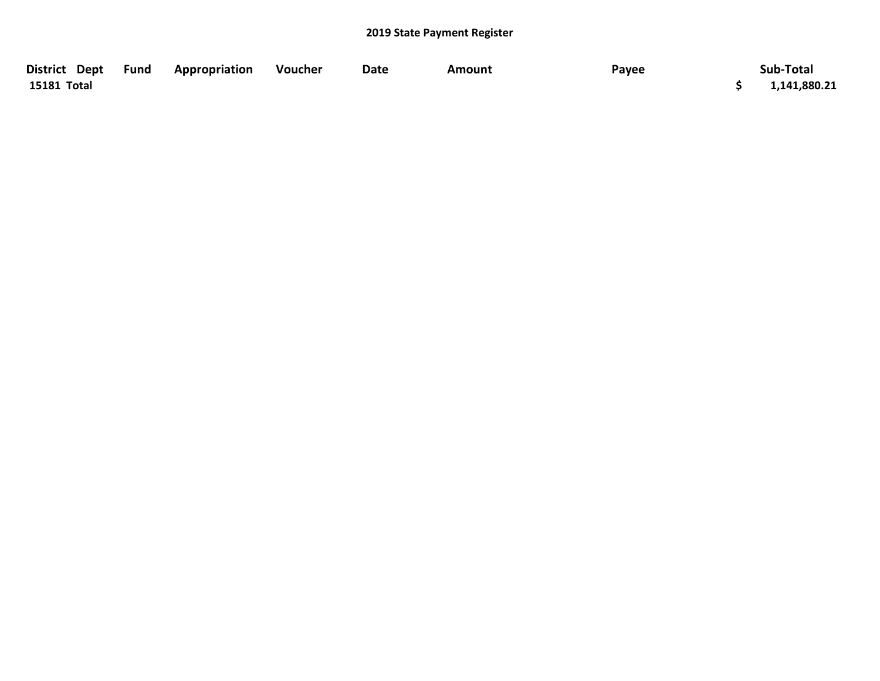| District Dept Fund | <b>Appropriation</b> | Voucher | <b>Date</b> | <b>Amount</b> | Payee | Sub-Total    |
|--------------------|----------------------|---------|-------------|---------------|-------|--------------|
| 15181 Total        |                      |         |             |               |       | 1,141,880.21 |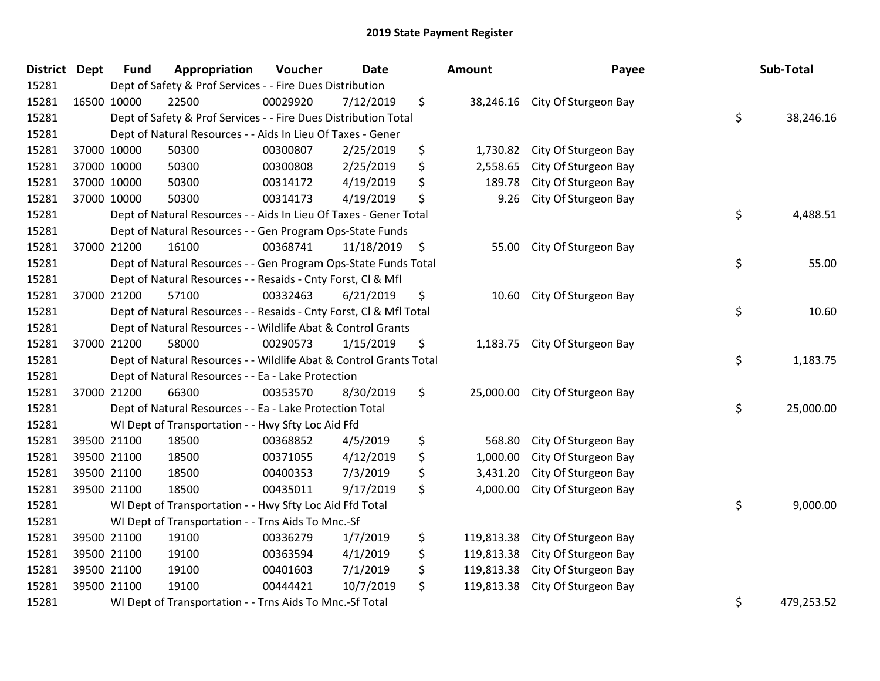| <b>District Dept</b> | <b>Fund</b> | Appropriation                                                      | Voucher  | <b>Date</b> | Amount           | Payee                          | Sub-Total        |
|----------------------|-------------|--------------------------------------------------------------------|----------|-------------|------------------|--------------------------------|------------------|
| 15281                |             | Dept of Safety & Prof Services - - Fire Dues Distribution          |          |             |                  |                                |                  |
| 15281                | 16500 10000 | 22500                                                              | 00029920 | 7/12/2019   | \$               | 38,246.16 City Of Sturgeon Bay |                  |
| 15281                |             | Dept of Safety & Prof Services - - Fire Dues Distribution Total    |          |             |                  |                                | \$<br>38,246.16  |
| 15281                |             | Dept of Natural Resources - - Aids In Lieu Of Taxes - Gener        |          |             |                  |                                |                  |
| 15281                | 37000 10000 | 50300                                                              | 00300807 | 2/25/2019   | \$<br>1,730.82   | City Of Sturgeon Bay           |                  |
| 15281                | 37000 10000 | 50300                                                              | 00300808 | 2/25/2019   | \$<br>2,558.65   | City Of Sturgeon Bay           |                  |
| 15281                | 37000 10000 | 50300                                                              | 00314172 | 4/19/2019   | \$<br>189.78     | City Of Sturgeon Bay           |                  |
| 15281                | 37000 10000 | 50300                                                              | 00314173 | 4/19/2019   | \$<br>9.26       | City Of Sturgeon Bay           |                  |
| 15281                |             | Dept of Natural Resources - - Aids In Lieu Of Taxes - Gener Total  |          |             |                  |                                | \$<br>4,488.51   |
| 15281                |             | Dept of Natural Resources - - Gen Program Ops-State Funds          |          |             |                  |                                |                  |
| 15281                | 37000 21200 | 16100                                                              | 00368741 | 11/18/2019  | \$<br>55.00      | City Of Sturgeon Bay           |                  |
| 15281                |             | Dept of Natural Resources - - Gen Program Ops-State Funds Total    |          |             |                  |                                | \$<br>55.00      |
| 15281                |             | Dept of Natural Resources - - Resaids - Cnty Forst, Cl & Mfl       |          |             |                  |                                |                  |
| 15281                | 37000 21200 | 57100                                                              | 00332463 | 6/21/2019   | \$<br>10.60      | City Of Sturgeon Bay           |                  |
| 15281                |             | Dept of Natural Resources - - Resaids - Cnty Forst, Cl & Mfl Total |          |             |                  |                                | \$<br>10.60      |
| 15281                |             | Dept of Natural Resources - - Wildlife Abat & Control Grants       |          |             |                  |                                |                  |
| 15281                | 37000 21200 | 58000                                                              | 00290573 | 1/15/2019   | \$<br>1,183.75   | City Of Sturgeon Bay           |                  |
| 15281                |             | Dept of Natural Resources - - Wildlife Abat & Control Grants Total |          |             |                  |                                | \$<br>1,183.75   |
| 15281                |             | Dept of Natural Resources - - Ea - Lake Protection                 |          |             |                  |                                |                  |
| 15281                | 37000 21200 | 66300                                                              | 00353570 | 8/30/2019   | \$               | 25,000.00 City Of Sturgeon Bay |                  |
| 15281                |             | Dept of Natural Resources - - Ea - Lake Protection Total           |          |             |                  |                                | \$<br>25,000.00  |
| 15281                |             | WI Dept of Transportation - - Hwy Sfty Loc Aid Ffd                 |          |             |                  |                                |                  |
| 15281                | 39500 21100 | 18500                                                              | 00368852 | 4/5/2019    | \$<br>568.80     | City Of Sturgeon Bay           |                  |
| 15281                | 39500 21100 | 18500                                                              | 00371055 | 4/12/2019   | \$<br>1,000.00   | City Of Sturgeon Bay           |                  |
| 15281                | 39500 21100 | 18500                                                              | 00400353 | 7/3/2019    | \$<br>3,431.20   | City Of Sturgeon Bay           |                  |
| 15281                | 39500 21100 | 18500                                                              | 00435011 | 9/17/2019   | \$<br>4,000.00   | City Of Sturgeon Bay           |                  |
| 15281                |             | WI Dept of Transportation - - Hwy Sfty Loc Aid Ffd Total           |          |             |                  |                                | \$<br>9,000.00   |
| 15281                |             | WI Dept of Transportation - - Trns Aids To Mnc.-Sf                 |          |             |                  |                                |                  |
| 15281                | 39500 21100 | 19100                                                              | 00336279 | 1/7/2019    | \$<br>119,813.38 | City Of Sturgeon Bay           |                  |
| 15281                | 39500 21100 | 19100                                                              | 00363594 | 4/1/2019    | \$<br>119,813.38 | City Of Sturgeon Bay           |                  |
| 15281                | 39500 21100 | 19100                                                              | 00401603 | 7/1/2019    | \$<br>119,813.38 | City Of Sturgeon Bay           |                  |
| 15281                | 39500 21100 | 19100                                                              | 00444421 | 10/7/2019   | \$<br>119,813.38 | City Of Sturgeon Bay           |                  |
| 15281                |             | WI Dept of Transportation - - Trns Aids To Mnc.-Sf Total           |          |             |                  |                                | \$<br>479,253.52 |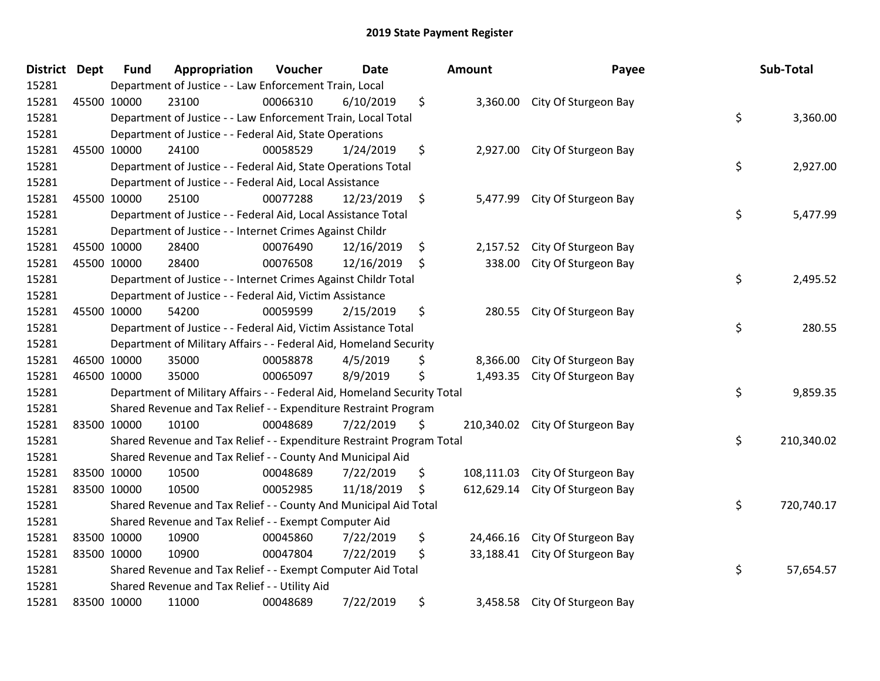| District Dept | <b>Fund</b> | Appropriation                                                           | Voucher  | <b>Date</b> | <b>Amount</b>    | Payee                           | Sub-Total        |
|---------------|-------------|-------------------------------------------------------------------------|----------|-------------|------------------|---------------------------------|------------------|
| 15281         |             | Department of Justice - - Law Enforcement Train, Local                  |          |             |                  |                                 |                  |
| 15281         | 45500 10000 | 23100                                                                   | 00066310 | 6/10/2019   | \$               | 3,360.00 City Of Sturgeon Bay   |                  |
| 15281         |             | Department of Justice - - Law Enforcement Train, Local Total            |          |             |                  |                                 | \$<br>3,360.00   |
| 15281         |             | Department of Justice - - Federal Aid, State Operations                 |          |             |                  |                                 |                  |
| 15281         | 45500 10000 | 24100                                                                   | 00058529 | 1/24/2019   | \$<br>2,927.00   | City Of Sturgeon Bay            |                  |
| 15281         |             | Department of Justice - - Federal Aid, State Operations Total           |          |             |                  |                                 | \$<br>2,927.00   |
| 15281         |             | Department of Justice - - Federal Aid, Local Assistance                 |          |             |                  |                                 |                  |
| 15281         | 45500 10000 | 25100                                                                   | 00077288 | 12/23/2019  | \$<br>5,477.99   | City Of Sturgeon Bay            |                  |
| 15281         |             | Department of Justice - - Federal Aid, Local Assistance Total           |          |             |                  |                                 | \$<br>5,477.99   |
| 15281         |             | Department of Justice - - Internet Crimes Against Childr                |          |             |                  |                                 |                  |
| 15281         | 45500 10000 | 28400                                                                   | 00076490 | 12/16/2019  | \$<br>2,157.52   | City Of Sturgeon Bay            |                  |
| 15281         | 45500 10000 | 28400                                                                   | 00076508 | 12/16/2019  | \$<br>338.00     | City Of Sturgeon Bay            |                  |
| 15281         |             | Department of Justice - - Internet Crimes Against Childr Total          |          |             |                  |                                 | \$<br>2,495.52   |
| 15281         |             | Department of Justice - - Federal Aid, Victim Assistance                |          |             |                  |                                 |                  |
| 15281         | 45500 10000 | 54200                                                                   | 00059599 | 2/15/2019   | \$<br>280.55     | City Of Sturgeon Bay            |                  |
| 15281         |             | Department of Justice - - Federal Aid, Victim Assistance Total          |          |             |                  |                                 | \$<br>280.55     |
| 15281         |             | Department of Military Affairs - - Federal Aid, Homeland Security       |          |             |                  |                                 |                  |
| 15281         | 46500 10000 | 35000                                                                   | 00058878 | 4/5/2019    | \$<br>8,366.00   | City Of Sturgeon Bay            |                  |
| 15281         | 46500 10000 | 35000                                                                   | 00065097 | 8/9/2019    | \$<br>1,493.35   | City Of Sturgeon Bay            |                  |
| 15281         |             | Department of Military Affairs - - Federal Aid, Homeland Security Total |          |             |                  |                                 | \$<br>9,859.35   |
| 15281         |             | Shared Revenue and Tax Relief - - Expenditure Restraint Program         |          |             |                  |                                 |                  |
| 15281         | 83500 10000 | 10100                                                                   | 00048689 | 7/22/2019   | \$               | 210,340.02 City Of Sturgeon Bay |                  |
| 15281         |             | Shared Revenue and Tax Relief - - Expenditure Restraint Program Total   |          |             |                  |                                 | \$<br>210,340.02 |
| 15281         |             | Shared Revenue and Tax Relief - - County And Municipal Aid              |          |             |                  |                                 |                  |
| 15281         | 83500 10000 | 10500                                                                   | 00048689 | 7/22/2019   | \$<br>108,111.03 | City Of Sturgeon Bay            |                  |
| 15281         | 83500 10000 | 10500                                                                   | 00052985 | 11/18/2019  | \$<br>612,629.14 | City Of Sturgeon Bay            |                  |
| 15281         |             | Shared Revenue and Tax Relief - - County And Municipal Aid Total        |          |             |                  |                                 | \$<br>720,740.17 |
| 15281         |             | Shared Revenue and Tax Relief - - Exempt Computer Aid                   |          |             |                  |                                 |                  |
| 15281         | 83500 10000 | 10900                                                                   | 00045860 | 7/22/2019   | \$<br>24,466.16  | City Of Sturgeon Bay            |                  |
| 15281         | 83500 10000 | 10900                                                                   | 00047804 | 7/22/2019   | \$<br>33,188.41  | City Of Sturgeon Bay            |                  |
| 15281         |             | Shared Revenue and Tax Relief - - Exempt Computer Aid Total             |          |             |                  |                                 | \$<br>57,654.57  |
| 15281         |             | Shared Revenue and Tax Relief - - Utility Aid                           |          |             |                  |                                 |                  |
| 15281         | 83500 10000 | 11000                                                                   | 00048689 | 7/22/2019   | \$<br>3,458.58   | City Of Sturgeon Bay            |                  |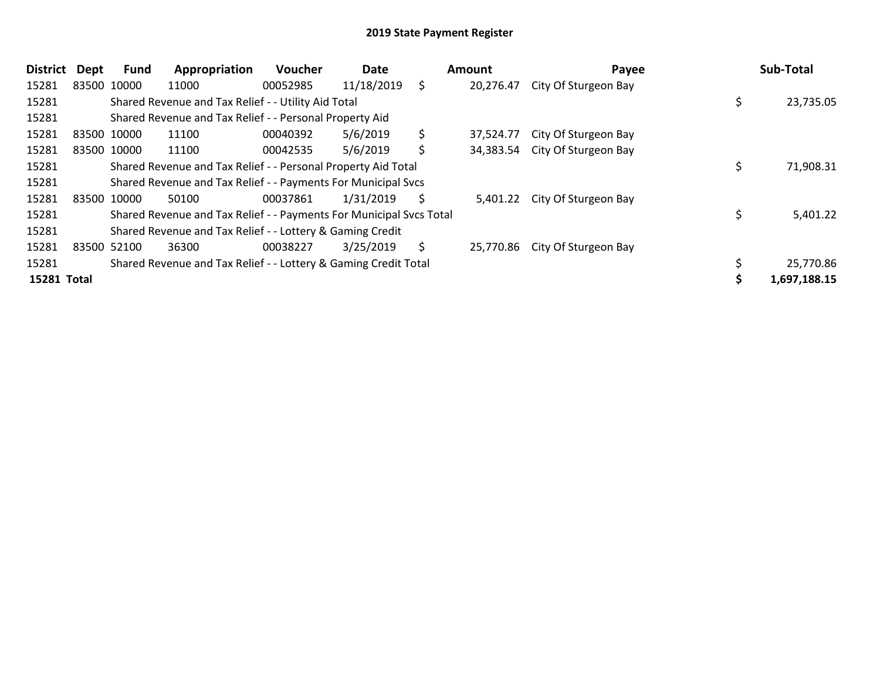| District    | Dept | Fund        | Appropriation                                                       | Voucher  | Date       |    | Amount    | Payee                          |  | Sub-Total    |
|-------------|------|-------------|---------------------------------------------------------------------|----------|------------|----|-----------|--------------------------------|--|--------------|
| 15281       |      | 83500 10000 | 11000                                                               | 00052985 | 11/18/2019 | \$ | 20,276.47 | City Of Sturgeon Bay           |  |              |
| 15281       |      |             | Shared Revenue and Tax Relief - - Utility Aid Total                 |          |            |    |           |                                |  | 23,735.05    |
| 15281       |      |             | Shared Revenue and Tax Relief - - Personal Property Aid             |          |            |    |           |                                |  |              |
| 15281       |      | 83500 10000 | 11100                                                               | 00040392 | 5/6/2019   | \$ | 37.524.77 | City Of Sturgeon Bay           |  |              |
| 15281       |      | 83500 10000 | 11100                                                               | 00042535 | 5/6/2019   | \$ |           | 34,383.54 City Of Sturgeon Bay |  |              |
| 15281       |      |             | Shared Revenue and Tax Relief - - Personal Property Aid Total       |          |            |    |           |                                |  | 71,908.31    |
| 15281       |      |             | Shared Revenue and Tax Relief - - Payments For Municipal Svcs       |          |            |    |           |                                |  |              |
| 15281       |      | 83500 10000 | 50100                                                               | 00037861 | 1/31/2019  | S  |           | 5,401.22 City Of Sturgeon Bay  |  |              |
| 15281       |      |             | Shared Revenue and Tax Relief - - Payments For Municipal Svcs Total |          |            |    |           |                                |  | 5,401.22     |
| 15281       |      |             | Shared Revenue and Tax Relief - - Lottery & Gaming Credit           |          |            |    |           |                                |  |              |
| 15281       |      | 83500 52100 | 36300                                                               | 00038227 | 3/25/2019  | \$ |           | 25,770.86 City Of Sturgeon Bay |  |              |
| 15281       |      |             | Shared Revenue and Tax Relief - - Lottery & Gaming Credit Total     |          |            |    |           |                                |  | 25,770.86    |
| 15281 Total |      |             |                                                                     |          |            |    |           |                                |  | 1,697,188.15 |